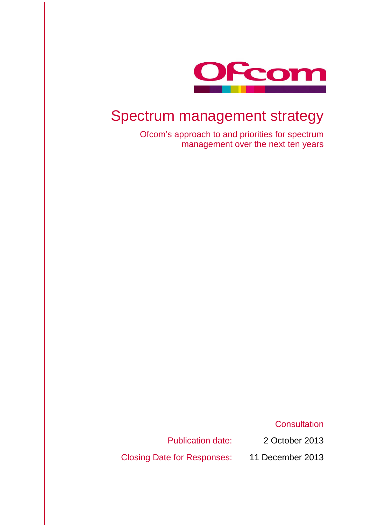

## Spectrum management strategy

Ofcom's approach to and priorities for spectrum management over the next ten years

**Consultation** 

Publication date: 2 October 2013

Closing Date for Responses: 11 December 2013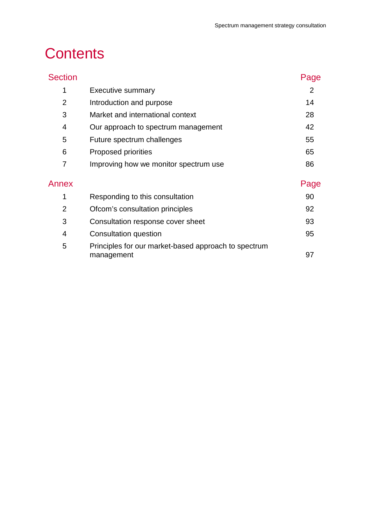# **Contents**

| <b>Section</b> |                                                                    | Page           |
|----------------|--------------------------------------------------------------------|----------------|
| 1              | <b>Executive summary</b>                                           | $\overline{2}$ |
| $\overline{2}$ | Introduction and purpose                                           | 14             |
| 3              | Market and international context                                   | 28             |
| 4              | Our approach to spectrum management                                | 42             |
| 5              | Future spectrum challenges                                         | 55             |
| 6              | Proposed priorities                                                | 65             |
| 7              | Improving how we monitor spectrum use                              | 86             |
| Annex          |                                                                    | Page           |
| 1              | Responding to this consultation                                    | 90             |
| $\overline{2}$ | Ofcom's consultation principles                                    | 92             |
| 3              | Consultation response cover sheet                                  | 93             |
| 4              | Consultation question                                              | 95             |
| 5              | Principles for our market-based approach to spectrum<br>management | 97             |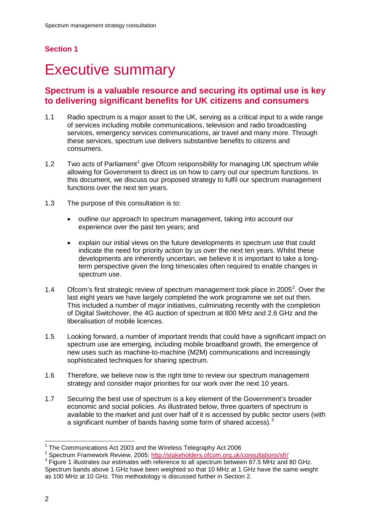## **Section 1**

# <span id="page-3-0"></span>**Executive summary**

## **Spectrum is a valuable resource and securing its optimal use is key to delivering significant benefits for UK citizens and consumers**

- 1.1 Radio spectrum is a major asset to the UK, serving as a critical input to a wide range of services including mobile communications, television and radio broadcasting services, emergency services communications, air travel and many more. Through these services, spectrum use delivers substantive benefits to citizens and consumers.
- [1](#page-3-1).2 Two acts of Parliament<sup>1</sup> give Ofcom responsibility for managing UK spectrum while allowing for Government to direct us on how to carry out our spectrum functions. In this document, we discuss our proposed strategy to fulfil our spectrum management functions over the next ten years.
- 1.3 The purpose of this consultation is to:
	- outline our approach to spectrum management, taking into account our experience over the past ten years; and
	- explain our initial views on the future developments in spectrum use that could indicate the need for priority action by us over the next ten years. Whilst these developments are inherently uncertain, we believe it is important to take a longterm perspective given the long timescales often required to enable changes in spectrum use.
- 1.4 Ofcom's first strategic review of spectrum management took place in [2](#page-3-2)005<sup>2</sup>. Over the last eight years we have largely completed the work programme we set out then. This included a number of major initiatives, culminating recently with the completion of Digital Switchover, the 4G auction of spectrum at 800 MHz and 2.6 GHz and the liberalisation of mobile licences.
- 1.5 Looking forward, a number of important trends that could have a significant impact on spectrum use are emerging, including mobile broadband growth, the emergence of new uses such as machine-to-machine (M2M) communications and increasingly sophisticated techniques for sharing spectrum.
- 1.6 Therefore, we believe now is the right time to review our spectrum management strategy and consider major priorities for our work over the next 10 years.
- 1.7 Securing the best use of spectrum is a key element of the Government's broader economic and social policies. As illustrated below, three quarters of spectrum is available to the market and just over half of it is accessed by public sector users (with a significant number of bands having some form of shared access).<sup>[3](#page-3-3)</sup>

<span id="page-3-3"></span>

<span id="page-3-2"></span><span id="page-3-1"></span><sup>&</sup>lt;sup>1</sup> The Communications Act 2003 and the Wireless Telegraphy Act 2006<br>
<sup>2</sup> Spectrum Framework Review, 2005:<http://stakeholders.ofcom.org.uk/consultations/sfr/><br>
<sup>3</sup> Figure 1 illustrates our estimates with reference to all Spectrum bands above 1 GHz have been weighted so that 10 MHz at 1 GHz have the same weight as 100 MHz at 10 GHz. This methodology is discussed further in Section 2.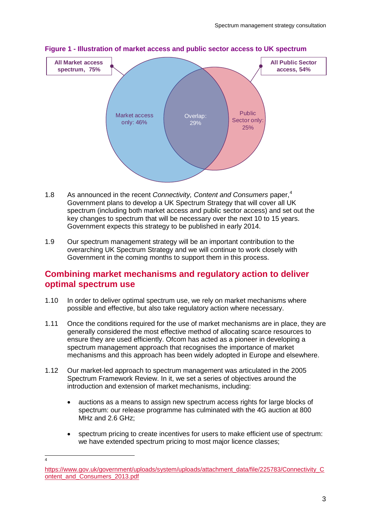

#### **Figure 1 - Illustration of market access and public sector access to UK spectrum**

- 1.8 As announced in the recent *Connectivity, Content and Consumers* paper, [4](#page-4-0) Government plans to develop a UK Spectrum Strategy that will cover all UK spectrum (including both market access and public sector access) and set out the key changes to spectrum that will be necessary over the next 10 to 15 years. Government expects this strategy to be published in early 2014.
- 1.9 Our spectrum management strategy will be an important contribution to the overarching UK Spectrum Strategy and we will continue to work closely with Government in the coming months to support them in this process.

### **Combining market mechanisms and regulatory action to deliver optimal spectrum use**

- 1.10 In order to deliver optimal spectrum use, we rely on market mechanisms where possible and effective, but also take regulatory action where necessary.
- 1.11 Once the conditions required for the use of market mechanisms are in place, they are generally considered the most effective method of allocating scarce resources to ensure they are used efficiently. Ofcom has acted as a pioneer in developing a spectrum management approach that recognises the importance of market mechanisms and this approach has been widely adopted in Europe and elsewhere.
- 1.12 Our market-led approach to spectrum management was articulated in the 2005 Spectrum Framework Review. In it, we set a series of objectives around the introduction and extension of market mechanisms, including:
	- auctions as a means to assign new spectrum access rights for large blocks of spectrum: our release programme has culminated with the 4G auction at 800 MHz and 2.6 GHz;
	- spectrum pricing to create incentives for users to make efficient use of spectrum: we have extended spectrum pricing to most major licence classes;

 $\overline{4}$ 

<span id="page-4-0"></span>[https://www.gov.uk/government/uploads/system/uploads/attachment\\_data/file/225783/Connectivity\\_C](https://www.gov.uk/government/uploads/system/uploads/attachment_data/file/225783/Connectivity_Content_and_Consumers_2013.pdf) [ontent\\_and\\_Consumers\\_2013.pdf](https://www.gov.uk/government/uploads/system/uploads/attachment_data/file/225783/Connectivity_Content_and_Consumers_2013.pdf)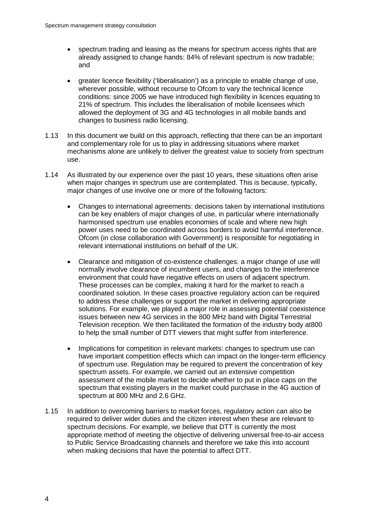- spectrum trading and leasing as the means for spectrum access rights that are already assigned to change hands: 84% of relevant spectrum is now tradable; and
- greater licence flexibility ('liberalisation') as a principle to enable change of use, wherever possible, without recourse to Ofcom to vary the technical licence conditions: since 2005 we have introduced high flexibility in licences equating to 21% of spectrum. This includes the liberalisation of mobile licensees which allowed the deployment of 3G and 4G technologies in all mobile bands and changes to business radio licensing.
- 1.13 In this document we build on this approach, reflecting that there can be an important and complementary role for us to play in addressing situations where market mechanisms alone are unlikely to deliver the greatest value to society from spectrum use.
- 1.14 As illustrated by our experience over the past 10 years, these situations often arise when major changes in spectrum use are contemplated. This is because, typically, major changes of use involve one or more of the following factors:
	- Changes to international agreements: decisions taken by international institutions can be key enablers of major changes of use, in particular where internationally harmonised spectrum use enables economies of scale and where new high power uses need to be coordinated across borders to avoid harmful interference. Ofcom (in close collaboration with Government) is responsible for negotiating in relevant international institutions on behalf of the UK.
	- Clearance and mitigation of co-existence challenges: a major change of use will normally involve clearance of incumbent users, and changes to the interference environment that could have negative effects on users of adjacent spectrum. These processes can be complex, making it hard for the market to reach a coordinated solution. In these cases proactive regulatory action can be required to address these challenges or support the market in delivering appropriate solutions. For example, we played a major role in assessing potential coexistence issues between new 4G services in the 800 MHz band with Digital Terrestrial Television reception. We then facilitated the formation of the industry body at800 to help the small number of DTT viewers that might suffer from interference.
	- Implications for competition in relevant markets: changes to spectrum use can have important competition effects which can impact on the longer-term efficiency of spectrum use. Regulation may be required to prevent the concentration of key spectrum assets. For example, we carried out an extensive competition assessment of the mobile market to decide whether to put in place caps on the spectrum that existing players in the market could purchase in the 4G auction of spectrum at 800 MHz and 2.6 GHz.
- 1.15 In addition to overcoming barriers to market forces, regulatory action can also be required to deliver wider duties and the citizen interest when these are relevant to spectrum decisions. For example, we believe that DTT is currently the most appropriate method of meeting the objective of delivering universal free-to-air access to Public Service Broadcasting channels and therefore we take this into account when making decisions that have the potential to affect DTT.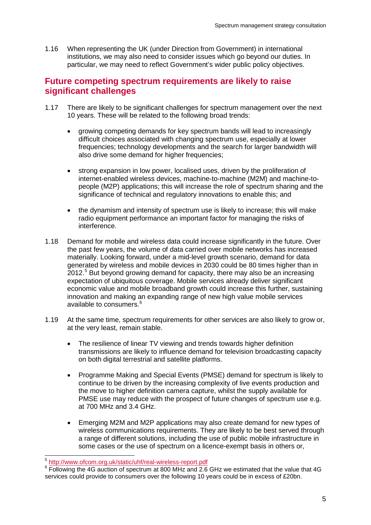1.16 When representing the UK (under Direction from Government) in international institutions, we may also need to consider issues which go beyond our duties. In particular, we may need to reflect Government's wider public policy objectives.

### **Future competing spectrum requirements are likely to raise significant challenges**

- 1.17 There are likely to be significant challenges for spectrum management over the next 10 years. These will be related to the following broad trends:
	- growing competing demands for key spectrum bands will lead to increasingly difficult choices associated with changing spectrum use, especially at lower frequencies; technology developments and the search for larger bandwidth will also drive some demand for higher frequencies;
	- strong expansion in low power, localised uses, driven by the proliferation of internet-enabled wireless devices, machine-to-machine (M2M) and machine-topeople (M2P) applications; this will increase the role of spectrum sharing and the significance of technical and regulatory innovations to enable this; and
	- the dynamism and intensity of spectrum use is likely to increase; this will make radio equipment performance an important factor for managing the risks of interference.
- 1.18 Demand for mobile and wireless data could increase significantly in the future. Over the past few years, the volume of data carried over mobile networks has increased materially. Looking forward, under a mid-level growth scenario, demand for data generated by wireless and mobile devices in 2030 could be 80 times higher than in 2012.<sup>[5](#page-6-0)</sup> But beyond growing demand for capacity, there may also be an increasing expectation of ubiquitous coverage. Mobile services already deliver significant economic value and mobile broadband growth could increase this further, sustaining innovation and making an expanding range of new high value mobile services available to consumers. [6](#page-6-1)
- 1.19 At the same time, spectrum requirements for other services are also likely to grow or, at the very least, remain stable.
	- The resilience of linear TV viewing and trends towards higher definition transmissions are likely to influence demand for television broadcasting capacity on both digital terrestrial and satellite platforms.
	- Programme Making and Special Events (PMSE) demand for spectrum is likely to continue to be driven by the increasing complexity of live events production and the move to higher definition camera capture, whilst the supply available for PMSE use may reduce with the prospect of future changes of spectrum use e.g. at 700 MHz and 3.4 GHz.
	- Emerging M2M and M2P applications may also create demand for new types of wireless communications requirements. They are likely to be best served through a range of different solutions, including the use of public mobile infrastructure in some cases or the use of spectrum on a licence-exempt basis in others or,

<span id="page-6-1"></span>

<span id="page-6-0"></span> $\frac{5}{6}$  <http://www.ofcom.org.uk/static/uhf/real-wireless-report.pdf><br> $\frac{6}{6}$  Following the 4G auction of spectrum at 800 MHz and 2.6 GHz we estimated that the value that 4G services could provide to consumers over the following 10 years could be in excess of £20bn.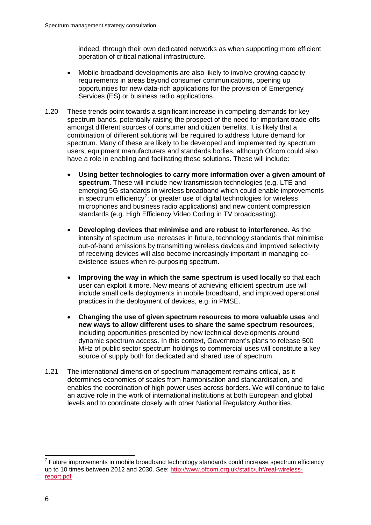indeed, through their own dedicated networks as when supporting more efficient operation of critical national infrastructure.

- Mobile broadband developments are also likely to involve growing capacity requirements in areas beyond consumer communications, opening up opportunities for new data-rich applications for the provision of Emergency Services (ES) or business radio applications.
- 1.20 These trends point towards a significant increase in competing demands for key spectrum bands, potentially raising the prospect of the need for important trade-offs amongst different sources of consumer and citizen benefits. It is likely that a combination of different solutions will be required to address future demand for spectrum. Many of these are likely to be developed and implemented by spectrum users, equipment manufacturers and standards bodies, although Ofcom could also have a role in enabling and facilitating these solutions. These will include:
	- **Using better technologies to carry more information over a given amount of spectrum**. These will include new transmission technologies (e.g. LTE and emerging 5G standards in wireless broadband which could enable improvements in spectrum efficiency<sup>[7](#page-7-0)</sup>; or greater use of digital technologies for wireless microphones and business radio applications) and new content compression standards (e.g. High Efficiency Video Coding in TV broadcasting).
	- **Developing devices that minimise and are robust to interference**. As the intensity of spectrum use increases in future, technology standards that minimise out-of-band emissions by transmitting wireless devices and improved selectivity of receiving devices will also become increasingly important in managing coexistence issues when re-purposing spectrum.
	- **Improving the way in which the same spectrum is used locally** so that each user can exploit it more. New means of achieving efficient spectrum use will include small cells deployments in mobile broadband, and improved operational practices in the deployment of devices, e.g. in PMSE.
	- **Changing the use of given spectrum resources to more valuable uses** and **new ways to allow different uses to share the same spectrum resources**, including opportunities presented by new technical developments around dynamic spectrum access. In this context, Government's plans to release 500 MHz of public sector spectrum holdings to commercial uses will constitute a key source of supply both for dedicated and shared use of spectrum.
- 1.21 The international dimension of spectrum management remains critical, as it determines economies of scales from harmonisation and standardisation, and enables the coordination of high power uses across borders. We will continue to take an active role in the work of international institutions at both European and global levels and to coordinate closely with other National Regulatory Authorities.

<span id="page-7-0"></span> $7$  Future improvements in mobile broadband technology standards could increase spectrum efficiency up to 10 times between 2012 and 2030. See: [http://www.ofcom.org.uk/static/uhf/real-wireless](http://www.ofcom.org.uk/static/uhf/real-wireless-report.pdf)[report.pdf](http://www.ofcom.org.uk/static/uhf/real-wireless-report.pdf)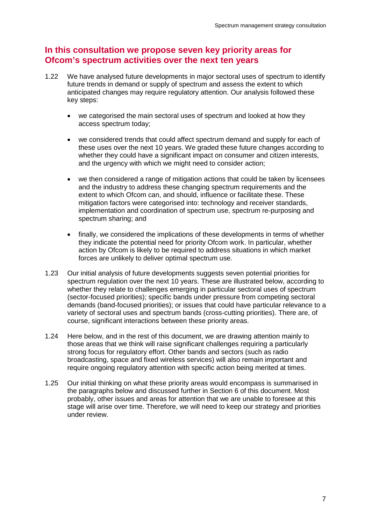## **In this consultation we propose seven key priority areas for Ofcom's spectrum activities over the next ten years**

- 1.22 We have analysed future developments in major sectoral uses of spectrum to identify future trends in demand or supply of spectrum and assess the extent to which anticipated changes may require regulatory attention. Our analysis followed these key steps:
	- we categorised the main sectoral uses of spectrum and looked at how they access spectrum today;
	- we considered trends that could affect spectrum demand and supply for each of these uses over the next 10 years. We graded these future changes according to whether they could have a significant impact on consumer and citizen interests. and the urgency with which we might need to consider action;
	- we then considered a range of mitigation actions that could be taken by licensees and the industry to address these changing spectrum requirements and the extent to which Ofcom can, and should, influence or facilitate these. These mitigation factors were categorised into: technology and receiver standards, implementation and coordination of spectrum use, spectrum re-purposing and spectrum sharing; and
	- finally, we considered the implications of these developments in terms of whether they indicate the potential need for priority Ofcom work. In particular, whether action by Ofcom is likely to be required to address situations in which market forces are unlikely to deliver optimal spectrum use.
- 1.23 Our initial analysis of future developments suggests seven potential priorities for spectrum regulation over the next 10 years. These are illustrated below, according to whether they relate to challenges emerging in particular sectoral uses of spectrum (sector-focused priorities); specific bands under pressure from competing sectoral demands (band-focused priorities); or issues that could have particular relevance to a variety of sectoral uses and spectrum bands (cross-cutting priorities). There are, of course, significant interactions between these priority areas.
- 1.24 Here below, and in the rest of this document, we are drawing attention mainly to those areas that we think will raise significant challenges requiring a particularly strong focus for regulatory effort. Other bands and sectors (such as radio broadcasting, space and fixed wireless services) will also remain important and require ongoing regulatory attention with specific action being merited at times.
- 1.25 Our initial thinking on what these priority areas would encompass is summarised in the paragraphs below and discussed further in Section 6 of this document. Most probably, other issues and areas for attention that we are unable to foresee at this stage will arise over time. Therefore, we will need to keep our strategy and priorities under review.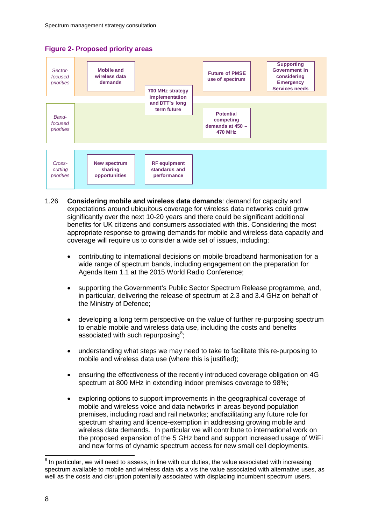



- 1.26 **Considering mobile and wireless data demands**: demand for capacity and expectations around ubiquitous coverage for wireless data networks could grow significantly over the next 10-20 years and there could be significant additional benefits for UK citizens and consumers associated with this. Considering the most appropriate response to growing demands for mobile and wireless data capacity and coverage will require us to consider a wide set of issues, including:
	- contributing to international decisions on mobile broadband harmonisation for a wide range of spectrum bands, including engagement on the preparation for Agenda Item 1.1 at the 2015 World Radio Conference;
	- supporting the Government's Public Sector Spectrum Release programme, and, in particular, delivering the release of spectrum at 2.3 and 3.4 GHz on behalf of the Ministry of Defence;
	- developing a long term perspective on the value of further re-purposing spectrum to enable mobile and wireless data use, including the costs and benefits associated with such repurposing<sup>[8](#page-9-0)</sup>;
	- understanding what steps we may need to take to facilitate this re-purposing to mobile and wireless data use (where this is justified);
	- ensuring the effectiveness of the recently introduced coverage obligation on 4G spectrum at 800 MHz in extending indoor premises coverage to 98%;
	- exploring options to support improvements in the geographical coverage of mobile and wireless voice and data networks in areas beyond population premises, including road and rail networks; andfacilitating any future role for spectrum sharing and licence-exemption in addressing growing mobile and wireless data demands. In particular we will contribute to international work on the proposed expansion of the 5 GHz band and support increased usage of WiFi and new forms of dynamic spectrum access for new small cell deployments.

<span id="page-9-0"></span> $8$  In particular, we will need to assess, in line with our duties, the value associated with increasing spectrum available to mobile and wireless data vis a vis the value associated with alternative uses, as well as the costs and disruption potentially associated with displacing incumbent spectrum users.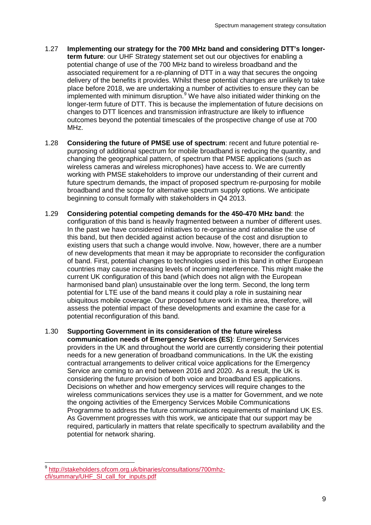- 1.27 **Implementing our strategy for the 700 MHz band and considering DTT's longerterm future**: our UHF Strategy statement set out our objectives for enabling a potential change of use of the 700 MHz band to wireless broadband and the associated requirement for a re-planning of DTT in a way that secures the ongoing delivery of the benefits it provides. Whilst these potential changes are unlikely to take place before 2018, we are undertaking a number of activities to ensure they can be implemented with minimum disruption.<sup>[9](#page-10-0)</sup> We have also initiated wider thinking on the longer-term future of DTT. This is because the implementation of future decisions on changes to DTT licences and transmission infrastructure are likely to influence outcomes beyond the potential timescales of the prospective change of use at 700 MHz.
- 1.28 **Considering the future of PMSE use of spectrum**: recent and future potential repurposing of additional spectrum for mobile broadband is reducing the quantity, and changing the geographical pattern, of spectrum that PMSE applications (such as wireless cameras and wireless microphones) have access to. We are currently working with PMSE stakeholders to improve our understanding of their current and future spectrum demands, the impact of proposed spectrum re-purposing for mobile broadband and the scope for alternative spectrum supply options. We anticipate beginning to consult formally with stakeholders in Q4 2013.
- 1.29 **Considering potential competing demands for the 450-470 MHz band**: the configuration of this band is heavily fragmented between a number of different uses. In the past we have considered initiatives to re-organise and rationalise the use of this band, but then decided against action because of the cost and disruption to existing users that such a change would involve. Now, however, there are a number of new developments that mean it may be appropriate to reconsider the configuration of band. First, potential changes to technologies used in this band in other European countries may cause increasing levels of incoming interference. This might make the current UK configuration of this band (which does not align with the European harmonised band plan) unsustainable over the long term. Second, the long term potential for LTE use of the band means it could play a role in sustaining near ubiquitous mobile coverage. Our proposed future work in this area, therefore, will assess the potential impact of these developments and examine the case for a potential reconfiguration of this band.
- 1.30 **Supporting Government in its consideration of the future wireless communication needs of Emergency Services (ES)**: Emergency Services providers in the UK and throughout the world are currently considering their potential needs for a new generation of broadband communications. In the UK the existing contractual arrangements to deliver critical voice applications for the Emergency Service are coming to an end between 2016 and 2020. As a result, the UK is considering the future provision of both voice and broadband ES applications. Decisions on whether and how emergency services will require changes to the wireless communications services they use is a matter for Government, and we note the ongoing activities of the Emergency Services Mobile Communications Programme to address the future communications requirements of mainland UK ES. As Government progresses with this work, we anticipate that our support may be required, particularly in matters that relate specifically to spectrum availability and the potential for network sharing.

<span id="page-10-0"></span> <sup>9</sup> [http://stakeholders.ofcom.org.uk/binaries/consultations/700mhz](http://stakeholders.ofcom.org.uk/binaries/consultations/700mhz-cfi/summary/UHF_SI_call_for_inputs.pdf)[cfi/summary/UHF\\_SI\\_call\\_for\\_inputs.pdf](http://stakeholders.ofcom.org.uk/binaries/consultations/700mhz-cfi/summary/UHF_SI_call_for_inputs.pdf)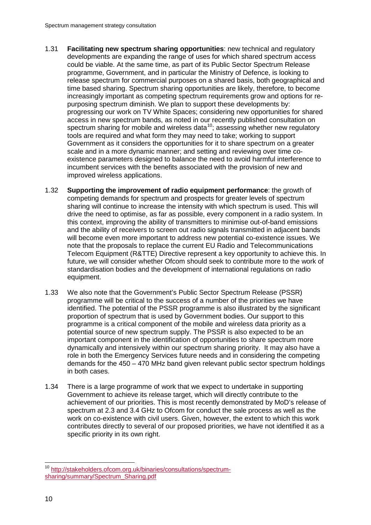- 1.31 **Facilitating new spectrum sharing opportunities**: new technical and regulatory developments are expanding the range of uses for which shared spectrum access could be viable. At the same time, as part of its Public Sector Spectrum Release programme, Government, and in particular the Ministry of Defence, is looking to release spectrum for commercial purposes on a shared basis, both geographical and time based sharing. Spectrum sharing opportunities are likely, therefore, to become increasingly important as competing spectrum requirements grow and options for repurposing spectrum diminish. We plan to support these developments by: progressing our work on TV White Spaces; considering new opportunities for shared access in new spectrum bands, as noted in our recently published consultation on spectrum sharing for mobile and wireless data<sup>10</sup>; assessing whether new regulatory tools are required and what form they may need to take; working to support Government as it considers the opportunities for it to share spectrum on a greater scale and in a more dynamic manner; and setting and reviewing over time coexistence parameters designed to balance the need to avoid harmful interference to incumbent services with the benefits associated with the provision of new and improved wireless applications.
- 1.32 **Supporting the improvement of radio equipment performance**: the growth of competing demands for spectrum and prospects for greater levels of spectrum sharing will continue to increase the intensity with which spectrum is used. This will drive the need to optimise, as far as possible, every component in a radio system. In this context, improving the ability of transmitters to minimise out-of-band emissions and the ability of receivers to screen out radio signals transmitted in adjacent bands will become even more important to address new potential co-existence issues. We note that the proposals to replace the current EU Radio and Telecommunications Telecom Equipment (R&TTE) Directive represent a key opportunity to achieve this. In future, we will consider whether Ofcom should seek to contribute more to the work of standardisation bodies and the development of international regulations on radio equipment.
- 1.33 We also note that the Government's Public Sector Spectrum Release (PSSR) programme will be critical to the success of a number of the priorities we have identified. The potential of the PSSR programme is also illustrated by the significant proportion of spectrum that is used by Government bodies. Our support to this programme is a critical component of the mobile and wireless data priority as a potential source of new spectrum supply. The PSSR is also expected to be an important component in the identification of opportunities to share spectrum more dynamically and intensively within our spectrum sharing priority. It may also have a role in both the Emergency Services future needs and in considering the competing demands for the 450 – 470 MHz band given relevant public sector spectrum holdings in both cases.
- 1.34 There is a large programme of work that we expect to undertake in supporting Government to achieve its release target, which will directly contribute to the achievement of our priorities. This is most recently demonstrated by MoD's release of spectrum at 2.3 and 3.4 GHz to Ofcom for conduct the sale process as well as the work on co-existence with civil users. Given, however, the extent to which this work contributes directly to several of our proposed priorities, we have not identified it as a specific priority in its own right.

<span id="page-11-0"></span> <sup>10</sup> [http://stakeholders.ofcom.org.uk/binaries/consultations/spectrum](http://stakeholders.ofcom.org.uk/binaries/consultations/spectrum-sharing/summary/Spectrum_Sharing.pdf)[sharing/summary/Spectrum\\_Sharing.pdf](http://stakeholders.ofcom.org.uk/binaries/consultations/spectrum-sharing/summary/Spectrum_Sharing.pdf)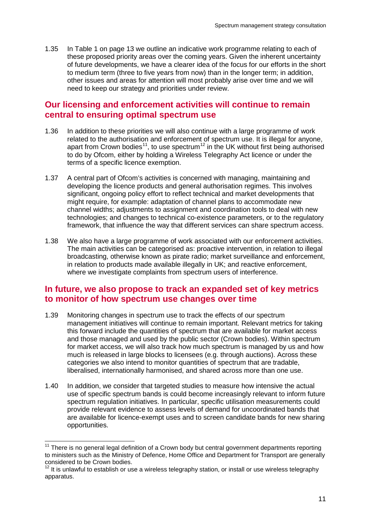1.35 In [Table 1](#page-14-0) on page [13](#page-14-0) we outline an indicative work programme relating to each of these proposed priority areas over the coming years. Given the inherent uncertainty of future developments, we have a clearer idea of the focus for our efforts in the short to medium term (three to five years from now) than in the longer term; in addition, other issues and areas for attention will most probably arise over time and we will need to keep our strategy and priorities under review.

### **Our licensing and enforcement activities will continue to remain central to ensuring optimal spectrum use**

- 1.36 In addition to these priorities we will also continue with a large programme of work related to the authorisation and enforcement of spectrum use. It is illegal for anyone, apart from Crown bodies<sup>11</sup>, to use spectrum<sup>12</sup> in the UK without first being authorised to do by Ofcom, either by holding a Wireless Telegraphy Act licence or under the terms of a specific licence exemption.
- 1.37 A central part of Ofcom's activities is concerned with managing, maintaining and developing the licence products and general authorisation regimes. This involves significant, ongoing policy effort to reflect technical and market developments that might require, for example: adaptation of channel plans to accommodate new channel widths; adjustments to assignment and coordination tools to deal with new technologies; and changes to technical co-existence parameters, or to the regulatory framework, that influence the way that different services can share spectrum access.
- 1.38 We also have a large programme of work associated with our enforcement activities. The main activities can be categorised as: proactive intervention, in relation to illegal broadcasting, otherwise known as pirate radio; market surveillance and enforcement, in relation to products made available illegally in UK; and reactive enforcement, where we investigate complaints from spectrum users of interference.

## **In future, we also propose to track an expanded set of key metrics to monitor of how spectrum use changes over time**

- 1.39 Monitoring changes in spectrum use to track the effects of our spectrum management initiatives will continue to remain important. Relevant metrics for taking this forward include the quantities of spectrum that are available for market access and those managed and used by the public sector (Crown bodies). Within spectrum for market access, we will also track how much spectrum is managed by us and how much is released in large blocks to licensees (e.g. through auctions). Across these categories we also intend to monitor quantities of spectrum that are tradable, liberalised, internationally harmonised, and shared across more than one use.
- 1.40 In addition, we consider that targeted studies to measure how intensive the actual use of specific spectrum bands is could become increasingly relevant to inform future spectrum regulation initiatives. In particular, specific utilisation measurements could provide relevant evidence to assess levels of demand for uncoordinated bands that are available for licence-exempt uses and to screen candidate bands for new sharing opportunities.

<span id="page-12-0"></span> $11$  There is no general legal definition of a Crown body but central government departments reporting to ministers such as the Ministry of Defence, Home Office and Department for Transport are generally considered to be Crown bodies.

<span id="page-12-1"></span> $12$  It is unlawful to establish or use a wireless telegraphy station, or install or use wireless telegraphy apparatus.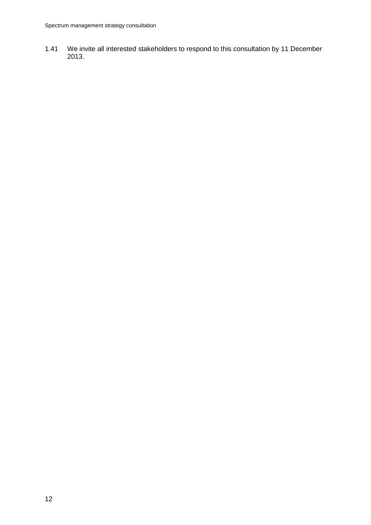1.41 We invite all interested stakeholders to respond to this consultation by 11 December 2013.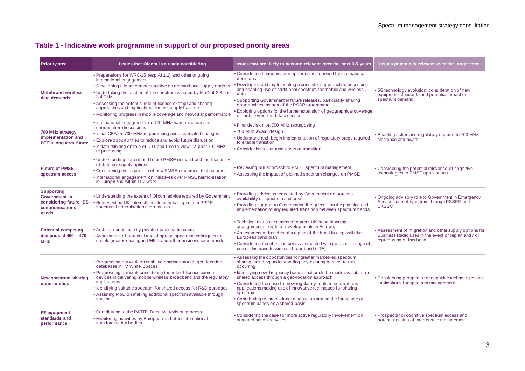### **Table 1 - Indicative work programme in support of our proposed priority areas**

<span id="page-14-0"></span>

| <b>Priority area</b>                                                                   | Issues that Ofcom is already considering                                                                                                                                                                                                                                                                                                                                                                                                | Issues that are likely to become relevant over the next 3-5 years                                                                                                                                                                                                                                                                                                                                                                                                                                                           | Issues potentially relevant over the longer term                                                                                          |
|----------------------------------------------------------------------------------------|-----------------------------------------------------------------------------------------------------------------------------------------------------------------------------------------------------------------------------------------------------------------------------------------------------------------------------------------------------------------------------------------------------------------------------------------|-----------------------------------------------------------------------------------------------------------------------------------------------------------------------------------------------------------------------------------------------------------------------------------------------------------------------------------------------------------------------------------------------------------------------------------------------------------------------------------------------------------------------------|-------------------------------------------------------------------------------------------------------------------------------------------|
| <b>Mobile and wireless</b><br>data demands                                             | • Preparations for WRC-15 (esp AI 1.1) and other ongoing<br>international engagement<br>• Developing a long term perspective on demand and supply options<br>• Undertaking the auction of the spectrum vacated by MoD at 2.3 and<br>3.4 GHz<br>• Assessing the potential role of licence-exempt and sharing<br>approaches and implications for the supply balance<br>• Monitoring progress in mobile coverage and networks' performance | • Considering harmonisation opportunities opened by international<br>decisions<br>• Developing and implementing a consistent approach to assessing<br>and enabling use of additional spectrum for mobile and wireless<br>data<br>• Supporting Government in future releases, particularly sharing<br>opportunities, as part of the PSSR programme<br>• Exploring options for the further extension of geographical coverage<br>of mobile voice and data services                                                            | • 5G technology evolution: consideration of new<br>equipment standards and potential impact on<br>spectrum demand                         |
| 700 MHz strategy<br>implementation and<br>DTT's long term future                       | • International engagement on 700 MHz harmonisation and<br>coordination discussions<br>• Initial CBA on 700 MHz re-purposing and associated changes<br>• Explore opportunities to reduce and avoid future disruption<br>. Initiate thinking on role of DTT and free-to-view TV post 700 MHz<br>re-purposing                                                                                                                             | • Final decision on 700 MHz repurposing<br>• 700 MHz award design<br>• Understand and begin implementation of regulatory steps required<br>to enable transition<br>• Consider issues around costs of transition                                                                                                                                                                                                                                                                                                             | • Enabling action and regulatory support to 700 MHz<br>clearance and award                                                                |
| <b>Future of PMSE</b><br>spectrum access                                               | • Understanding current and future PMSE demand and the feasibility<br>of different supply options<br>• Considering the future role of new PMSE equipment technologies<br>• International engagement on initiatives over PMSE harmonisation<br>in Europe and within ITU work                                                                                                                                                             | • Reviewing our approach to PMSE spectrum management<br>• Assessing the impact of planned spectrum changes on PMSE                                                                                                                                                                                                                                                                                                                                                                                                          | • Considering the potential relevance of cognitive<br>technologies to PMSE applications                                                   |
| <b>Supporting</b><br>Government in<br>considering future ES<br>communications<br>needs | . Understanding the extent of Ofcom advice required by Government<br>• Representing UK interests in International spectrum PPDR<br>spectrum harmonisation negotiations                                                                                                                                                                                                                                                                  | • Providing advice as requested by Government on potential<br>availability of spectrum and costs<br>• Providing support to Government, if required, on the planning and<br>implementation of any required transition between spectrum bands                                                                                                                                                                                                                                                                                 | • Ongoing advisory role to Government in Emergency<br>Services use of spectrum through PSSPG and<br><b>UKSSC</b>                          |
| <b>Potential competing</b><br>demands at $450 - 470$<br><b>MHz</b>                     | • Audit of current use by private mobile radio users<br>• Assessment of potential role of spread spectrum techniques to<br>enable greater sharing in UHF II and other business radio bands                                                                                                                                                                                                                                              | • Technical risk assessment of current UK band planning<br>arrangements in light of developments in Europe;<br>• Assessment of benefits of a replan of the band to align with the<br>European band plan<br>• Considering benefits and costs associated with potential change of<br>use of this band to wireless broadband (LTE)                                                                                                                                                                                             | • Assessment of migration and other supply options for<br>Business Radio uses in the event of replan and / or<br>repurposing of this band |
| New spectrum sharing<br>opportunities                                                  | • Progressing our work on enabling sharing through geo-location<br>databases in TV White Spaces<br>• Progressing our work considering the role of licence exempt<br>devices in delivering mobile wireless broadband and the regulatory<br>implications<br>• Identifying suitable spectrum for shared access for R&D purposes<br>• Assisting MoD on making additional spectrum available through<br>sharing                              | • Assessing the opportunities for greater market-led spectrum<br>sharing including understanding any existing barriers to this<br>occurring<br>• Identifying new frequency bands that could be made available for<br>shared access through a geo-location approach<br>• Considering the case for new regulatory tools to support new<br>applications making use of innovative techniques for sharing<br>spectrum<br>. Contributing to international discussion around the future use of<br>spectrum bands on a shared basis | • Considering prospects for cognitive technologies and<br>implications for spectrum management                                            |
| <b>RF</b> equipment<br>standards and<br>performance                                    | • Contributing to the R&TTE Directive revision process<br>• Monitoring activities by European and other International<br>standardisation bodies                                                                                                                                                                                                                                                                                         | • Considering the case for more active regulatory involvement on<br>standardisation activities                                                                                                                                                                                                                                                                                                                                                                                                                              | • Prospects for cognitive spectrum access and<br>potential easing of interference management                                              |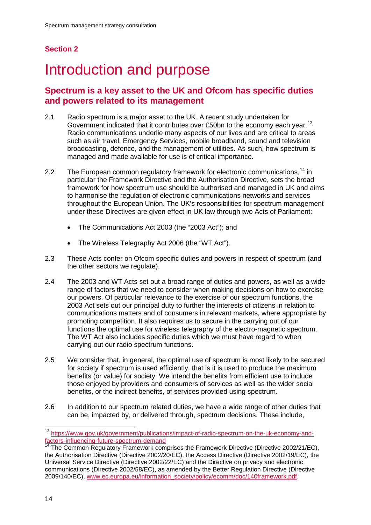## **Section 2**

# <span id="page-15-0"></span>Introduction and purpose

## **Spectrum is a key asset to the UK and Ofcom has specific duties and powers related to its management**

- 2.1 Radio spectrum is a major asset to the UK. A recent study undertaken for Government indicated that it contributes over £50bn to the economy each year.<sup>[13](#page-15-1)</sup> Radio communications underlie many aspects of our lives and are critical to areas such as air travel, Emergency Services, mobile broadband, sound and television broadcasting, defence, and the management of utilities. As such, how spectrum is managed and made available for use is of critical importance.
- 2.2 The European common regulatory framework for electronic communications,<sup>[14](#page-15-2)</sup> in particular the Framework Directive and the Authorisation Directive, sets the broad framework for how spectrum use should be authorised and managed in UK and aims to harmonise the regulation of electronic communications networks and services throughout the European Union. The UK's responsibilities for spectrum management under these Directives are given effect in UK law through two Acts of Parliament:
	- The Communications Act 2003 (the "2003 Act"); and
	- The Wireless Telegraphy Act 2006 (the "WT Act").
- 2.3 These Acts confer on Ofcom specific duties and powers in respect of spectrum (and the other sectors we regulate).
- 2.4 The 2003 and WT Acts set out a broad range of duties and powers, as well as a wide range of factors that we need to consider when making decisions on how to exercise our powers. Of particular relevance to the exercise of our spectrum functions, the 2003 Act sets out our principal duty to further the interests of citizens in relation to communications matters and of consumers in relevant markets, where appropriate by promoting competition. It also requires us to secure in the carrying out of our functions the optimal use for wireless telegraphy of the electro-magnetic spectrum. The WT Act also includes specific duties which we must have regard to when carrying out our radio spectrum functions.
- 2.5 We consider that, in general, the optimal use of spectrum is most likely to be secured for society if spectrum is used efficiently, that is it is used to produce the maximum benefits (or value) for society. We intend the benefits from efficient use to include those enjoyed by providers and consumers of services as well as the wider social benefits, or the indirect benefits, of services provided using spectrum.
- 2.6 In addition to our spectrum related duties, we have a wide range of other duties that can be, impacted by, or delivered through, spectrum decisions. These include,

<span id="page-15-1"></span> <sup>13</sup> [https://www.gov.uk/government/publications/impact-of-radio-spectrum-on-the-uk-economy-and](https://www.gov.uk/government/publications/impact-of-radio-spectrum-on-the-uk-economy-and-factors-influencing-future-spectrum-demand)[factors-influencing-future-spectrum-demand](https://www.gov.uk/government/publications/impact-of-radio-spectrum-on-the-uk-economy-and-factors-influencing-future-spectrum-demand)

<span id="page-15-2"></span><sup>&</sup>lt;sup>14</sup> The Common Regulatory Framework comprises the Framework Directive (Directive 2002/21/EC), the Authorisation Directive (Directive 2002/20/EC), the Access Directive (Directive 2002/19/EC), the Universal Service Directive (Directive 2002/22/EC) and the Directive on privacy and electronic communications (Directive 2002/58/EC), as amended by the Better Regulation Directive (Directive 2009/140/EC), [www.ec.europa.eu/information\\_society/policy/ecomm/doc/140framework.pdf.](http://www.ec.europa.eu/information_society/policy/ecomm/doc/140framework.pdf)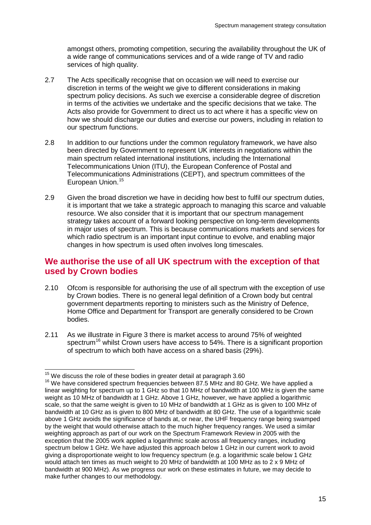amongst others, promoting competition, securing the availability throughout the UK of a wide range of communications services and of a wide range of TV and radio services of high quality.

- 2.7 The Acts specifically recognise that on occasion we will need to exercise our discretion in terms of the weight we give to different considerations in making spectrum policy decisions. As such we exercise a considerable degree of discretion in terms of the activities we undertake and the specific decisions that we take. The Acts also provide for Government to direct us to act where it has a specific view on how we should discharge our duties and exercise our powers, including in relation to our spectrum functions.
- 2.8 In addition to our functions under the common regulatory framework, we have also been directed by Government to represent UK interests in negotiations within the main spectrum related international institutions, including the International Telecommunications Union (ITU), the European Conference of Postal and Telecommunications Administrations (CEPT), and spectrum committees of the European Union. [15](#page-16-0)
- 2.9 Given the broad discretion we have in deciding how best to fulfil our spectrum duties, it is important that we take a strategic approach to managing this scarce and valuable resource. We also consider that it is important that our spectrum management strategy takes account of a forward looking perspective on long-term developments in major uses of spectrum. This is because communications markets and services for which radio spectrum is an important input continue to evolve, and enabling major changes in how spectrum is used often involves long timescales.

## **We authorise the use of all UK spectrum with the exception of that used by Crown bodies**

- 2.10 Ofcom is responsible for authorising the use of all spectrum with the exception of use by Crown bodies. There is no general legal definition of a Crown body but central government departments reporting to ministers such as the Ministry of Defence, Home Office and Department for Transport are generally considered to be Crown bodies.
- 2.11 As we illustrate in [Figure 3](#page-17-0) there is market access to around 75% of weighted spectrum<sup>[16](#page-16-1)</sup> whilst Crown users have access to 54%. There is a significant proportion of spectrum to which both have access on a shared basis (29%).

 $15$  We discuss the role of these bodies in greater detail at paragraph [3.60](#page-40-0)

<span id="page-16-1"></span><span id="page-16-0"></span> $16$  We have considered spectrum frequencies between 87.5 MHz and 80 GHz. We have applied a linear weighting for spectrum up to 1 GHz so that 10 MHz of bandwidth at 100 MHz is given the same weight as 10 MHz of bandwidth at 1 GHz. Above 1 GHz, however, we have applied a logarithmic scale, so that the same weight is given to 10 MHz of bandwidth at 1 GHz as is given to 100 MHz of bandwidth at 10 GHz as is given to 800 MHz of bandwidth at 80 GHz. The use of a logarithmic scale above 1 GHz avoids the significance of bands at, or near, the UHF frequency range being swamped by the weight that would otherwise attach to the much higher frequency ranges. We used a similar weighting approach as part of our work on the Spectrum Framework Review in 2005 with the exception that the 2005 work applied a logarithmic scale across all frequency ranges, including spectrum below 1 GHz. We have adjusted this approach below 1 GHz in our current work to avoid giving a disproportionate weight to low frequency spectrum (e.g. a logarithmic scale below 1 GHz would attach ten times as much weight to 20 MHz of bandwidth at 100 MHz as to 2 x 9 MHz of bandwidth at 900 MHz). As we progress our work on these estimates in future, we may decide to make further changes to our methodology.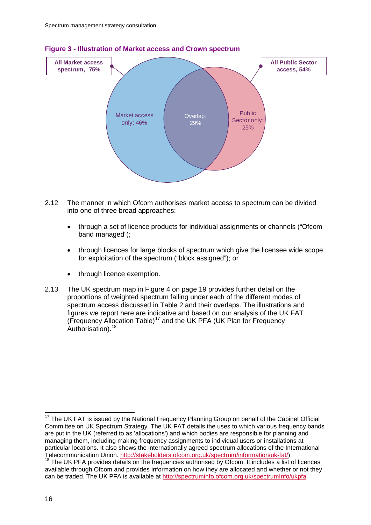

#### <span id="page-17-0"></span>**Figure 3 - Illustration of Market access and Crown spectrum**

- 2.12 The manner in which Ofcom authorises market access to spectrum can be divided into one of three broad approaches:
	- through a set of licence products for individual assignments or channels ("Ofcom band managed");
	- through licences for large blocks of spectrum which give the licensee wide scope for exploitation of the spectrum ("block assigned"); or
	- through licence exemption.
- 2.13 The UK spectrum map in [Figure 4](#page-20-0) on page [19](#page-20-0) provides further detail on the proportions of weighted spectrum falling under each of the different modes of spectrum access discussed in [Table 2](#page-18-0) and their overlaps. The illustrations and figures we report here are indicative and based on our analysis of the UK FAT (Frequency Allocation Table)<sup>[17](#page-17-1)</sup> and the UK PFA (UK Plan for Frequency Authorisation).<sup>[18](#page-17-2)</sup>

<span id="page-17-1"></span><sup>&</sup>lt;sup>17</sup> The UK FAT is issued by the National Frequency Planning Group on behalf of the Cabinet Official Committee on UK Spectrum Strategy. The UK FAT details the uses to which various frequency bands are put in the UK (referred to as 'allocations') and which bodies are responsible for planning and managing them, including making frequency assignments to individual users or installations at particular locations. It also shows the internationally agreed spectrum allocations of the International Telecommunication Union. [http://stakeholders.ofcom.org.uk/spectrum/information/uk-fat/\)](http://stakeholders.ofcom.org.uk/spectrum/information/uk-fat/)<br><sup>18</sup> The UK PFA provides details on the frequencies authorised by Ofcom. It includes a list of licences

<span id="page-17-2"></span>available through Ofcom and provides information on how they are allocated and whether or not they can be traded. The UK PFA is available at<http://spectruminfo.ofcom.org.uk/spectrumInfo/ukpfa>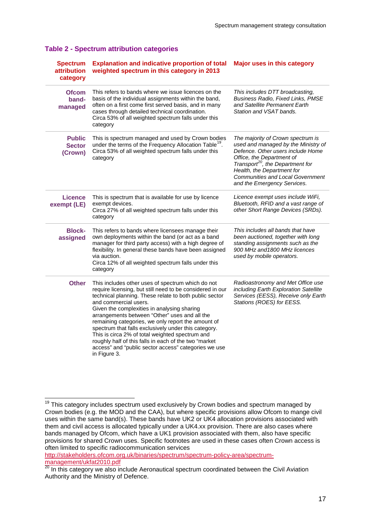| <b>Spectrum</b><br><b>attribution</b><br>category | <b>Explanation and indicative proportion of total</b><br>weighted spectrum in this category in 2013                                                                                                                                                                                                                                                                                                                                                                                                                                                                                                 | <b>Major uses in this category</b>                                                                                                                                                                                                                                                                 |
|---------------------------------------------------|-----------------------------------------------------------------------------------------------------------------------------------------------------------------------------------------------------------------------------------------------------------------------------------------------------------------------------------------------------------------------------------------------------------------------------------------------------------------------------------------------------------------------------------------------------------------------------------------------------|----------------------------------------------------------------------------------------------------------------------------------------------------------------------------------------------------------------------------------------------------------------------------------------------------|
| <b>Ofcom</b><br>band-<br>managed                  | This refers to bands where we issue licences on the<br>basis of the individual assignments within the band,<br>often on a first come first served basis, and in many<br>cases through detailed technical coordination.<br>Circa 53% of all weighted spectrum falls under this<br>category                                                                                                                                                                                                                                                                                                           | This includes DTT broadcasting,<br>Business Radio, Fixed Links, PMSE<br>and Satellite Permanent Earth<br>Station and VSAT bands.                                                                                                                                                                   |
| <b>Public</b><br><b>Sector</b><br>(Crown)         | This is spectrum managed and used by Crown bodies<br>under the terms of the Frequency Allocation Table <sup>19</sup> .<br>Circa 53% of all weighted spectrum falls under this<br>category                                                                                                                                                                                                                                                                                                                                                                                                           | The majority of Crown spectrum is<br>used and managed by the Ministry of<br>Defence. Other users include Home<br>Office, the Department of<br>Transport <sup>20</sup> , the Department for<br>Health, the Department for<br><b>Communities and Local Government</b><br>and the Emergency Services. |
| <b>Licence</b><br>exempt (LE)                     | This is spectrum that is available for use by licence<br>exempt devices.<br>Circa 27% of all weighted spectrum falls under this<br>category                                                                                                                                                                                                                                                                                                                                                                                                                                                         | Licence exempt uses include WiFi,<br>Bluetooth, RFID and a vast range of<br>other Short Range Devices (SRDs).                                                                                                                                                                                      |
| <b>Block-</b><br>assigned                         | This refers to bands where licensees manage their<br>own deployments within the band (or act as a band<br>manager for third party access) with a high degree of<br>flexibility. In general these bands have been assigned<br>via auction.<br>Circa 12% of all weighted spectrum falls under this<br>category                                                                                                                                                                                                                                                                                        | This includes all bands that have<br>been auctioned, together with long<br>standing assignments such as the<br>900 MHz and 1800 MHz licences<br>used by mobile operators.                                                                                                                          |
| <b>Other</b>                                      | This includes other uses of spectrum which do not<br>require licensing, but still need to be considered in our<br>technical planning. These relate to both public sector<br>and commercial users.<br>Given the complexities in analysing sharing<br>arrangements between "Other" uses and all the<br>remaining categories, we only report the amount of<br>spectrum that falls exclusively under this category.<br>This is circa 2% of total weighted spectrum and<br>roughly half of this falls in each of the two "market<br>access" and "public sector access" categories we use<br>in Figure 3. | Radioastronomy and Met Office use<br>including Earth Exploration Satellite<br>Services (EESS), Receive only Earth<br>Stations (ROES) for EESS.                                                                                                                                                     |

#### <span id="page-18-0"></span>**Table 2 - Spectrum attribution categories**

[http://stakeholders.ofcom.org.uk/binaries/spectrum/spectrum-policy-area/spectrum](http://stakeholders.ofcom.org.uk/binaries/spectrum/spectrum-policy-area/spectrum-management/ukfat2010.pdf)[management/ukfat2010.pdf](http://stakeholders.ofcom.org.uk/binaries/spectrum/spectrum-policy-area/spectrum-management/ukfat2010.pdf)

<span id="page-18-1"></span> $19$  This category includes spectrum used exclusively by Crown bodies and spectrum managed by Crown bodies (e.g. the MOD and the CAA), but where specific provisions allow Ofcom to mange civil uses within the same band(s). These bands have UK2 or UK4 allocation provisions associated with them and civil access is allocated typically under a UK4.xx provision. There are also cases where bands managed by Ofcom, which have a UK1 provision associated with them, also have specific provisions for shared Crown uses. Specific footnotes are used in these cases often Crown access is often limited to specific radiocommunication services

<span id="page-18-2"></span>**Thanagement unique rought**<br><sup>20</sup> In this category we also include Aeronautical spectrum coordinated between the Civil Aviation Authority and the Ministry of Defence.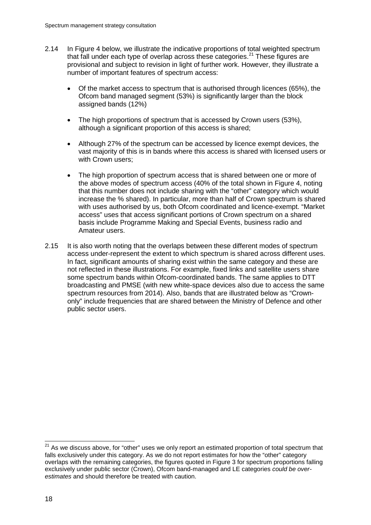- 2.14 In [Figure 4](#page-20-0) below, we illustrate the indicative proportions of total weighted spectrum that fall under each type of overlap across these categories.<sup>[21](#page-19-0)</sup> These figures are provisional and subject to revision in light of further work. However, they illustrate a number of important features of spectrum access:
	- Of the market access to spectrum that is authorised through licences (65%), the Ofcom band managed segment (53%) is significantly larger than the block assigned bands (12%)
	- The high proportions of spectrum that is accessed by Crown users (53%), although a significant proportion of this access is shared;
	- Although 27% of the spectrum can be accessed by licence exempt devices, the vast majority of this is in bands where this access is shared with licensed users or with Crown users;
	- The high proportion of spectrum access that is shared between one or more of the above modes of spectrum access (40% of the total shown in [Figure 4,](#page-20-0) noting that this number does not include sharing with the "other" category which would increase the % shared). In particular, more than half of Crown spectrum is shared with uses authorised by us, both Ofcom coordinated and licence-exempt. "Market access" uses that access significant portions of Crown spectrum on a shared basis include Programme Making and Special Events, business radio and Amateur users.
- 2.15 It is also worth noting that the overlaps between these different modes of spectrum access under-represent the extent to which spectrum is shared across different uses. In fact, significant amounts of sharing exist within the same category and these are not reflected in these illustrations. For example, fixed links and satellite users share some spectrum bands within Ofcom-coordinated bands. The same applies to DTT broadcasting and PMSE (with new white-space devices also due to access the same spectrum resources from 2014). Also, bands that are illustrated below as "Crownonly" include frequencies that are shared between the Ministry of Defence and other public sector users.

<span id="page-19-0"></span> $21$  As we discuss above, for "other" uses we only report an estimated proportion of total spectrum that falls exclusively under this category. As we do not report estimates for how the "other" category overlaps with the remaining categories, the figures quoted in [Figure 3](#page-17-0) for spectrum proportions falling exclusively under public sector (Crown), Ofcom band-managed and LE categories *could be overestimates* and should therefore be treated with caution.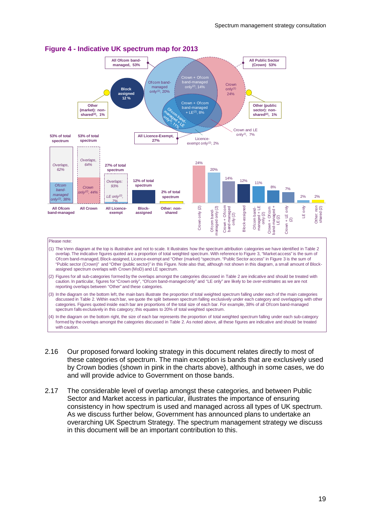

#### <span id="page-20-0"></span>**Figure 4 - Indicative UK spectrum map for 2013**

- (1) The Venn diagram at the top is illustrative and not to scale. It illustrates how the spectrum attribution categories we have identified in Table 2 overlap. The indicative figures quoted are a proportion of total weighted spectrum. With reference to Figure 3, "Market access" is the sum of Ofcom band-managed, Block-assigned, Licence-exempt and "Other (market) "spectrum. "Public Sector access" in Figure 3 is the sum of "Public sector (Crown)" and "Other (public sector)" in this Figure. Note also that, although not shown in this diagram, a small amount of Blockassigned spectrum overlaps with Crown (MoD) and LE spectrum.
- (2) Figures for all sub-categories formed by the overlaps amongst the categories discussed in Table 2 are indicative and should be treated with caution. In particular, figures for "Crown only", "Ofcom band-managed only" and "LE only" are likely to be *over-estimates* as we are not reporting overlaps between "Other" and these categories.
- (3) In the diagram on the bottom left, the main bars illustrate the proportion of total weighted spectrum falling under each of the main categories discussed in Table 2. Within each bar, we quote the split between spectrum falling exclusively under each category and overlapping with other categories. Figures quoted inside each bar are proportions of the total size of each bar. For example, 38% of all Ofcom band-managed spectrum falls exclusively in this category; this equates to 20% of total weighted spectrum.
- (4) In the diagram on the bottom right, the size of each bar represents the proportion of total weighted spectrum falling under each sub-category formed by the overlaps amongst the categories discussed in Table 2. As noted above, all these figures are indicative and should be treated with caution.
- 2.16 Our proposed forward looking strategy in this document relates directly to most of these categories of spectrum. The main exception is bands that are exclusively used by Crown bodies (shown in pink in the charts above), although in some cases, we do and will provide advice to Government on those bands.
- 2.17 The considerable level of overlap amongst these categories, and between Public Sector and Market access in particular, illustrates the importance of ensuring consistency in how spectrum is used and managed across all types of UK spectrum. As we discuss further below, Government has announced plans to undertake an overarching UK Spectrum Strategy. The spectrum management strategy we discuss in this document will be an important contribution to this.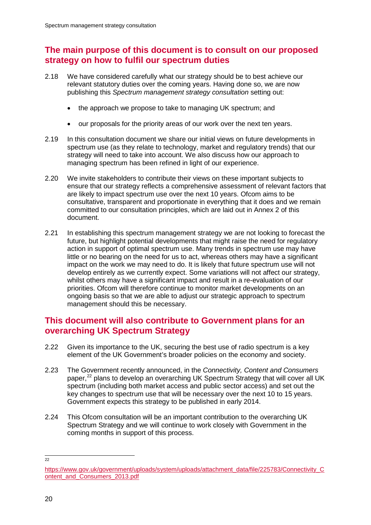## **The main purpose of this document is to consult on our proposed strategy on how to fulfil our spectrum duties**

- 2.18 We have considered carefully what our strategy should be to best achieve our relevant statutory duties over the coming years. Having done so, we are now publishing this *Spectrum management strategy consultation* setting out:
	- the approach we propose to take to managing UK spectrum; and
	- our proposals for the priority areas of our work over the next ten years.
- 2.19 In this consultation document we share our initial views on future developments in spectrum use (as they relate to technology, market and regulatory trends) that our strategy will need to take into account. We also discuss how our approach to managing spectrum has been refined in light of our experience.
- 2.20 We invite stakeholders to contribute their views on these important subjects to ensure that our strategy reflects a comprehensive assessment of relevant factors that are likely to impact spectrum use over the next 10 years. Ofcom aims to be consultative, transparent and proportionate in everything that it does and we remain committed to our consultation principles, which are laid out in Annex 2 of this document.
- 2.21 In establishing this spectrum management strategy we are not looking to forecast the future, but highlight potential developments that might raise the need for regulatory action in support of optimal spectrum use. Many trends in spectrum use may have little or no bearing on the need for us to act, whereas others may have a significant impact on the work we may need to do. It is likely that future spectrum use will not develop entirely as we currently expect. Some variations will not affect our strategy, whilst others may have a significant impact and result in a re-evaluation of our priorities. Ofcom will therefore continue to monitor market developments on an ongoing basis so that we are able to adjust our strategic approach to spectrum management should this be necessary.

## **This document will also contribute to Government plans for an overarching UK Spectrum Strategy**

- 2.22 Given its importance to the UK, securing the best use of radio spectrum is a key element of the UK Government's broader policies on the economy and society.
- 2.23 The Government recently announced, in the *Connectivity, Content and Consumers* paper,<sup>[22](#page-21-0)</sup> plans to develop an overarching UK Spectrum Strategy that will cover all UK spectrum (including both market access and public sector access) and set out the key changes to spectrum use that will be necessary over the next 10 to 15 years. Government expects this strategy to be published in early 2014.
- 2.24 This Ofcom consultation will be an important contribution to the overarching UK Spectrum Strategy and we will continue to work closely with Government in the coming months in support of this process.

 $\overline{22}$ 

<span id="page-21-0"></span>[https://www.gov.uk/government/uploads/system/uploads/attachment\\_data/file/225783/Connectivity\\_C](https://www.gov.uk/government/uploads/system/uploads/attachment_data/file/225783/Connectivity_Content_and_Consumers_2013.pdf) [ontent\\_and\\_Consumers\\_2013.pdf](https://www.gov.uk/government/uploads/system/uploads/attachment_data/file/225783/Connectivity_Content_and_Consumers_2013.pdf)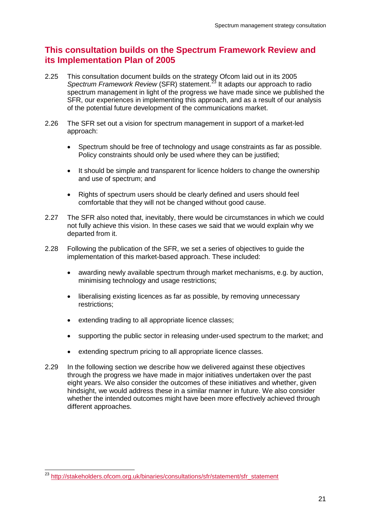## **This consultation builds on the Spectrum Framework Review and its Implementation Plan of 2005**

- 2.25 This consultation document builds on the strategy Ofcom laid out in its 2005 *Spectrum Framework Review* (SFR) statement.<sup>[23](#page-22-0)</sup> It adapts our approach to radio spectrum management in light of the progress we have made since we published the SFR, our experiences in implementing this approach, and as a result of our analysis of the potential future development of the communications market.
- <span id="page-22-1"></span>2.26 The SFR set out a vision for spectrum management in support of a market-led approach:
	- Spectrum should be free of technology and usage constraints as far as possible. Policy constraints should only be used where they can be justified;
	- It should be simple and transparent for licence holders to change the ownership and use of spectrum; and
	- Rights of spectrum users should be clearly defined and users should feel comfortable that they will not be changed without good cause.
- 2.27 The SFR also noted that, inevitably, there would be circumstances in which we could not fully achieve this vision. In these cases we said that we would explain why we departed from it.
- 2.28 Following the publication of the SFR, we set a series of objectives to guide the implementation of this market-based approach. These included:
	- awarding newly available spectrum through market mechanisms, e.g. by auction, minimising technology and usage restrictions;
	- liberalising existing licences as far as possible, by removing unnecessary restrictions;
	- extending trading to all appropriate licence classes;
	- supporting the public sector in releasing under-used spectrum to the market; and
	- extending spectrum pricing to all appropriate licence classes.
- 2.29 In the following section we describe how we delivered against these objectives through the progress we have made in major initiatives undertaken over the past eight years. We also consider the outcomes of these initiatives and whether, given hindsight, we would address these in a similar manner in future. We also consider whether the intended outcomes might have been more effectively achieved through different approaches.

<span id="page-22-0"></span> <sup>23</sup> [http://stakeholders.ofcom.org.uk/binaries/consultations/sfr/statement/sfr\\_statement](http://stakeholders.ofcom.org.uk/binaries/consultations/sfr/statement/sfr_statement)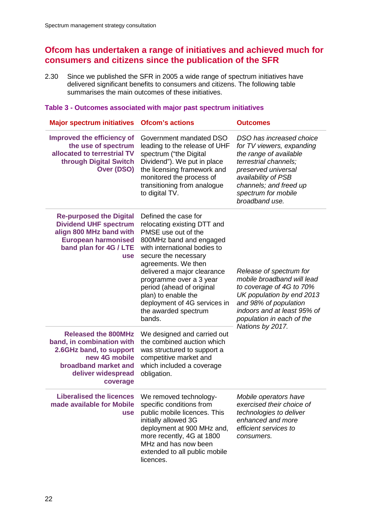## **Ofcom has undertaken a range of initiatives and achieved much for consumers and citizens since the publication of the SFR**

2.30 Since we published the SFR in 2005 a wide range of spectrum initiatives have delivered significant benefits to consumers and citizens. The following table summarises the main outcomes of these initiatives.

#### **Table 3 - Outcomes associated with major past spectrum initiatives**

| <b>Major spectrum initiatives</b>                                                                                                                               | <b>Ofcom's actions</b>                                                                                                                                                                                                                                                                                                                                               | <b>Outcomes</b>                                                                                                                                                                                                           |
|-----------------------------------------------------------------------------------------------------------------------------------------------------------------|----------------------------------------------------------------------------------------------------------------------------------------------------------------------------------------------------------------------------------------------------------------------------------------------------------------------------------------------------------------------|---------------------------------------------------------------------------------------------------------------------------------------------------------------------------------------------------------------------------|
| Improved the efficiency of<br>the use of spectrum<br>allocated to terrestrial TV<br>through Digital Switch<br>Over (DSO)                                        | Government mandated DSO<br>leading to the release of UHF<br>spectrum ("the Digital<br>Dividend"). We put in place<br>the licensing framework and<br>monitored the process of<br>transitioning from analogue<br>to digital TV.                                                                                                                                        | DSO has increased choice<br>for TV viewers, expanding<br>the range of available<br>terrestrial channels;<br>preserved universal<br>availability of PSB<br>channels; and freed up<br>spectrum for mobile<br>broadband use. |
| <b>Re-purposed the Digital</b><br><b>Dividend UHF spectrum</b><br>align 800 MHz band with<br><b>European harmonised</b><br>band plan for 4G / LTE<br><b>use</b> | Defined the case for<br>relocating existing DTT and<br>PMSE use out of the<br>800MHz band and engaged<br>with international bodies to<br>secure the necessary<br>agreements. We then<br>delivered a major clearance<br>programme over a 3 year<br>period (ahead of original<br>plan) to enable the<br>deployment of 4G services in<br>the awarded spectrum<br>bands. | Release of spectrum for<br>mobile broadband will lead<br>to coverage of 4G to 70%<br>UK population by end 2013<br>and 98% of population<br>indoors and at least 95% of<br>population in each of the                       |
| <b>Released the 800MHz</b><br>band, in combination with<br>2.6GHz band, to support<br>new 4G mobile<br>broadband market and<br>deliver widespread<br>coverage   | We designed and carried out<br>the combined auction which<br>was structured to support a<br>competitive market and<br>which included a coverage<br>obligation.                                                                                                                                                                                                       | Nations by 2017.                                                                                                                                                                                                          |
| <b>Liberalised the licences</b><br>made available for Mobile<br><b>use</b>                                                                                      | We removed technology-<br>specific conditions from<br>public mobile licences. This<br>initially allowed 3G<br>deployment at 900 MHz and,<br>more recently, 4G at 1800<br>MHz and has now been<br>extended to all public mobile<br>licences.                                                                                                                          | Mobile operators have<br>exercised their choice of<br>technologies to deliver<br>enhanced and more<br>efficient services to<br>consumers.                                                                                 |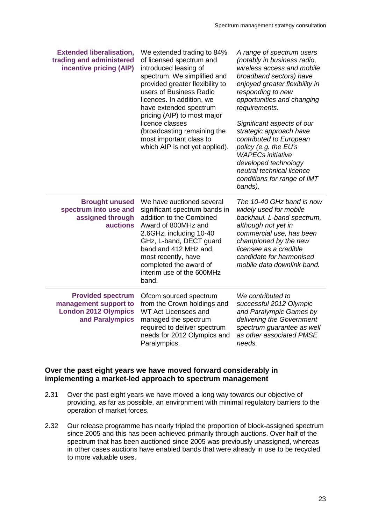| <b>Extended liberalisation,</b><br>trading and administered<br>incentive pricing (AIP)              | We extended trading to 84%<br>of licensed spectrum and<br>introduced leasing of<br>spectrum. We simplified and<br>provided greater flexibility to<br>users of Business Radio<br>licences. In addition, we<br>have extended spectrum<br>pricing (AIP) to most major<br>licence classes<br>(broadcasting remaining the<br>most important class to<br>which AIP is not yet applied). | A range of spectrum users<br>(notably in business radio,<br>wireless access and mobile<br>broadband sectors) have<br>enjoyed greater flexibility in<br>responding to new<br>opportunities and changing<br>requirements.<br>Significant aspects of our<br>strategic approach have<br>contributed to European<br>policy (e.g. the EU's<br><b>WAPECs initiative</b><br>developed technology<br>neutral technical licence<br>conditions for range of IMT<br>bands). |
|-----------------------------------------------------------------------------------------------------|-----------------------------------------------------------------------------------------------------------------------------------------------------------------------------------------------------------------------------------------------------------------------------------------------------------------------------------------------------------------------------------|-----------------------------------------------------------------------------------------------------------------------------------------------------------------------------------------------------------------------------------------------------------------------------------------------------------------------------------------------------------------------------------------------------------------------------------------------------------------|
| <b>Brought unused</b><br>spectrum into use and<br>assigned through<br><b>auctions</b>               | We have auctioned several<br>significant spectrum bands in<br>addition to the Combined<br>Award of 800MHz and<br>2.6GHz, including 10-40<br>GHz, L-band, DECT guard<br>band and 412 MHz and,<br>most recently, have<br>completed the award of<br>interim use of the 600MHz<br>band.                                                                                               | The 10-40 GHz band is now<br>widely used for mobile<br>backhaul. L-band spectrum,<br>although not yet in<br>commercial use, has been<br>championed by the new<br>licensee as a credible<br>candidate for harmonised<br>mobile data downlink band.                                                                                                                                                                                                               |
| <b>Provided spectrum</b><br>management support to<br><b>London 2012 Olympics</b><br>and Paralympics | Ofcom sourced spectrum<br>from the Crown holdings and<br>WT Act Licensees and<br>managed the spectrum<br>required to deliver spectrum<br>needs for 2012 Olympics and<br>Paralympics.                                                                                                                                                                                              | We contributed to<br>successful 2012 Olympic<br>and Paralympic Games by<br>delivering the Government<br>spectrum guarantee as well<br>as other associated PMSE<br>needs.                                                                                                                                                                                                                                                                                        |

#### **Over the past eight years we have moved forward considerably in implementing a market-led approach to spectrum management**

- 2.31 Over the past eight years we have moved a long way towards our objective of providing, as far as possible, an environment with minimal regulatory barriers to the operation of market forces.
- 2.32 Our release programme has nearly tripled the proportion of block-assigned spectrum since 2005 and this has been achieved primarily through auctions. Over half of the spectrum that has been auctioned since 2005 was previously unassigned, whereas in other cases auctions have enabled bands that were already in use to be recycled to more valuable uses.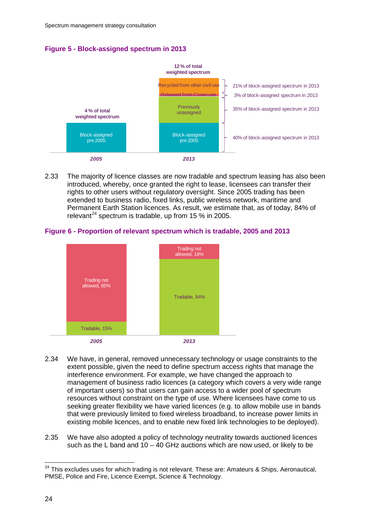



2.33 The majority of licence classes are now tradable and spectrum leasing has also been introduced, whereby, once granted the right to lease, licensees can transfer their rights to other users without regulatory oversight. Since 2005 trading has been extended to business radio, fixed links, public wireless network, maritime and Permanent Earth Station licences. As result, we estimate that, as of today, 84% of relevant<sup>[24](#page-25-0)</sup> spectrum is tradable, up from 15  $%$  in 2005.





- 2.34 We have, in general, removed unnecessary technology or usage constraints to the extent possible, given the need to define spectrum access rights that manage the interference environment. For example, we have changed the approach to management of business radio licences (a category which covers a very wide range of important users) so that users can gain access to a wider pool of spectrum resources without constraint on the type of use. Where licensees have come to us seeking greater flexibility we have varied licences (e.g. to allow mobile use in bands that were previously limited to fixed wireless broadband, to increase power limits in existing mobile licences, and to enable new fixed link technologies to be deployed).
- 2.35 We have also adopted a policy of technology neutrality towards auctioned licences such as the L band and  $10 - 40$  GHz auctions which are now used, or likely to be

<span id="page-25-0"></span> $24$  This excludes uses for which trading is not relevant. These are: Amateurs & Ships, Aeronautical, PMSE, Police and Fire, Licence Exempt, Science & Technology.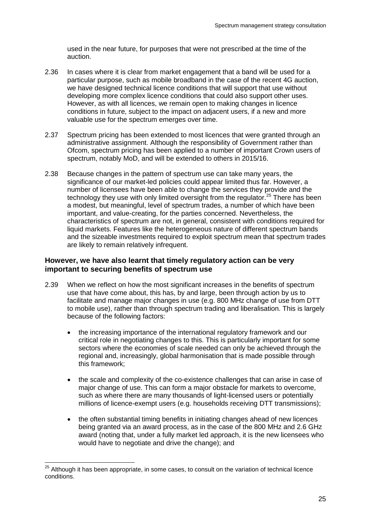used in the near future, for purposes that were not prescribed at the time of the auction.

- 2.36 In cases where it is clear from market engagement that a band will be used for a particular purpose, such as mobile broadband in the case of the recent 4G auction, we have designed technical licence conditions that will support that use without developing more complex licence conditions that could also support other uses. However, as with all licences, we remain open to making changes in licence conditions in future, subject to the impact on adjacent users, if a new and more valuable use for the spectrum emerges over time.
- 2.37 Spectrum pricing has been extended to most licences that were granted through an administrative assignment. Although the responsibility of Government rather than Ofcom, spectrum pricing has been applied to a number of important Crown users of spectrum, notably MoD, and will be extended to others in 2015/16.
- 2.38 Because changes in the pattern of spectrum use can take many years, the significance of our market-led policies could appear limited thus far. However, a number of licensees have been able to change the services they provide and the technology they use with only limited oversight from the regulator.<sup>[25](#page-26-0)</sup> There has been a modest, but meaningful, level of spectrum trades, a number of which have been important, and value-creating, for the parties concerned. Nevertheless, the characteristics of spectrum are not, in general, consistent with conditions required for liquid markets. Features like the heterogeneous nature of different spectrum bands and the sizeable investments required to exploit spectrum mean that spectrum trades are likely to remain relatively infrequent.

#### **However, we have also learnt that timely regulatory action can be very important to securing benefits of spectrum use**

- 2.39 When we reflect on how the most significant increases in the benefits of spectrum use that have come about, this has, by and large, been through action by us to facilitate and manage major changes in use (e.g. 800 MHz change of use from DTT to mobile use), rather than through spectrum trading and liberalisation. This is largely because of the following factors:
	- the increasing importance of the international regulatory framework and our critical role in negotiating changes to this. This is particularly important for some sectors where the economies of scale needed can only be achieved through the regional and, increasingly, global harmonisation that is made possible through this framework;
	- the scale and complexity of the co-existence challenges that can arise in case of major change of use. This can form a major obstacle for markets to overcome, such as where there are many thousands of light-licensed users or potentially millions of licence-exempt users (e.g. households receiving DTT transmissions);
	- the often substantial timing benefits in initiating changes ahead of new licences being granted via an award process, as in the case of the 800 MHz and 2.6 GHz award (noting that, under a fully market led approach, it is the new licensees who would have to negotiate and drive the change); and

<span id="page-26-0"></span> $25$  Although it has been appropriate, in some cases, to consult on the variation of technical licence conditions.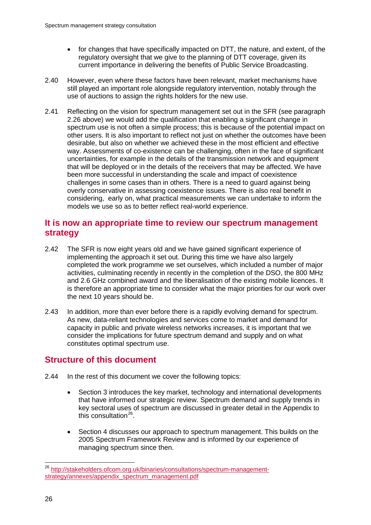- for changes that have specifically impacted on DTT, the nature, and extent, of the regulatory oversight that we give to the planning of DTT coverage, given its current importance in delivering the benefits of Public Service Broadcasting.
- 2.40 However, even where these factors have been relevant, market mechanisms have still played an important role alongside regulatory intervention, notably through the use of auctions to assign the rights holders for the new use.
- 2.41 Reflecting on the vision for spectrum management set out in the SFR (see paragraph [2.26](#page-22-1) above) we would add the qualification that enabling a significant change in spectrum use is not often a simple process; this is because of the potential impact on other users. It is also important to reflect not just on whether the outcomes have been desirable, but also on whether we achieved these in the most efficient and effective way. Assessments of co-existence can be challenging, often in the face of significant uncertainties, for example in the details of the transmission network and equipment that will be deployed or in the details of the receivers that may be affected. We have been more successful in understanding the scale and impact of coexistence challenges in some cases than in others. There is a need to guard against being overly conservative in assessing coexistence issues. There is also real benefit in considering, early on, what practical measurements we can undertake to inform the models we use so as to better reflect real-world experience.

## **It is now an appropriate time to review our spectrum management strategy**

- 2.42 The SFR is now eight years old and we have gained significant experience of implementing the approach it set out. During this time we have also largely completed the work programme we set ourselves, which included a number of major activities, culminating recently in recently in the completion of the DSO, the 800 MHz and 2.6 GHz combined award and the liberalisation of the existing mobile licences. It is therefore an appropriate time to consider what the major priorities for our work over the next 10 years should be.
- 2.43 In addition, more than ever before there is a rapidly evolving demand for spectrum. As new, data-reliant technologies and services come to market and demand for capacity in public and private wireless networks increases, it is important that we consider the implications for future spectrum demand and supply and on what constitutes optimal spectrum use.

## **Structure of this document**

- 2.44 In the rest of this document we cover the following topics:
	- Section 3 introduces the key market, technology and international developments that have informed our strategic review. Spectrum demand and supply trends in key sectoral uses of spectrum are discussed in greater detail in the Appendix to this consultation $^{26}$  $^{26}$  $^{26}$ .
	- Section 4 discusses our approach to spectrum management. This builds on the 2005 Spectrum Framework Review and is informed by our experience of managing spectrum since then.

<span id="page-27-0"></span> <sup>26</sup> [http://stakeholders.ofcom.org.uk/binaries/consultations/spectrum-management](http://stakeholders.ofcom.org.uk/binaries/consultations/spectrum-management-strategy/annexes/appendix_spectrum_management.pdf)[strategy/annexes/appendix\\_spectrum\\_management.pdf](http://stakeholders.ofcom.org.uk/binaries/consultations/spectrum-management-strategy/annexes/appendix_spectrum_management.pdf)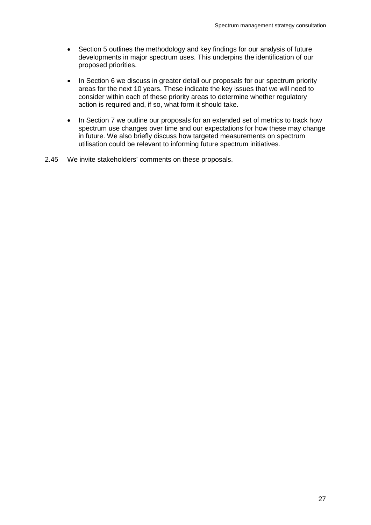- Section 5 outlines the methodology and key findings for our analysis of future developments in major spectrum uses. This underpins the identification of our proposed priorities.
- In Section 6 we discuss in greater detail our proposals for our spectrum priority areas for the next 10 years. These indicate the key issues that we will need to consider within each of these priority areas to determine whether regulatory action is required and, if so, what form it should take.
- In Section 7 we outline our proposals for an extended set of metrics to track how spectrum use changes over time and our expectations for how these may change in future. We also briefly discuss how targeted measurements on spectrum utilisation could be relevant to informing future spectrum initiatives.
- 2.45 We invite stakeholders' comments on these proposals.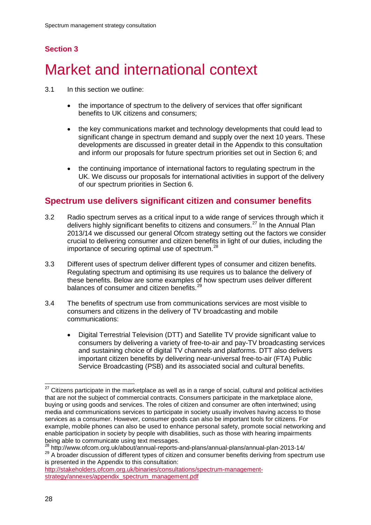## **Section 3**

# <span id="page-29-0"></span>Market and international context

- 3.1 In this section we outline:
	- the importance of spectrum to the delivery of services that offer significant benefits to UK citizens and consumers;
	- the key communications market and technology developments that could lead to significant change in spectrum demand and supply over the next 10 years. These developments are discussed in greater detail in the Appendix to this consultation and inform our proposals for future spectrum priorities set out in Section 6; and
	- the continuing importance of international factors to regulating spectrum in the UK. We discuss our proposals for international activities in support of the delivery of our spectrum priorities in Section 6.

## **Spectrum use delivers significant citizen and consumer benefits**

- 3.2 Radio spectrum serves as a critical input to a wide range of services through which it delivers highly significant benefits to citizens and consumers.<sup>[27](#page-29-1)</sup> In the Annual Plan 2013/14 we discussed our general Ofcom strategy setting out the factors we consider crucial to delivering consumer and citizen benefits in light of our duties, including the importance of securing optimal use of spectrum.<sup>[28](#page-29-2)</sup>
- 3.3 Different uses of spectrum deliver different types of consumer and citizen benefits. Regulating spectrum and optimising its use requires us to balance the delivery of these benefits. Below are some examples of how spectrum uses deliver different balances of consumer and citizen benefits.<sup>2</sup>
- 3.4 The benefits of spectrum use from communications services are most visible to consumers and citizens in the delivery of TV broadcasting and mobile communications:
	- Digital Terrestrial Television (DTT) and Satellite TV provide significant value to consumers by delivering a variety of free-to-air and pay-TV broadcasting services and sustaining choice of digital TV channels and platforms. DTT also delivers important citizen benefits by delivering near-universal free-to-air (FTA) Public Service Broadcasting (PSB) and its associated social and cultural benefits.

<span id="page-29-1"></span> $27$  Citizens participate in the marketplace as well as in a range of social, cultural and political activities that are not the subject of commercial contracts. Consumers participate in the marketplace alone, buying or using goods and services. The roles of citizen and consumer are often intertwined; using media and communications services to participate in society usually involves having access to those services as a consumer. However, consumer goods can also be important tools for citizens. For example, mobile phones can also be used to enhance personal safety, promote social networking and enable participation in society by people with disabilities, such as those with hearing impairments being able to communicate using text messages.

<span id="page-29-3"></span><span id="page-29-2"></span><sup>28</sup> http://www.ofcom.org.uk/about/annual-reports-and-plans/annual-plans/annual-plan-2013-14/ <sup>29</sup> A broader discussion of different types of citizen and consumer benefits deriving from spectrum use is presented in the Appendix to this consultation:

[http://stakeholders.ofcom.org.uk/binaries/consultations/spectrum-management](http://stakeholders.ofcom.org.uk/binaries/consultations/spectrum-management-strategy/annexes/appendix_spectrum_management.pdf)[strategy/annexes/appendix\\_spectrum\\_management.pdf](http://stakeholders.ofcom.org.uk/binaries/consultations/spectrum-management-strategy/annexes/appendix_spectrum_management.pdf)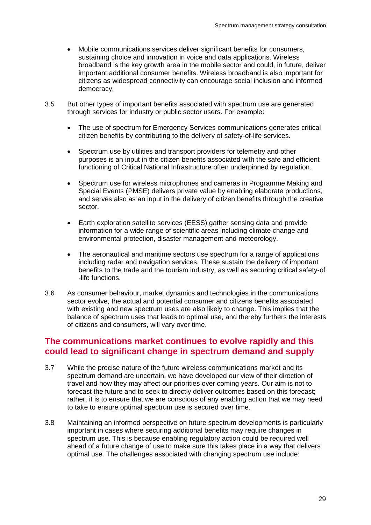- Mobile communications services deliver significant benefits for consumers, sustaining choice and innovation in voice and data applications. Wireless broadband is the key growth area in the mobile sector and could, in future, deliver important additional consumer benefits. Wireless broadband is also important for citizens as widespread connectivity can encourage social inclusion and informed democracy.
- 3.5 But other types of important benefits associated with spectrum use are generated through services for industry or public sector users. For example:
	- The use of spectrum for Emergency Services communications generates critical citizen benefits by contributing to the delivery of safety-of-life services.
	- Spectrum use by utilities and transport providers for telemetry and other purposes is an input in the citizen benefits associated with the safe and efficient functioning of Critical National Infrastructure often underpinned by regulation.
	- Spectrum use for wireless microphones and cameras in Programme Making and Special Events (PMSE) delivers private value by enabling elaborate productions, and serves also as an input in the delivery of citizen benefits through the creative sector.
	- Earth exploration satellite services (EESS) gather sensing data and provide information for a wide range of scientific areas including climate change and environmental protection, disaster management and meteorology.
	- The aeronautical and maritime sectors use spectrum for a range of applications including radar and navigation services. These sustain the delivery of important benefits to the trade and the tourism industry, as well as securing critical safety-of -life functions.
- 3.6 As consumer behaviour, market dynamics and technologies in the communications sector evolve, the actual and potential consumer and citizens benefits associated with existing and new spectrum uses are also likely to change. This implies that the balance of spectrum uses that leads to optimal use, and thereby furthers the interests of citizens and consumers, will vary over time.

## **The communications market continues to evolve rapidly and this could lead to significant change in spectrum demand and supply**

- 3.7 While the precise nature of the future wireless communications market and its spectrum demand are uncertain, we have developed our view of their direction of travel and how they may affect our priorities over coming years. Our aim is not to forecast the future and to seek to directly deliver outcomes based on this forecast; rather, it is to ensure that we are conscious of any enabling action that we may need to take to ensure optimal spectrum use is secured over time.
- 3.8 Maintaining an informed perspective on future spectrum developments is particularly important in cases where securing additional benefits may require changes in spectrum use. This is because enabling regulatory action could be required well ahead of a future change of use to make sure this takes place in a way that delivers optimal use. The challenges associated with changing spectrum use include: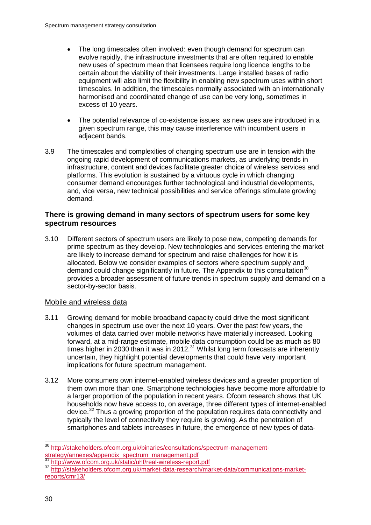- The long timescales often involved: even though demand for spectrum can evolve rapidly, the infrastructure investments that are often required to enable new uses of spectrum mean that licensees require long licence lengths to be certain about the viability of their investments. Large installed bases of radio equipment will also limit the flexibility in enabling new spectrum uses within short timescales. In addition, the timescales normally associated with an internationally harmonised and coordinated change of use can be very long, sometimes in excess of 10 years.
- The potential relevance of co-existence issues: as new uses are introduced in a given spectrum range, this may cause interference with incumbent users in adjacent bands.
- 3.9 The timescales and complexities of changing spectrum use are in tension with the ongoing rapid development of communications markets, as underlying trends in infrastructure, content and devices facilitate greater choice of wireless services and platforms. This evolution is sustained by a virtuous cycle in which changing consumer demand encourages further technological and industrial developments, and, vice versa, new technical possibilities and service offerings stimulate growing demand.

#### **There is growing demand in many sectors of spectrum users for some key spectrum resources**

3.10 Different sectors of spectrum users are likely to pose new, competing demands for prime spectrum as they develop. New technologies and services entering the market are likely to increase demand for spectrum and raise challenges for how it is allocated. Below we consider examples of sectors where spectrum supply and demand could change significantly in future. The Appendix to this consultation<sup>[30](#page-31-0)</sup> provides a broader assessment of future trends in spectrum supply and demand on a sector-by-sector basis.

#### Mobile and wireless data

- 3.11 Growing demand for mobile broadband capacity could drive the most significant changes in spectrum use over the next 10 years. Over the past few years, the volumes of data carried over mobile networks have materially increased. Looking forward, at a mid-range estimate, mobile data consumption could be as much as 80 times higher in 2030 than it was in 2012.<sup>[31](#page-31-1)</sup> Whilst long term forecasts are inherently uncertain, they highlight potential developments that could have very important implications for future spectrum management.
- 3.12 More consumers own internet-enabled wireless devices and a greater proportion of them own more than one. Smartphone technologies have become more affordable to a larger proportion of the population in recent years. Ofcom research shows that UK households now have access to, on average, three different types of internet-enabled device.<sup>[32](#page-31-2)</sup> Thus a growing proportion of the population requires data connectivity and typically the level of connectivity they require is growing. As the penetration of smartphones and tablets increases in future, the emergence of new types of data-

<span id="page-31-0"></span><sup>&</sup>lt;sup>30</sup> http://stakeholders.ofcom.org.uk/binaries/consultations/spectrum-management-<br>strategy/annexes/appendix\_spectrum\_management.pdf

<span id="page-31-2"></span><span id="page-31-1"></span><sup>31</sup> <http://www.ofcom.org.uk/static/uhf/real-wireless-report.pdf><br><sup>32</sup> [http://stakeholders.ofcom.org.uk/market-data-research/market-data/communications-market](http://stakeholders.ofcom.org.uk/market-data-research/market-data/communications-market-reports/cmr13/)[reports/cmr13/](http://stakeholders.ofcom.org.uk/market-data-research/market-data/communications-market-reports/cmr13/)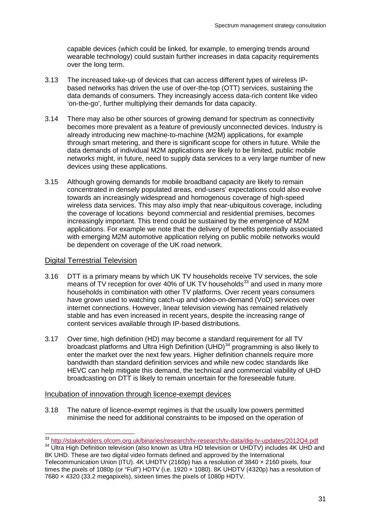capable devices (which could be linked, for example, to emerging trends around wearable technology) could sustain further increases in data capacity requirements over the long term.

- 3.13 The increased take-up of devices that can access different types of wireless IPbased networks has driven the use of over-the-top (OTT) services, sustaining the data demands of consumers. They increasingly access data-rich content like video 'on-the-go', further multiplying their demands for data capacity.
- 3.14 There may also be other sources of growing demand for spectrum as connectivity becomes more prevalent as a feature of previously unconnected devices. Industry is already introducing new machine-to-machine (M2M) applications, for example through smart metering, and there is significant scope for others in future. While the data demands of individual M2M applications are likely to be limited, public mobile networks might, in future, need to supply data services to a very large number of new devices using these applications.
- 3.15 Although growing demands for mobile broadband capacity are likely to remain concentrated in densely populated areas, end-users' expectations could also evolve towards an increasingly widespread and homogenous coverage of high-speed wireless data services. This may also imply that near-ubiquitous coverage, including the coverage of locations beyond commercial and residential premises, becomes increasingly important. This trend could be sustained by the emergence of M2M applications. For example we note that the delivery of benefits potentially associated with emerging M2M automotive application relying on public mobile networks would be dependent on coverage of the UK road network.

#### Digital Terrestrial Television

- 3.16 DTT is a primary means by which UK TV households receive TV services, the sole means of TV reception for over 40% of UK TV households $^{33}$  $^{33}$  $^{33}$  and used in many more households in combination with other TV platforms. Over recent years consumers have grown used to watching catch-up and video-on-demand (VoD) services over internet connections. However, linear television viewing has remained relatively stable and has even increased in recent years, despite the increasing range of content services available through IP-based distributions.
- 3.17 Over time, high definition (HD) may become a standard requirement for all TV broadcast platforms and Ultra High Definition (UHD) $34$  programming is also likely to enter the market over the next few years. Higher definition channels require more bandwidth than standard definition services and while new codec standards like HEVC can help mitigate this demand, the technical and commercial viability of UHD broadcasting on DTT is likely to remain uncertain for the foreseeable future.

#### Incubation of innovation through licence-exempt devices

3.18 The nature of licence-exempt regimes is that the usually low powers permitted minimise the need for additional constraints to be imposed on the operation of

<span id="page-32-0"></span><sup>&</sup>lt;sup>33</sup> <http://stakeholders.ofcom.org.uk/binaries/research/tv-research/tv-data/dig-tv-updates/2012Q4.pdf><br><sup>34</sup> Ultra High Definition television (also known as Ultra HD television or UHDTV) includes 4K UHD and

<span id="page-32-1"></span><sup>8</sup>K UHD. These are two digital video formats defined and approved by the International Telecommunication Union (ITU). 4K UHDTV (2160p) has a resolution of 3840 × 2160 pixels, four times the pixels of 1080p (or "Full") HDTV (i.e. 1920 x 1080). 8K UHDTV (4320p) has a resolution of 7680 × 4320 (33.2 megapixels), sixteen times the pixels of 1080p HDTV.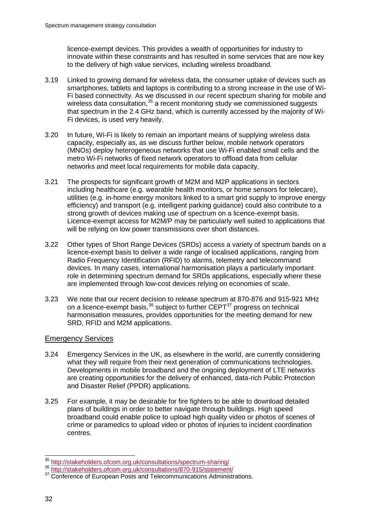licence-exempt devices. This provides a wealth of opportunities for industry to innovate within these constraints and has resulted in some services that are now key to the delivery of high value services, including wireless broadband.

- 3.19 Linked to growing demand for wireless data, the consumer uptake of devices such as smartphones, tablets and laptops is contributing to a strong increase in the use of Wi-Fi based connectivity. As we discussed in our recent spectrum sharing for mobile and wireless data consultation,<sup>[35](#page-33-0)</sup> a recent monitoring study we commissioned suggests that spectrum in the 2.4 GHz band, which is currently accessed by the majority of Wi-Fi devices, is used very heavily.
- 3.20 In future, Wi-Fi is likely to remain an important means of supplying wireless data capacity, especially as, as we discuss further below, mobile network operators (MNOs) deploy heterogeneous networks that use Wi-Fi enabled small cells and the metro Wi-Fi networks of fixed network operators to offload data from cellular networks and meet local requirements for mobile data capacity.
- 3.21 The prospects for significant growth of M2M and M2P applications in sectors including healthcare (e.g. wearable health monitors, or home sensors for telecare), utilities (e.g. in-home energy monitors linked to a smart grid supply to improve energy efficiency) and transport (e.g. intelligent parking guidance) could also contribute to a strong growth of devices making use of spectrum on a licence-exempt basis. Licence-exempt access for M2M/P may be particularly well suited to applications that will be relying on low power transmissions over short distances.
- 3.22 Other types of Short Range Devices (SRDs) access a variety of spectrum bands on a licence-exempt basis to deliver a wide range of localised applications, ranging from Radio Frequency Identification (RFID) to alarms, telemetry and telecommand devices. In many cases, international harmonisation plays a particularly important role in determining spectrum demand for SRDs applications, especially where these are implemented through low-cost devices relying on economies of scale.
- 3.23 We note that our recent decision to release spectrum at 870-876 and 915-921 MHz on a licence-exempt basis,  $36$  subject to further CEPT $^{37}$  $^{37}$  $^{37}$  progress on technical harmonisation measures, provides opportunities for the meeting demand for new SRD, RFID and M2M applications.

#### Emergency Services

- 3.24 Emergency Services in the UK, as elsewhere in the world, are currently considering what they will require from their next generation of communications technologies. Developments in mobile broadband and the ongoing deployment of LTE networks are creating opportunities for the delivery of enhanced, data-rich Public Protection and Disaster Relief (PPDR) applications.
- 3.25 For example, it may be desirable for fire fighters to be able to download detailed plans of buildings in order to better navigate through buildings. High speed broadband could enable police to upload high quality video or photos of scenes of crime or paramedics to upload video or photos of injuries to incident coordination centres.

<span id="page-33-0"></span><sup>35</sup> <http://stakeholders.ofcom.org.uk/consultations/spectrum-sharing/> <sup>36</sup> <http://stakeholders.ofcom.org.uk/consultations/870-915/statement/>

<span id="page-33-2"></span><span id="page-33-1"></span><sup>&</sup>lt;sup>37</sup> Conference of European Posts and Telecommunications Administrations.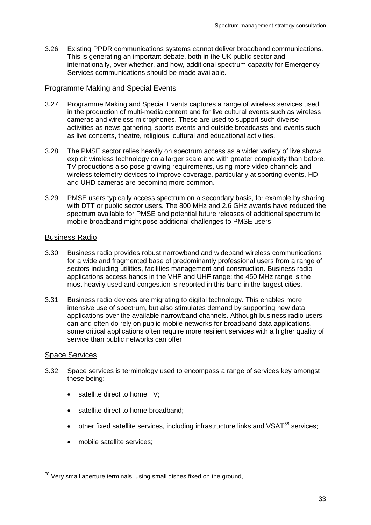3.26 Existing PPDR communications systems cannot deliver broadband communications. This is generating an important debate, both in the UK public sector and internationally, over whether, and how, additional spectrum capacity for Emergency Services communications should be made available.

#### Programme Making and Special Events

- 3.27 Programme Making and Special Events captures a range of wireless services used in the production of multi-media content and for live cultural events such as wireless cameras and wireless microphones. These are used to support such diverse activities as news gathering, sports events and outside broadcasts and events such as live concerts, theatre, religious, cultural and educational activities.
- 3.28 The PMSE sector relies heavily on spectrum access as a wider variety of live shows exploit wireless technology on a larger scale and with greater complexity than before. TV productions also pose growing requirements, using more video channels and wireless telemetry devices to improve coverage, particularly at sporting events, HD and UHD cameras are becoming more common.
- 3.29 PMSE users typically access spectrum on a secondary basis, for example by sharing with DTT or public sector users. The 800 MHz and 2.6 GHz awards have reduced the spectrum available for PMSE and potential future releases of additional spectrum to mobile broadband might pose additional challenges to PMSE users.

#### Business Radio

- 3.30 Business radio provides robust narrowband and wideband wireless communications for a wide and fragmented base of predominantly professional users from a range of sectors including utilities, facilities management and construction. Business radio applications access bands in the VHF and UHF range: the 450 MHz range is the most heavily used and congestion is reported in this band in the largest cities.
- 3.31 Business radio devices are migrating to digital technology. This enables more intensive use of spectrum, but also stimulates demand by supporting new data applications over the available narrowband channels. Although business radio users can and often do rely on public mobile networks for broadband data applications, some critical applications often require more resilient services with a higher quality of service than public networks can offer.

#### Space Services

- 3.32 Space services is terminology used to encompass a range of services key amongst these being:
	- satellite direct to home TV;
	- satellite direct to home broadband;
	- other fixed satellite services, including infrastructure links and  $VSAT^{38}$  $VSAT^{38}$  $VSAT^{38}$  services;
	- mobile satellite services;

<span id="page-34-0"></span><sup>&</sup>lt;sup>38</sup> Very small aperture terminals, using small dishes fixed on the ground,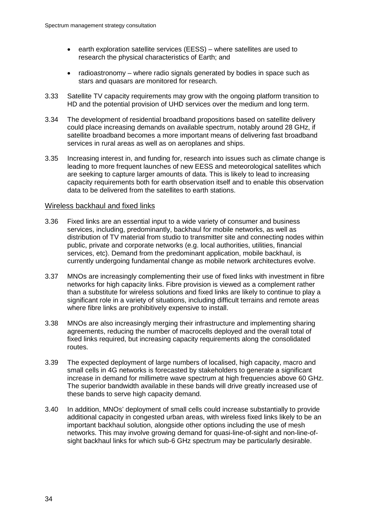- earth exploration satellite services (EESS) where satellites are used to research the physical characteristics of Earth; and
- radioastronomy where radio signals generated by bodies in space such as stars and quasars are monitored for research.
- 3.33 Satellite TV capacity requirements may grow with the ongoing platform transition to HD and the potential provision of UHD services over the medium and long term.
- 3.34 The development of residential broadband propositions based on satellite delivery could place increasing demands on available spectrum, notably around 28 GHz, if satellite broadband becomes a more important means of delivering fast broadband services in rural areas as well as on aeroplanes and ships.
- 3.35 Increasing interest in, and funding for, research into issues such as climate change is leading to more frequent launches of new EESS and meteorological satellites which are seeking to capture larger amounts of data. This is likely to lead to increasing capacity requirements both for earth observation itself and to enable this observation data to be delivered from the satellites to earth stations.

#### Wireless backhaul and fixed links

- 3.36 Fixed links are an essential input to a wide variety of consumer and business services, including, predominantly, backhaul for mobile networks, as well as distribution of TV material from studio to transmitter site and connecting nodes within public, private and corporate networks (e.g. local authorities, utilities, financial services, etc). Demand from the predominant application, mobile backhaul, is currently undergoing fundamental change as mobile network architectures evolve.
- 3.37 MNOs are increasingly complementing their use of fixed links with investment in fibre networks for high capacity links. Fibre provision is viewed as a complement rather than a substitute for wireless solutions and fixed links are likely to continue to play a significant role in a variety of situations, including difficult terrains and remote areas where fibre links are prohibitively expensive to install.
- 3.38 MNOs are also increasingly merging their infrastructure and implementing sharing agreements, reducing the number of macrocells deployed and the overall total of fixed links required, but increasing capacity requirements along the consolidated routes.
- 3.39 The expected deployment of large numbers of localised, high capacity, macro and small cells in 4G networks is forecasted by stakeholders to generate a significant increase in demand for millimetre wave spectrum at high frequencies above 60 GHz. The superior bandwidth available in these bands will drive greatly increased use of these bands to serve high capacity demand.
- 3.40 In addition, MNOs' deployment of small cells could increase substantially to provide additional capacity in congested urban areas, with wireless fixed links likely to be an important backhaul solution, alongside other options including the use of mesh networks. This may involve growing demand for quasi-line-of-sight and non-line-ofsight backhaul links for which sub-6 GHz spectrum may be particularly desirable.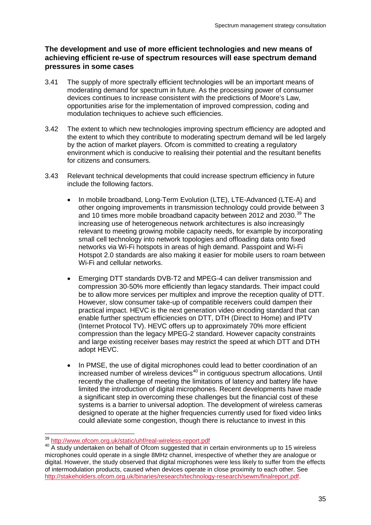## **The development and use of more efficient technologies and new means of achieving efficient re-use of spectrum resources will ease spectrum demand pressures in some cases**

- 3.41 The supply of more spectrally efficient technologies will be an important means of moderating demand for spectrum in future. As the processing power of consumer devices continues to increase consistent with the predictions of Moore's Law, opportunities arise for the implementation of improved compression, coding and modulation techniques to achieve such efficiencies.
- 3.42 The extent to which new technologies improving spectrum efficiency are adopted and the extent to which they contribute to moderating spectrum demand will be led largely by the action of market players. Ofcom is committed to creating a regulatory environment which is conducive to realising their potential and the resultant benefits for citizens and consumers.
- 3.43 Relevant technical developments that could increase spectrum efficiency in future include the following factors.
	- In mobile broadband, Long-Term Evolution (LTE), LTE-Advanced (LTE-A) and other ongoing improvements in transmission technology could provide between 3 and 10 times more mobile broadband capacity between 2012 and 2030. [39](#page-36-0) The increasing use of heterogeneous network architectures is also increasingly relevant to meeting growing mobile capacity needs, for example by incorporating small cell technology into network topologies and offloading data onto fixed networks via Wi-Fi hotspots in areas of high demand. Passpoint and Wi-Fi Hotspot 2.0 standards are also making it easier for mobile users to roam between Wi-Fi and cellular networks.
	- Emerging DTT standards DVB-T2 and MPEG-4 can deliver transmission and compression 30-50% more efficiently than legacy standards. Their impact could be to allow more services per multiplex and improve the reception quality of DTT. However, slow consumer take-up of compatible receivers could dampen their practical impact. HEVC is the next generation video encoding standard that can enable further spectrum efficiencies on DTT, DTH (Direct to Home) and IPTV (Internet Protocol TV). HEVC offers up to approximately 70% more efficient compression than the legacy MPEG-2 standard. However capacity constraints and large existing receiver bases may restrict the speed at which DTT and DTH adopt HEVC.
	- In PMSE, the use of digital microphones could lead to better coordination of an  $increased$  number of wireless devices<sup>[40](#page-36-1)</sup> in contiguous spectrum allocations. Until recently the challenge of meeting the limitations of latency and battery life have limited the introduction of digital microphones. Recent developments have made a significant step in overcoming these challenges but the financial cost of these systems is a barrier to universal adoption. The development of wireless cameras designed to operate at the higher frequencies currently used for fixed video links could alleviate some congestion, though there is reluctance to invest in this

<span id="page-36-1"></span><span id="page-36-0"></span><sup>&</sup>lt;sup>39</sup> <http://www.ofcom.org.uk/static/uhf/real-wireless-report.pdf><br><sup>40</sup> A study undertaken on behalf of Ofcom suggested that in certain environments up to 15 wireless microphones could operate in a single 8MHz channel, irrespective of whether they are analogue or digital. However, the study observed that digital microphones were less likely to suffer from the effects of intermodulation products, caused when devices operate in close proximity to each other. See [http://stakeholders.ofcom.org.uk/binaries/research/technology-research/sewm/finalreport.pdf.](http://stakeholders.ofcom.org.uk/binaries/research/technology-research/sewm/finalreport.pdf)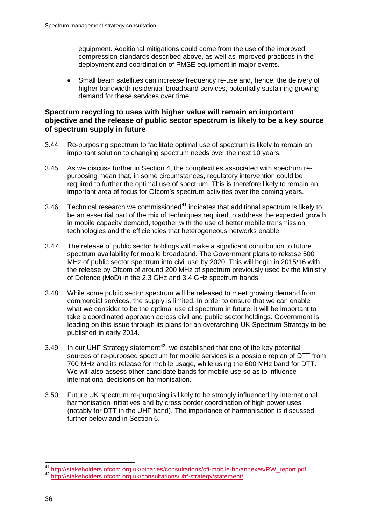equipment. Additional mitigations could come from the use of the improved compression standards described above, as well as improved practices in the deployment and coordination of PMSE equipment in major events.

• Small beam satellites can increase frequency re-use and, hence, the delivery of higher bandwidth residential broadband services, potentially sustaining growing demand for these services over time.

## **Spectrum recycling to uses with higher value will remain an important objective and the release of public sector spectrum is likely to be a key source of spectrum supply in future**

- 3.44 Re-purposing spectrum to facilitate optimal use of spectrum is likely to remain an important solution to changing spectrum needs over the next 10 years.
- 3.45 As we discuss further in Section 4, the complexities associated with spectrum repurposing mean that, in some circumstances, regulatory intervention could be required to further the optimal use of spectrum. This is therefore likely to remain an important area of focus for Ofcom's spectrum activities over the coming years.
- 3.46 Technical research we commissioned<sup>[41](#page-37-0)</sup> indicates that additional spectrum is likely to be an essential part of the mix of techniques required to address the expected growth in mobile capacity demand, together with the use of better mobile transmission technologies and the efficiencies that heterogeneous networks enable.
- 3.47 The release of public sector holdings will make a significant contribution to future spectrum availability for mobile broadband. The Government plans to release 500 MHz of public sector spectrum into civil use by 2020. This will begin in 2015/16 with the release by Ofcom of around 200 MHz of spectrum previously used by the Ministry of Defence (MoD) in the 2.3 GHz and 3.4 GHz spectrum bands.
- 3.48 While some public sector spectrum will be released to meet growing demand from commercial services, the supply is limited. In order to ensure that we can enable what we consider to be the optimal use of spectrum in future, it will be important to take a coordinated approach across civil and public sector holdings. Government is leading on this issue through its plans for an overarching UK Spectrum Strategy to be published in early 2014.
- 3.49 In our UHF Strategy statement<sup>[42](#page-37-1)</sup>, we established that one of the key potential sources of re-purposed spectrum for mobile services is a possible replan of DTT from 700 MHz and its release for mobile usage, while using the 600 MHz band for DTT. We will also assess other candidate bands for mobile use so as to influence international decisions on harmonisation.
- 3.50 Future UK spectrum re-purposing is likely to be strongly influenced by international harmonisation initiatives and by cross border coordination of high power uses (notably for DTT in the UHF band). The importance of harmonisation is discussed further below and in Section 6.

<span id="page-37-0"></span><sup>&</sup>lt;sup>41</sup> [http://stakeholders.ofcom.org.uk/binaries/consultations/cfi-mobile-bb/annexes/RW\\_report.pdf](http://stakeholders.ofcom.org.uk/binaries/consultations/cfi-mobile-bb/annexes/RW_report.pdf)<br><sup>42</sup> <http://stakeholders.ofcom.org.uk/consultations/uhf-strategy/statement/>

<span id="page-37-1"></span>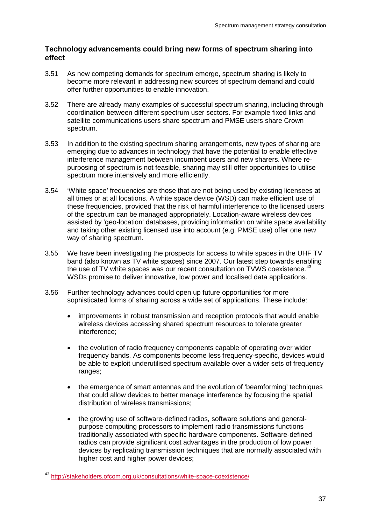## **Technology advancements could bring new forms of spectrum sharing into effect**

- 3.51 As new competing demands for spectrum emerge, spectrum sharing is likely to become more relevant in addressing new sources of spectrum demand and could offer further opportunities to enable innovation.
- 3.52 There are already many examples of successful spectrum sharing, including through coordination between different spectrum user sectors. For example fixed links and satellite communications users share spectrum and PMSE users share Crown spectrum.
- 3.53 In addition to the existing spectrum sharing arrangements, new types of sharing are emerging due to advances in technology that have the potential to enable effective interference management between incumbent users and new sharers. Where repurposing of spectrum is not feasible, sharing may still offer opportunities to utilise spectrum more intensively and more efficiently.
- 3.54 'White space' frequencies are those that are not being used by existing licensees at all times or at all locations. A white space device (WSD) can make efficient use of these frequencies, provided that the risk of harmful interference to the licensed users of the spectrum can be managed appropriately. Location-aware wireless devices assisted by 'geo-location' databases, providing information on white space availability and taking other existing licensed use into account (e.g. PMSE use) offer one new way of sharing spectrum.
- 3.55 We have been investigating the prospects for access to white spaces in the UHF TV band (also known as TV white spaces) since 2007. Our latest step towards enabling the use of TV white spaces was our recent consultation on TVWS coexistence.<sup>[43](#page-38-0)</sup> WSDs promise to deliver innovative, low power and localised data applications.
- 3.56 Further technology advances could open up future opportunities for more sophisticated forms of sharing across a wide set of applications. These include:
	- improvements in robust transmission and reception protocols that would enable wireless devices accessing shared spectrum resources to tolerate greater interference;
	- the evolution of radio frequency components capable of operating over wider frequency bands. As components become less frequency-specific, devices would be able to exploit underutilised spectrum available over a wider sets of frequency ranges;
	- the emergence of smart antennas and the evolution of 'beamforming' techniques that could allow devices to better manage interference by focusing the spatial distribution of wireless transmissions;
	- the growing use of software-defined radios, software solutions and generalpurpose computing processors to implement radio transmissions functions traditionally associated with specific hardware components. Software-defined radios can provide significant cost advantages in the production of low power devices by replicating transmission techniques that are normally associated with higher cost and higher power devices;

<span id="page-38-0"></span> <sup>43</sup> <http://stakeholders.ofcom.org.uk/consultations/white-space-coexistence/>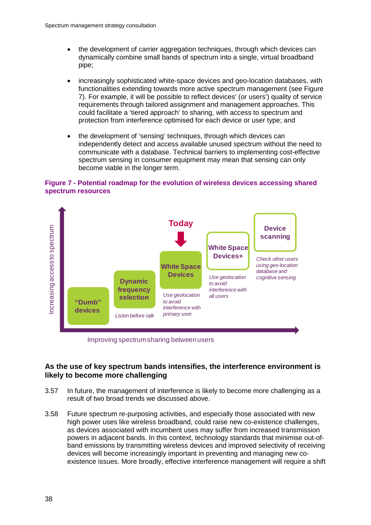- the development of carrier aggregation techniques, through which devices can dynamically combine small bands of spectrum into a single, virtual broadband pipe;
- increasingly sophisticated white-space devices and geo-location databases, with functionalities extending towards more active spectrum management (see [Figure](#page-39-0)  [7\)](#page-39-0). For example, it will be possible to reflect devices' (or users') quality of service requirements through tailored assignment and management approaches. This could facilitate a 'tiered approach' to sharing, with access to spectrum and protection from interference optimised for each device or user type; and
- the development of 'sensing' techniques, through which devices can independently detect and access available unused spectrum without the need to communicate with a database. Technical barriers to implementing cost-effective spectrum sensing in consumer equipment may mean that sensing can only become viable in the longer term.

### <span id="page-39-0"></span>**Figure 7 - Potential roadmap for the evolution of wireless devices accessing shared spectrum resources**



Improving spectrum sharing between users

## **As the use of key spectrum bands intensifies, the interference environment is likely to become more challenging**

- 3.57 In future, the management of interference is likely to become more challenging as a result of two broad trends we discussed above.
- 3.58 Future spectrum re-purposing activities, and especially those associated with new high power uses like wireless broadband, could raise new co-existence challenges, as devices associated with incumbent uses may suffer from increased transmission powers in adjacent bands. In this context, technology standards that minimise out-ofband emissions by transmitting wireless devices and improved selectivity of receiving devices will become increasingly important in preventing and managing new coexistence issues. More broadly, effective interference management will require a shift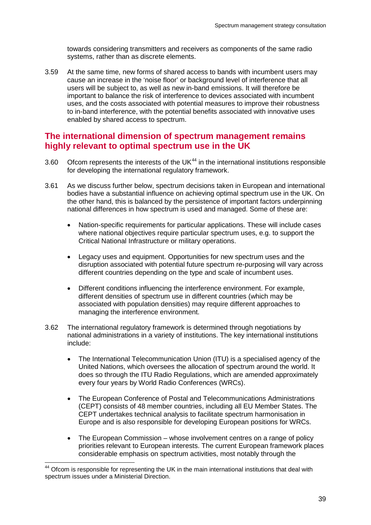towards considering transmitters and receivers as components of the same radio systems, rather than as discrete elements.

3.59 At the same time, new forms of shared access to bands with incumbent users may cause an increase in the 'noise floor' or background level of interference that all users will be subject to, as well as new in-band emissions. It will therefore be important to balance the risk of interference to devices associated with incumbent uses, and the costs associated with potential measures to improve their robustness to in-band interference, with the potential benefits associated with innovative uses enabled by shared access to spectrum.

# **The international dimension of spectrum management remains highly relevant to optimal spectrum use in the UK**

- 3.60 Ofcom represents the interests of the UK $44$  in the international institutions responsible for developing the international regulatory framework.
- 3.61 As we discuss further below, spectrum decisions taken in European and international bodies have a substantial influence on achieving optimal spectrum use in the UK. On the other hand, this is balanced by the persistence of important factors underpinning national differences in how spectrum is used and managed. Some of these are:
	- Nation-specific requirements for particular applications. These will include cases where national objectives require particular spectrum uses, e.g. to support the Critical National Infrastructure or military operations.
	- Legacy uses and equipment. Opportunities for new spectrum uses and the disruption associated with potential future spectrum re-purposing will vary across different countries depending on the type and scale of incumbent uses.
	- Different conditions influencing the interference environment. For example, different densities of spectrum use in different countries (which may be associated with population densities) may require different approaches to managing the interference environment.
- 3.62 The international regulatory framework is determined through negotiations by national administrations in a variety of institutions. The key international institutions include:
	- The International Telecommunication Union (ITU) is a specialised agency of the United Nations, which oversees the allocation of spectrum around the world. It does so through the ITU Radio Regulations, which are amended approximately every four years by World Radio Conferences (WRCs).
	- The European Conference of Postal and Telecommunications Administrations (CEPT) consists of 48 member countries, including all EU Member States. The CEPT undertakes technical analysis to facilitate spectrum harmonisation in Europe and is also responsible for developing European positions for WRCs.
	- The European Commission whose involvement centres on a range of policy priorities relevant to European interests. The current European framework places considerable emphasis on spectrum activities, most notably through the

<span id="page-40-0"></span><sup>&</sup>lt;sup>44</sup> Ofcom is responsible for representing the UK in the main international institutions that deal with spectrum issues under a Ministerial Direction.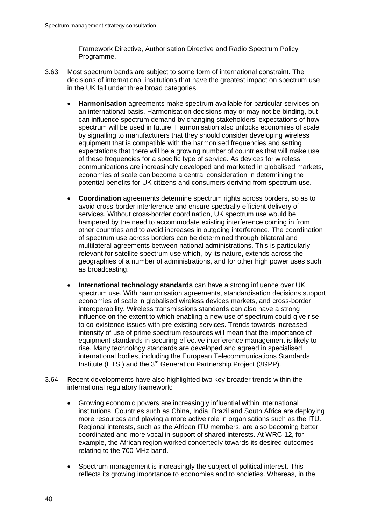Framework Directive, Authorisation Directive and Radio Spectrum Policy Programme.

- 3.63 Most spectrum bands are subject to some form of international constraint. The decisions of international institutions that have the greatest impact on spectrum use in the UK fall under three broad categories.
	- **Harmonisation** agreements make spectrum available for particular services on an international basis. Harmonisation decisions may or may not be binding, but can influence spectrum demand by changing stakeholders' expectations of how spectrum will be used in future. Harmonisation also unlocks economies of scale by signalling to manufacturers that they should consider developing wireless equipment that is compatible with the harmonised frequencies and setting expectations that there will be a growing number of countries that will make use of these frequencies for a specific type of service. As devices for wireless communications are increasingly developed and marketed in globalised markets, economies of scale can become a central consideration in determining the potential benefits for UK citizens and consumers deriving from spectrum use.
	- **Coordination** agreements determine spectrum rights across borders, so as to avoid cross-border interference and ensure spectrally efficient delivery of services. Without cross-border coordination, UK spectrum use would be hampered by the need to accommodate existing interference coming in from other countries and to avoid increases in outgoing interference. The coordination of spectrum use across borders can be determined through bilateral and multilateral agreements between national administrations. This is particularly relevant for satellite spectrum use which, by its nature, extends across the geographies of a number of administrations, and for other high power uses such as broadcasting.
	- **International technology standards** can have a strong influence over UK spectrum use. With harmonisation agreements, standardisation decisions support economies of scale in globalised wireless devices markets, and cross-border interoperability. Wireless transmissions standards can also have a strong influence on the extent to which enabling a new use of spectrum could give rise to co-existence issues with pre-existing services. Trends towards increased intensity of use of prime spectrum resources will mean that the importance of equipment standards in securing effective interference management is likely to rise. Many technology standards are developed and agreed in specialised international bodies, including the European Telecommunications Standards Institute (ETSI) and the 3rd Generation Partnership Project (3GPP).
- 3.64 Recent developments have also highlighted two key broader trends within the international regulatory framework:
	- Growing economic powers are increasingly influential within international institutions. Countries such as China, India, Brazil and South Africa are deploying more resources and playing a more active role in organisations such as the ITU. Regional interests, such as the African ITU members, are also becoming better coordinated and more vocal in support of shared interests. At WRC-12, for example, the African region worked concertedly towards its desired outcomes relating to the 700 MHz band.
	- Spectrum management is increasingly the subject of political interest. This reflects its growing importance to economies and to societies. Whereas, in the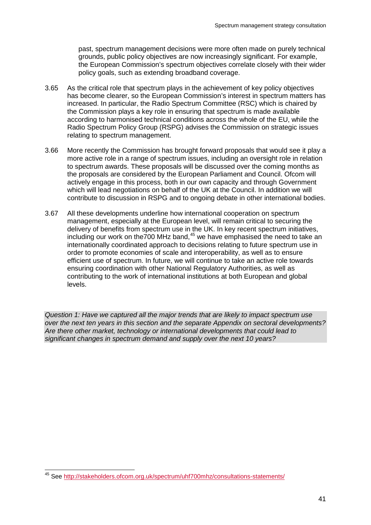past, spectrum management decisions were more often made on purely technical grounds, public policy objectives are now increasingly significant. For example, the European Commission's spectrum objectives correlate closely with their wider policy goals, such as extending broadband coverage.

- 3.65 As the critical role that spectrum plays in the achievement of key policy objectives has become clearer, so the European Commission's interest in spectrum matters has increased. In particular, the Radio Spectrum Committee (RSC) which is chaired by the Commission plays a key role in ensuring that spectrum is made available according to harmonised technical conditions across the whole of the EU, while the Radio Spectrum Policy Group (RSPG) advises the Commission on strategic issues relating to spectrum management.
- 3.66 More recently the Commission has brought forward proposals that would see it play a more active role in a range of spectrum issues, including an oversight role in relation to spectrum awards. These proposals will be discussed over the coming months as the proposals are considered by the European Parliament and Council. Ofcom will actively engage in this process, both in our own capacity and through Government which will lead negotiations on behalf of the UK at the Council. In addition we will contribute to discussion in RSPG and to ongoing debate in other international bodies.
- 3.67 All these developments underline how international cooperation on spectrum management, especially at the European level, will remain critical to securing the delivery of benefits from spectrum use in the UK. In key recent spectrum initiatives, including our work on the700 MHz band, [45](#page-42-0) we have emphasised the need to take an internationally coordinated approach to decisions relating to future spectrum use in order to promote economies of scale and interoperability, as well as to ensure efficient use of spectrum. In future, we will continue to take an active role towards ensuring coordination with other National Regulatory Authorities, as well as contributing to the work of international institutions at both European and global levels.

*Question 1: Have we captured all the major trends that are likely to impact spectrum use over the next ten years in this section and the separate Appendix on sectoral developments? Are there other market, technology or international developments that could lead to significant changes in spectrum demand and supply over the next 10 years?*

<span id="page-42-0"></span> <sup>45</sup> See<http://stakeholders.ofcom.org.uk/spectrum/uhf700mhz/consultations-statements/>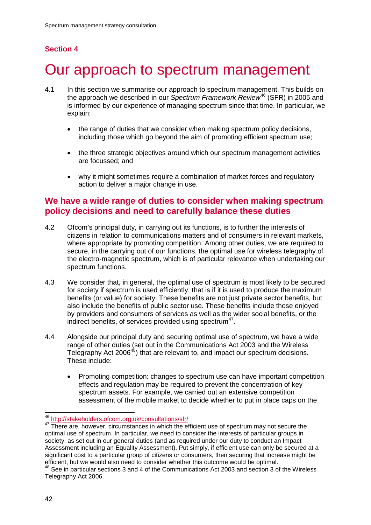# **Section 4**

# 4 Our approach to spectrum management

- 4.1 In this section we summarise our approach to spectrum management. This builds on the approach we described in our *Spectrum Framework Review*[46](#page-43-0) (SFR) in 2005 and is informed by our experience of managing spectrum since that time. In particular, we explain:
	- the range of duties that we consider when making spectrum policy decisions, including those which go beyond the aim of promoting efficient spectrum use;
	- the three strategic objectives around which our spectrum management activities are focussed; and
	- why it might sometimes require a combination of market forces and regulatory action to deliver a major change in use.

# **We have a wide range of duties to consider when making spectrum policy decisions and need to carefully balance these duties**

- 4.2 Ofcom's principal duty, in carrying out its functions, is to further the interests of citizens in relation to communications matters and of consumers in relevant markets, where appropriate by promoting competition. Among other duties, we are required to secure, in the carrying out of our functions, the optimal use for wireless telegraphy of the electro-magnetic spectrum, which is of particular relevance when undertaking our spectrum functions.
- 4.3 We consider that, in general, the optimal use of spectrum is most likely to be secured for society if spectrum is used efficiently, that is if it is used to produce the maximum benefits (or value) for society. These benefits are not just private sector benefits, but also include the benefits of public sector use. These benefits include those enjoyed by providers and consumers of services as well as the wider social benefits, or the indirect benefits, of services provided using spectrum<sup>47</sup>.
- 4.4 Alongside our principal duty and securing optimal use of spectrum, we have a wide range of other duties (set out in the Communications Act 2003 and the Wireless Telegraphy Act 2006<sup>48</sup>) that are relevant to, and impact our spectrum decisions. These include:
	- Promoting competition: changes to spectrum use can have important competition effects and regulation may be required to prevent the concentration of key spectrum assets. For example, we carried out an extensive competition assessment of the mobile market to decide whether to put in place caps on the

<span id="page-43-1"></span><span id="page-43-0"></span><sup>&</sup>lt;sup>46</sup> <http://stakeholders.ofcom.org.uk/consultations/sfr/><br><sup>47</sup> There are, however, circumstances in which the efficient use of spectrum may not secure the optimal use of spectrum. In particular, we need to consider the interests of particular groups in society, as set out in our general duties (and as required under our duty to conduct an Impact Assessment including an Equality Assessment). Put simply, if efficient use can only be secured at a significant cost to a particular group of citizens or consumers, then securing that increase might be efficient, but we would also need to consider whether this outcome would be optimal.

<span id="page-43-2"></span><sup>48</sup> See in particular sections 3 and 4 of the Communications Act 2003 and section 3 of the Wireless Telegraphy Act 2006.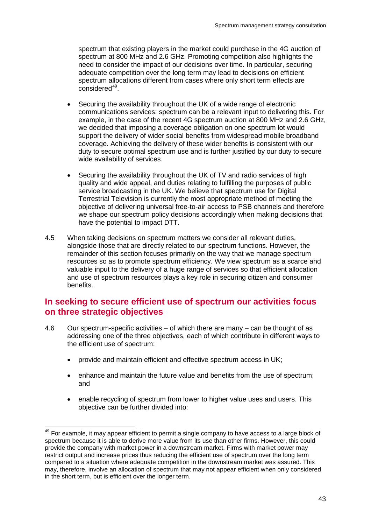spectrum that existing players in the market could purchase in the 4G auction of spectrum at 800 MHz and 2.6 GHz. Promoting competition also highlights the need to consider the impact of our decisions over time. In particular, securing adequate competition over the long term may lead to decisions on efficient spectrum allocations different from cases where only short term effects are  $considered<sup>49</sup>$  $considered<sup>49</sup>$  $considered<sup>49</sup>$ .

- Securing the availability throughout the UK of a wide range of electronic communications services: spectrum can be a relevant input to delivering this. For example, in the case of the recent 4G spectrum auction at 800 MHz and 2.6 GHz, we decided that imposing a coverage obligation on one spectrum lot would support the delivery of wider social benefits from widespread mobile broadband coverage. Achieving the delivery of these wider benefits is consistent with our duty to secure optimal spectrum use and is further justified by our duty to secure wide availability of services.
- Securing the availability throughout the UK of TV and radio services of high quality and wide appeal, and duties relating to fulfilling the purposes of public service broadcasting in the UK. We believe that spectrum use for Digital Terrestrial Television is currently the most appropriate method of meeting the objective of delivering universal free-to-air access to PSB channels and therefore we shape our spectrum policy decisions accordingly when making decisions that have the potential to impact DTT.
- 4.5 When taking decisions on spectrum matters we consider all relevant duties, alongside those that are directly related to our spectrum functions. However, the remainder of this section focuses primarily on the way that we manage spectrum resources so as to promote spectrum efficiency. We view spectrum as a scarce and valuable input to the delivery of a huge range of services so that efficient allocation and use of spectrum resources plays a key role in securing citizen and consumer benefits.

# **In seeking to secure efficient use of spectrum our activities focus on three strategic objectives**

- 4.6 Our spectrum-specific activities of which there are many can be thought of as addressing one of the three objectives, each of which contribute in different ways to the efficient use of spectrum:
	- provide and maintain efficient and effective spectrum access in UK;
	- enhance and maintain the future value and benefits from the use of spectrum; and
	- enable recycling of spectrum from lower to higher value uses and users. This objective can be further divided into:

<span id="page-44-0"></span> $49$  For example, it may appear efficient to permit a single company to have access to a large block of spectrum because it is able to derive more value from its use than other firms. However, this could provide the company with market power in a downstream market. Firms with market power may restrict output and increase prices thus reducing the efficient use of spectrum over the long term compared to a situation where adequate competition in the downstream market was assured. This may, therefore, involve an allocation of spectrum that may not appear efficient when only considered in the short term, but is efficient over the longer term.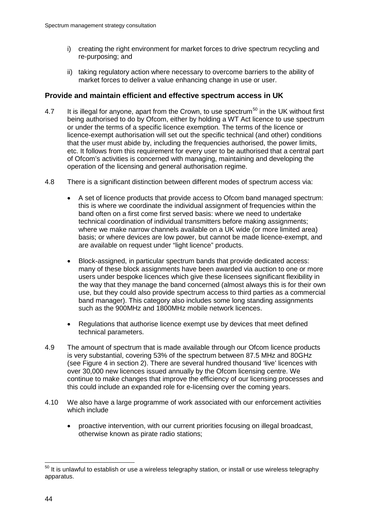- i) creating the right environment for market forces to drive spectrum recycling and re-purposing; and
- ii) taking regulatory action where necessary to overcome barriers to the ability of market forces to deliver a value enhancing change in use or user.

## **Provide and maintain efficient and effective spectrum access in UK**

- 4.7 It is illegal for anyone, apart from the Crown, to use spectrum<sup>[50](#page-45-0)</sup> in the UK without first being authorised to do by Ofcom, either by holding a WT Act licence to use spectrum or under the terms of a specific licence exemption. The terms of the licence or licence-exempt authorisation will set out the specific technical (and other) conditions that the user must abide by, including the frequencies authorised, the power limits, etc. It follows from this requirement for every user to be authorised that a central part of Ofcom's activities is concerned with managing, maintaining and developing the operation of the licensing and general authorisation regime.
- 4.8 There is a significant distinction between different modes of spectrum access via:
	- A set of licence products that provide access to Ofcom band managed spectrum: this is where we coordinate the individual assignment of frequencies within the band often on a first come first served basis: where we need to undertake technical coordination of individual transmitters before making assignments; where we make narrow channels available on a UK wide (or more limited area) basis; or where devices are low power, but cannot be made licence-exempt, and are available on request under "light licence" products.
	- Block-assigned, in particular spectrum bands that provide dedicated access: many of these block assignments have been awarded via auction to one or more users under bespoke licences which give these licensees significant flexibility in the way that they manage the band concerned (almost always this is for their own use, but they could also provide spectrum access to third parties as a commercial band manager). This category also includes some long standing assignments such as the 900MHz and 1800MHz mobile network licences.
	- Regulations that authorise licence exempt use by devices that meet defined technical parameters.
- 4.9 The amount of spectrum that is made available through our Ofcom licence products is very substantial, covering 53% of the spectrum between 87.5 MHz and 80GHz (see [Figure 4](#page-20-0) in section 2). There are several hundred thousand 'live' licences with over 30,000 new licences issued annually by the Ofcom licensing centre. We continue to make changes that improve the efficiency of our licensing processes and this could include an expanded role for e-licensing over the coming years.
- 4.10 We also have a large programme of work associated with our enforcement activities which include
	- proactive intervention, with our current priorities focusing on illegal broadcast, otherwise known as pirate radio stations;

<span id="page-45-0"></span> $50$  It is unlawful to establish or use a wireless telegraphy station, or install or use wireless telegraphy apparatus.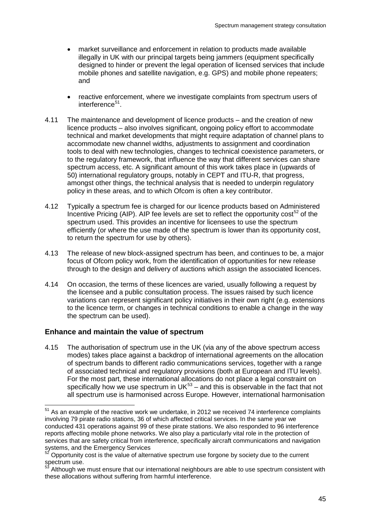- market surveillance and enforcement in relation to products made available illegally in UK with our principal targets being jammers (equipment specifically designed to hinder or prevent the legal operation of licensed services that include mobile phones and satellite navigation, e.g. GPS) and mobile phone repeaters; and
- reactive enforcement, where we investigate complaints from spectrum users of interference<sup>[51](#page-46-0)</sup>.
- 4.11 The maintenance and development of licence products and the creation of new licence products – also involves significant, ongoing policy effort to accommodate technical and market developments that might require adaptation of channel plans to accommodate new channel widths, adjustments to assignment and coordination tools to deal with new technologies, changes to technical coexistence parameters, or to the regulatory framework, that influence the way that different services can share spectrum access, etc. A significant amount of this work takes place in (upwards of 50) international regulatory groups, notably in CEPT and ITU-R, that progress, amongst other things, the technical analysis that is needed to underpin regulatory policy in these areas, and to which Ofcom is often a key contributor.
- 4.12 Typically a spectrum fee is charged for our licence products based on Administered Incentive Pricing (AIP). AIP fee levels are set to reflect the opportunity  $cost^{52}$  $cost^{52}$  $cost^{52}$  of the spectrum used. This provides an incentive for licensees to use the spectrum efficiently (or where the use made of the spectrum is lower than its opportunity cost, to return the spectrum for use by others).
- 4.13 The release of new block-assigned spectrum has been, and continues to be, a major focus of Ofcom policy work, from the identification of opportunities for new release through to the design and delivery of auctions which assign the associated licences.
- 4.14 On occasion, the terms of these licences are varied, usually following a request by the licensee and a public consultation process. The issues raised by such licence variations can represent significant policy initiatives in their own right (e.g. extensions to the licence term, or changes in technical conditions to enable a change in the way the spectrum can be used).

## **Enhance and maintain the value of spectrum**

4.15 The authorisation of spectrum use in the UK (via any of the above spectrum access modes) takes place against a backdrop of international agreements on the allocation of spectrum bands to different radio communications services, together with a range of associated technical and regulatory provisions (both at European and ITU levels). For the most part, these international allocations do not place a legal constraint on specifically how we use spectrum in UK<sup>[53](#page-46-2)</sup> – and this is observable in the fact that not all spectrum use is harmonised across Europe. However, international harmonisation

<span id="page-46-0"></span> $51$  As an example of the reactive work we undertake, in 2012 we received 74 interference complaints involving 79 pirate radio stations, 36 of which affected critical services. In the same year we conducted 431 operations against 99 of these pirate stations. We also responded to 96 interference reports affecting mobile phone networks. We also play a particularly vital role in the protection of services that are safety critical from interference, specifically aircraft communications and navigation systems, and the Emergency Services

<span id="page-46-1"></span><sup>52</sup> Opportunity cost is the value of alternative spectrum use forgone by society due to the current  $s$ pectrum use.

<span id="page-46-2"></span>Although we must ensure that our international neighbours are able to use spectrum consistent with these allocations without suffering from harmful interference.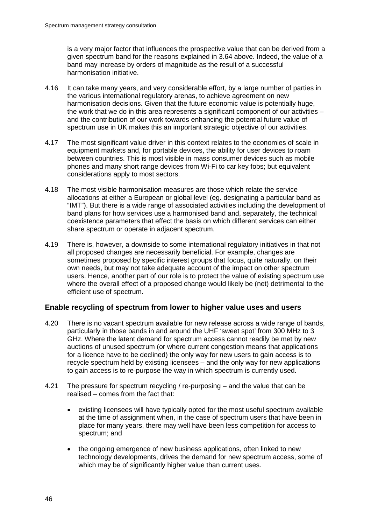is a very major factor that influences the prospective value that can be derived from a given spectrum band for the reasons explained in 3.64 above. Indeed, the value of a band may increase by orders of magnitude as the result of a successful harmonisation initiative.

- 4.16 It can take many years, and very considerable effort, by a large number of parties in the various international regulatory arenas, to achieve agreement on new harmonisation decisions. Given that the future economic value is potentially huge, the work that we do in this area represents a significant component of our activities – and the contribution of our work towards enhancing the potential future value of spectrum use in UK makes this an important strategic objective of our activities.
- 4.17 The most significant value driver in this context relates to the economies of scale in equipment markets and, for portable devices, the ability for user devices to roam between countries. This is most visible in mass consumer devices such as mobile phones and many short range devices from Wi-Fi to car key fobs; but equivalent considerations apply to most sectors.
- 4.18 The most visible harmonisation measures are those which relate the service allocations at either a European or global level (eg. designating a particular band as "IMT"). But there is a wide range of associated activities including the development of band plans for how services use a harmonised band and, separately, the technical coexistence parameters that effect the basis on which different services can either share spectrum or operate in adjacent spectrum.
- 4.19 There is, however, a downside to some international regulatory initiatives in that not all proposed changes are necessarily beneficial. For example, changes are sometimes proposed by specific interest groups that focus, quite naturally, on their own needs, but may not take adequate account of the impact on other spectrum users. Hence, another part of our role is to protect the value of existing spectrum use where the overall effect of a proposed change would likely be (net) detrimental to the efficient use of spectrum.

## **Enable recycling of spectrum from lower to higher value uses and users**

- 4.20 There is no vacant spectrum available for new release across a wide range of bands, particularly in those bands in and around the UHF 'sweet spot' from 300 MHz to 3 GHz. Where the latent demand for spectrum access cannot readily be met by new auctions of unused spectrum (or where current congestion means that applications for a licence have to be declined) the only way for new users to gain access is to recycle spectrum held by existing licensees – and the only way for new applications to gain access is to re-purpose the way in which spectrum is currently used.
- 4.21 The pressure for spectrum recycling / re-purposing and the value that can be realised – comes from the fact that:
	- existing licensees will have typically opted for the most useful spectrum available at the time of assignment when, in the case of spectrum users that have been in place for many years, there may well have been less competition for access to spectrum; and
	- the ongoing emergence of new business applications, often linked to new technology developments, drives the demand for new spectrum access, some of which may be of significantly higher value than current uses.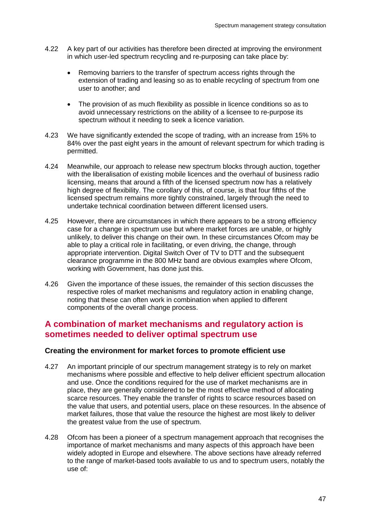- 4.22 A key part of our activities has therefore been directed at improving the environment in which user-led spectrum recycling and re-purposing can take place by:
	- Removing barriers to the transfer of spectrum access rights through the extension of trading and leasing so as to enable recycling of spectrum from one user to another; and
	- The provision of as much flexibility as possible in licence conditions so as to avoid unnecessary restrictions on the ability of a licensee to re-purpose its spectrum without it needing to seek a licence variation.
- 4.23 We have significantly extended the scope of trading, with an increase from 15% to 84% over the past eight years in the amount of relevant spectrum for which trading is permitted.
- 4.24 Meanwhile, our approach to release new spectrum blocks through auction, together with the liberalisation of existing mobile licences and the overhaul of business radio licensing, means that around a fifth of the licensed spectrum now has a relatively high degree of flexibility. The corollary of this, of course, is that four fifths of the licensed spectrum remains more tightly constrained, largely through the need to undertake technical coordination between different licensed users.
- 4.25 However, there are circumstances in which there appears to be a strong efficiency case for a change in spectrum use but where market forces are unable, or highly unlikely, to deliver this change on their own. In these circumstances Ofcom may be able to play a critical role in facilitating, or even driving, the change, through appropriate intervention. Digital Switch Over of TV to DTT and the subsequent clearance programme in the 800 MHz band are obvious examples where Ofcom, working with Government, has done just this.
- 4.26 Given the importance of these issues, the remainder of this section discusses the respective roles of market mechanisms and regulatory action in enabling change, noting that these can often work in combination when applied to different components of the overall change process.

## **A combination of market mechanisms and regulatory action is sometimes needed to deliver optimal spectrum use**

## **Creating the environment for market forces to promote efficient use**

- 4.27 An important principle of our spectrum management strategy is to rely on market mechanisms where possible and effective to help deliver efficient spectrum allocation and use. Once the conditions required for the use of market mechanisms are in place, they are generally considered to be the most effective method of allocating scarce resources. They enable the transfer of rights to scarce resources based on the value that users, and potential users, place on these resources. In the absence of market failures, those that value the resource the highest are most likely to deliver the greatest value from the use of spectrum.
- 4.28 Ofcom has been a pioneer of a spectrum management approach that recognises the importance of market mechanisms and many aspects of this approach have been widely adopted in Europe and elsewhere. The above sections have already referred to the range of market-based tools available to us and to spectrum users, notably the use of: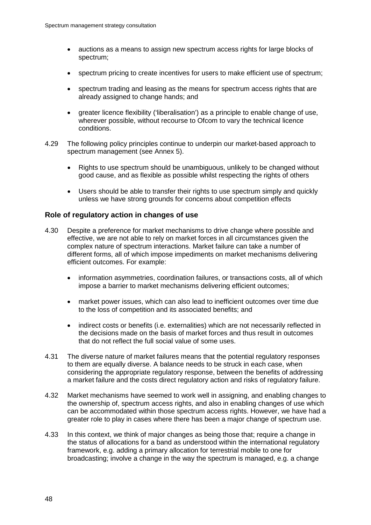- auctions as a means to assign new spectrum access rights for large blocks of spectrum;
- spectrum pricing to create incentives for users to make efficient use of spectrum;
- spectrum trading and leasing as the means for spectrum access rights that are already assigned to change hands; and
- greater licence flexibility ('liberalisation') as a principle to enable change of use, wherever possible, without recourse to Ofcom to vary the technical licence conditions.
- 4.29 The following policy principles continue to underpin our market-based approach to spectrum management (see Annex 5).
	- Rights to use spectrum should be unambiguous, unlikely to be changed without good cause, and as flexible as possible whilst respecting the rights of others
	- Users should be able to transfer their rights to use spectrum simply and quickly unless we have strong grounds for concerns about competition effects

## **Role of regulatory action in changes of use**

- 4.30 Despite a preference for market mechanisms to drive change where possible and effective, we are not able to rely on market forces in all circumstances given the complex nature of spectrum interactions. Market failure can take a number of different forms, all of which impose impediments on market mechanisms delivering efficient outcomes. For example:
	- information asymmetries, coordination failures, or transactions costs, all of which impose a barrier to market mechanisms delivering efficient outcomes;
	- market power issues, which can also lead to inefficient outcomes over time due to the loss of competition and its associated benefits; and
	- indirect costs or benefits (i.e. externalities) which are not necessarily reflected in the decisions made on the basis of market forces and thus result in outcomes that do not reflect the full social value of some uses.
- 4.31 The diverse nature of market failures means that the potential regulatory responses to them are equally diverse. A balance needs to be struck in each case, when considering the appropriate regulatory response, between the benefits of addressing a market failure and the costs direct regulatory action and risks of regulatory failure.
- 4.32 Market mechanisms have seemed to work well in assigning, and enabling changes to the ownership of, spectrum access rights, and also in enabling changes of use which can be accommodated within those spectrum access rights. However, we have had a greater role to play in cases where there has been a major change of spectrum use.
- 4.33 In this context, we think of major changes as being those that; require a change in the status of allocations for a band as understood within the international regulatory framework, e.g. adding a primary allocation for terrestrial mobile to one for broadcasting; involve a change in the way the spectrum is managed, e.g. a change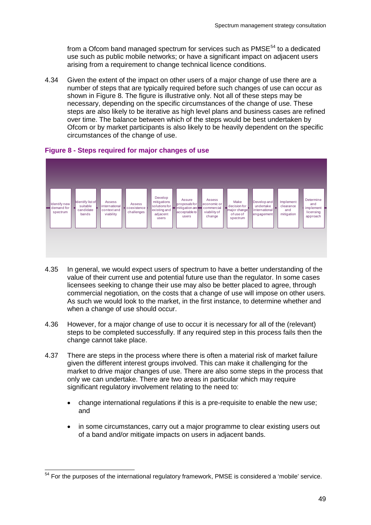from a Ofcom band managed spectrum for services such as  $PMSE<sup>54</sup>$  $PMSE<sup>54</sup>$  $PMSE<sup>54</sup>$  to a dedicated use such as public mobile networks; or have a significant impact on adjacent users arising from a requirement to change technical licence conditions.

4.34 Given the extent of the impact on other users of a major change of use there are a number of steps that are typically required before such changes of use can occur as shown in [Figure 8.](#page-50-0) The figure is illustrative only. Not all of these steps may be necessary, depending on the specific circumstances of the change of use. These steps are also likely to be iterative as high level plans and business cases are refined over time. The balance between which of the steps would be best undertaken by Ofcom or by market participants is also likely to be heavily dependent on the specific circumstances of the change of use.



### <span id="page-50-0"></span>**Figure 8 - Steps required for major changes of use**

- 4.35 In general, we would expect users of spectrum to have a better understanding of the value of their current use and potential future use than the regulator. In some cases licensees seeking to change their use may also be better placed to agree, through commercial negotiation, on the costs that a change of use will impose on other users. As such we would look to the market, in the first instance, to determine whether and when a change of use should occur.
- 4.36 However, for a major change of use to occur it is necessary for all of the (relevant) steps to be completed successfully. If any required step in this process fails then the change cannot take place.
- 4.37 There are steps in the process where there is often a material risk of market failure given the different interest groups involved. This can make it challenging for the market to drive major changes of use. There are also some steps in the process that only we can undertake. There are two areas in particular which may require significant regulatory involvement relating to the need to:
	- change international regulations if this is a pre-requisite to enable the new use; and
	- in some circumstances, carry out a major programme to clear existing users out of a band and/or mitigate impacts on users in adjacent bands.

<span id="page-50-1"></span> $54$  For the purposes of the international regulatory framework, PMSE is considered a 'mobile' service.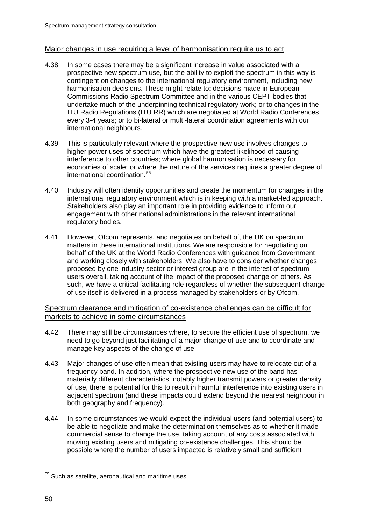## Major changes in use requiring a level of harmonisation require us to act

- 4.38 In some cases there may be a significant increase in value associated with a prospective new spectrum use, but the ability to exploit the spectrum in this way is contingent on changes to the international regulatory environment, including new harmonisation decisions. These might relate to: decisions made in European Commissions Radio Spectrum Committee and in the various CEPT bodies that undertake much of the underpinning technical regulatory work; or to changes in the ITU Radio Regulations (ITU RR) which are negotiated at World Radio Conferences every 3-4 years; or to bi-lateral or multi-lateral coordination agreements with our international neighbours.
- 4.39 This is particularly relevant where the prospective new use involves changes to higher power uses of spectrum which have the greatest likelihood of causing interference to other countries; where global harmonisation is necessary for economies of scale; or where the nature of the services requires a greater degree of international coordination. [55](#page-51-0)
- 4.40 Industry will often identify opportunities and create the momentum for changes in the international regulatory environment which is in keeping with a market-led approach. Stakeholders also play an important role in providing evidence to inform our engagement with other national administrations in the relevant international regulatory bodies.
- 4.41 However, Ofcom represents, and negotiates on behalf of, the UK on spectrum matters in these international institutions. We are responsible for negotiating on behalf of the UK at the World Radio Conferences with guidance from Government and working closely with stakeholders. We also have to consider whether changes proposed by one industry sector or interest group are in the interest of spectrum users overall, taking account of the impact of the proposed change on others. As such, we have a critical facilitating role regardless of whether the subsequent change of use itself is delivered in a process managed by stakeholders or by Ofcom.

## Spectrum clearance and mitigation of co-existence challenges can be difficult for markets to achieve in some circumstances

- 4.42 There may still be circumstances where, to secure the efficient use of spectrum, we need to go beyond just facilitating of a major change of use and to coordinate and manage key aspects of the change of use.
- 4.43 Major changes of use often mean that existing users may have to relocate out of a frequency band. In addition, where the prospective new use of the band has materially different characteristics, notably higher transmit powers or greater density of use, there is potential for this to result in harmful interference into existing users in adjacent spectrum (and these impacts could extend beyond the nearest neighbour in both geography and frequency).
- 4.44 In some circumstances we would expect the individual users (and potential users) to be able to negotiate and make the determination themselves as to whether it made commercial sense to change the use, taking account of any costs associated with moving existing users and mitigating co-existence challenges. This should be possible where the number of users impacted is relatively small and sufficient

<span id="page-51-0"></span><sup>&</sup>lt;sup>55</sup> Such as satellite, aeronautical and maritime uses.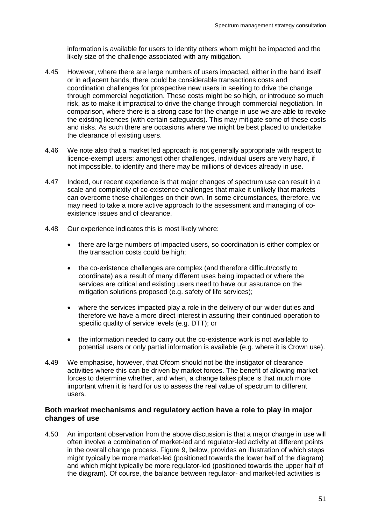information is available for users to identity others whom might be impacted and the likely size of the challenge associated with any mitigation.

- 4.45 However, where there are large numbers of users impacted, either in the band itself or in adjacent bands, there could be considerable transactions costs and coordination challenges for prospective new users in seeking to drive the change through commercial negotiation. These costs might be so high, or introduce so much risk, as to make it impractical to drive the change through commercial negotiation. In comparison, where there is a strong case for the change in use we are able to revoke the existing licences (with certain safeguards). This may mitigate some of these costs and risks. As such there are occasions where we might be best placed to undertake the clearance of existing users.
- 4.46 We note also that a market led approach is not generally appropriate with respect to licence-exempt users: amongst other challenges, individual users are very hard, if not impossible, to identify and there may be millions of devices already in use.
- 4.47 Indeed, our recent experience is that major changes of spectrum use can result in a scale and complexity of co-existence challenges that make it unlikely that markets can overcome these challenges on their own. In some circumstances, therefore, we may need to take a more active approach to the assessment and managing of coexistence issues and of clearance.
- 4.48 Our experience indicates this is most likely where:
	- there are large numbers of impacted users, so coordination is either complex or the transaction costs could be high;
	- the co-existence challenges are complex (and therefore difficult/costly to coordinate) as a result of many different uses being impacted or where the services are critical and existing users need to have our assurance on the mitigation solutions proposed (e.g. safety of life services);
	- where the services impacted play a role in the delivery of our wider duties and therefore we have a more direct interest in assuring their continued operation to specific quality of service levels (e.g. DTT); or
	- the information needed to carry out the co-existence work is not available to potential users or only partial information is available (e.g. where it is Crown use).
- 4.49 We emphasise, however, that Ofcom should not be the instigator of clearance activities where this can be driven by market forces. The benefit of allowing market forces to determine whether, and when, a change takes place is that much more important when it is hard for us to assess the real value of spectrum to different users.

## **Both market mechanisms and regulatory action have a role to play in major changes of use**

4.50 An important observation from the above discussion is that a major change in use will often involve a combination of market-led and regulator-led activity at different points in the overall change process. [Figure 9,](#page-53-0) below, provides an illustration of which steps might typically be more market-led (positioned towards the lower half of the diagram) and which might typically be more regulator-led (positioned towards the upper half of the diagram). Of course, the balance between regulator- and market-led activities is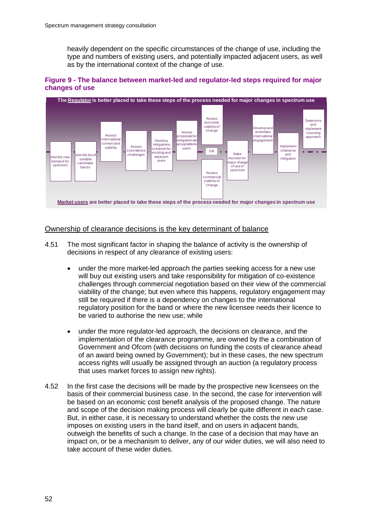heavily dependent on the specific circumstances of the change of use, including the type and numbers of existing users, and potentially impacted adjacent users, as well as by the international context of the change of use.

### <span id="page-53-0"></span>**Figure 9 - The balance between market-led and regulator-led steps required for major changes of use**



## Ownership of clearance decisions is the key determinant of balance

- 4.51 The most significant factor in shaping the balance of activity is the ownership of decisions in respect of any clearance of existing users:
	- under the more market-led approach the parties seeking access for a new use will buy out existing users and take responsibility for mitigation of co-existence challenges through commercial negotiation based on their view of the commercial viability of the change; but even where this happens, regulatory engagement may still be required if there is a dependency on changes to the international regulatory position for the band or where the new licensee needs their licence to be varied to authorise the new use; while
	- under the more regulator-led approach, the decisions on clearance, and the implementation of the clearance programme, are owned by the a combination of Government and Ofcom (with decisions on funding the costs of clearance ahead of an award being owned by Government); but in these cases, the new spectrum access rights will usually be assigned through an auction (a regulatory process that uses market forces to assign new rights).
- 4.52 In the first case the decisions will be made by the prospective new licensees on the basis of their commercial business case. In the second, the case for intervention will be based on an economic cost benefit analysis of the proposed change. The nature and scope of the decision making process will clearly be quite different in each case. But, in either case, it is necessary to understand whether the costs the new use imposes on existing users in the band itself, and on users in adjacent bands, outweigh the benefits of such a change. In the case of a decision that may have an impact on, or be a mechanism to deliver, any of our wider duties, we will also need to take account of these wider duties.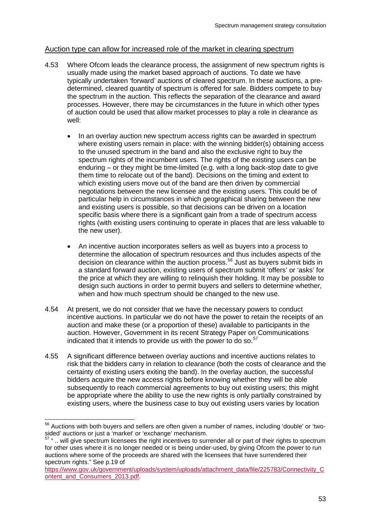## Auction type can allow for increased role of the market in clearing spectrum

- 4.53 Where Ofcom leads the clearance process, the assignment of new spectrum rights is usually made using the market based approach of auctions. To date we have typically undertaken 'forward' auctions of cleared spectrum. In these auctions, a predetermined, cleared quantity of spectrum is offered for sale. Bidders compete to buy the spectrum in the auction. This reflects the separation of the clearance and award processes. However, there may be circumstances in the future in which other types of auction could be used that allow market processes to play a role in clearance as well:
	- In an overlay auction new spectrum access rights can be awarded in spectrum where existing users remain in place: with the winning bidder(s) obtaining access to the unused spectrum in the band and also the exclusive right to buy the spectrum rights of the incumbent users. The rights of the existing users can be enduring – or they might be time-limited (e.g. with a long back-stop date to give them time to relocate out of the band). Decisions on the timing and extent to which existing users move out of the band are then driven by commercial negotiations between the new licensee and the existing users. This could be of particular help in circumstances in which geographical sharing between the new and existing users is possible, so that decisions can be driven on a location specific basis where there is a significant gain from a trade of spectrum access rights (with existing users continuing to operate in places that are less valuable to the new user).
	- An incentive auction incorporates sellers as well as buyers into a process to determine the allocation of spectrum resources and thus includes aspects of the decision on clearance within the auction process. [56](#page-54-0) Just as buyers submit bids in a standard forward auction, existing users of spectrum submit 'offers' or 'asks' for the price at which they are willing to relinquish their holding. It may be possible to design such auctions in order to permit buyers and sellers to determine whether, when and how much spectrum should be changed to the new use.
- 4.54 At present, we do not consider that we have the necessary powers to conduct incentive auctions. In particular we do not have the power to retain the receipts of an auction and make these (or a proportion of these) available to participants in the auction. However, Government in its recent Strategy Paper on Communications indicated that it intends to provide us with the power to do so. $57$
- 4.55 A significant difference between overlay auctions and incentive auctions relates to risk that the bidders carry in relation to clearance (both the costs of clearance and the certainty of existing users exiting the band). In the overlay auction, the successful bidders acquire the new access rights before knowing whether they will be able subsequently to reach commercial agreements to buy out existing users; this might be appropriate where the ability to use the new rights is only partially constrained by existing users, where the business case to buy out existing users varies by location

<span id="page-54-0"></span> $56$  Auctions with both buyers and sellers are often given a number of names, including 'double' or 'two-<br>sided' auctions or just a 'market' or 'exchange' mechanism.

<span id="page-54-1"></span> $\frac{57}{10}$ "... will give spectrum licensees the right incentives to surrender all or part of their rights to spectrum for other uses where it is no longer needed or is being under-used, by giving Ofcom the power to run auctions where some of the proceeds are shared with the licensees that have surrendered their spectrum rights." See p.19 of

[https://www.gov.uk/government/uploads/system/uploads/attachment\\_data/file/225783/Connectivity\\_C](https://www.gov.uk/government/uploads/system/uploads/attachment_data/file/225783/Connectivity_Content_and_Consumers_2013.pdf) [ontent\\_and\\_Consumers\\_2013.pdf.](https://www.gov.uk/government/uploads/system/uploads/attachment_data/file/225783/Connectivity_Content_and_Consumers_2013.pdf)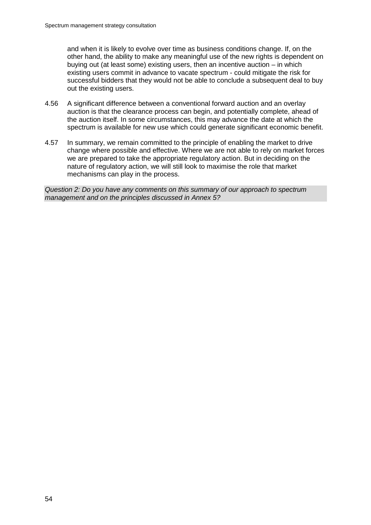and when it is likely to evolve over time as business conditions change. If, on the other hand, the ability to make any meaningful use of the new rights is dependent on buying out (at least some) existing users, then an incentive auction – in which existing users commit in advance to vacate spectrum - could mitigate the risk for successful bidders that they would not be able to conclude a subsequent deal to buy out the existing users.

- 4.56 A significant difference between a conventional forward auction and an overlay auction is that the clearance process can begin, and potentially complete, ahead of the auction itself. In some circumstances, this may advance the date at which the spectrum is available for new use which could generate significant economic benefit.
- 4.57 In summary, we remain committed to the principle of enabling the market to drive change where possible and effective. Where we are not able to rely on market forces we are prepared to take the appropriate regulatory action. But in deciding on the nature of regulatory action, we will still look to maximise the role that market mechanisms can play in the process.

*Question 2: Do you have any comments on this summary of our approach to spectrum management and on the principles discussed in Annex 5?*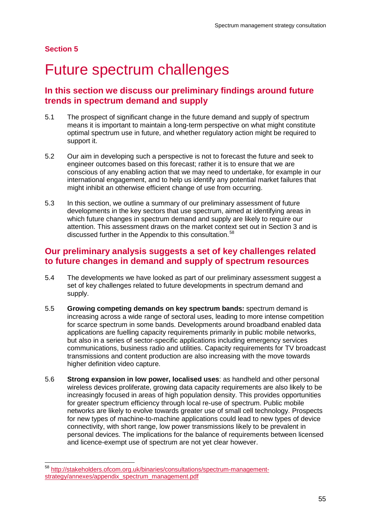## **Section 5**

# 5 Future spectrum challenges

# **In this section we discuss our preliminary findings around future trends in spectrum demand and supply**

- 5.1 The prospect of significant change in the future demand and supply of spectrum means it is important to maintain a long-term perspective on what might constitute optimal spectrum use in future, and whether regulatory action might be required to support it.
- 5.2 Our aim in developing such a perspective is not to forecast the future and seek to engineer outcomes based on this forecast; rather it is to ensure that we are conscious of any enabling action that we may need to undertake, for example in our international engagement, and to help us identify any potential market failures that might inhibit an otherwise efficient change of use from occurring.
- 5.3 In this section, we outline a summary of our preliminary assessment of future developments in the key sectors that use spectrum, aimed at identifying areas in which future changes in spectrum demand and supply are likely to require our attention. This assessment draws on the market context set out in Section 3 and is discussed further in the Appendix to this consultation.<sup>[58](#page-56-0)</sup>

# **Our preliminary analysis suggests a set of key challenges related to future changes in demand and supply of spectrum resources**

- 5.4 The developments we have looked as part of our preliminary assessment suggest a set of key challenges related to future developments in spectrum demand and supply.
- 5.5 **Growing competing demands on key spectrum bands:** spectrum demand is increasing across a wide range of sectoral uses, leading to more intense competition for scarce spectrum in some bands. Developments around broadband enabled data applications are fuelling capacity requirements primarily in public mobile networks, but also in a series of sector-specific applications including emergency services communications, business radio and utilities. Capacity requirements for TV broadcast transmissions and content production are also increasing with the move towards higher definition video capture.
- 5.6 **Strong expansion in low power, localised uses**: as handheld and other personal wireless devices proliferate, growing data capacity requirements are also likely to be increasingly focused in areas of high population density. This provides opportunities for greater spectrum efficiency through local re-use of spectrum. Public mobile networks are likely to evolve towards greater use of small cell technology. Prospects for new types of machine-to-machine applications could lead to new types of device connectivity, with short range, low power transmissions likely to be prevalent in personal devices. The implications for the balance of requirements between licensed and licence-exempt use of spectrum are not yet clear however.

<span id="page-56-0"></span> <sup>58</sup> [http://stakeholders.ofcom.org.uk/binaries/consultations/spectrum-management](http://stakeholders.ofcom.org.uk/binaries/consultations/spectrum-management-strategy/annexes/appendix_spectrum_management.pdf)[strategy/annexes/appendix\\_spectrum\\_management.pdf](http://stakeholders.ofcom.org.uk/binaries/consultations/spectrum-management-strategy/annexes/appendix_spectrum_management.pdf)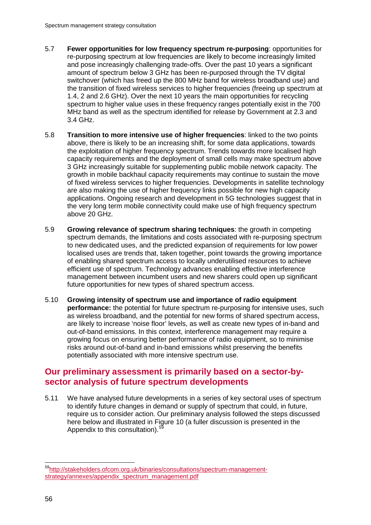- 5.7 **Fewer opportunities for low frequency spectrum re-purposing**: opportunities for re-purposing spectrum at low frequencies are likely to become increasingly limited and pose increasingly challenging trade-offs. Over the past 10 years a significant amount of spectrum below 3 GHz has been re-purposed through the TV digital switchover (which has freed up the 800 MHz band for wireless broadband use) and the transition of fixed wireless services to higher frequencies (freeing up spectrum at 1.4, 2 and 2.6 GHz). Over the next 10 years the main opportunities for recycling spectrum to higher value uses in these frequency ranges potentially exist in the 700 MHz band as well as the spectrum identified for release by Government at 2.3 and 3.4 GHz.
- 5.8 **Transition to more intensive use of higher frequencies**: linked to the two points above, there is likely to be an increasing shift, for some data applications, towards the exploitation of higher frequency spectrum. Trends towards more localised high capacity requirements and the deployment of small cells may make spectrum above 3 GHz increasingly suitable for supplementing public mobile network capacity. The growth in mobile backhaul capacity requirements may continue to sustain the move of fixed wireless services to higher frequencies. Developments in satellite technology are also making the use of higher frequency links possible for new high capacity applications. Ongoing research and development in 5G technologies suggest that in the very long term mobile connectivity could make use of high frequency spectrum above 20 GHz.
- 5.9 **Growing relevance of spectrum sharing techniques**: the growth in competing spectrum demands, the limitations and costs associated with re-purposing spectrum to new dedicated uses, and the predicted expansion of requirements for low power localised uses are trends that, taken together, point towards the growing importance of enabling shared spectrum access to locally underutilised resources to achieve efficient use of spectrum. Technology advances enabling effective interference management between incumbent users and new sharers could open up significant future opportunities for new types of shared spectrum access.
- 5.10 **Growing intensity of spectrum use and importance of radio equipment performance:** the potential for future spectrum re-purposing for intensive uses, such as wireless broadband, and the potential for new forms of shared spectrum access, are likely to increase 'noise floor' levels, as well as create new types of in-band and out-of-band emissions. In this context, interference management may require a growing focus on ensuring better performance of radio equipment, so to minimise risks around out-of-band and in-band emissions whilst preserving the benefits potentially associated with more intensive spectrum use.

# **Our preliminary assessment is primarily based on a sector-bysector analysis of future spectrum developments**

5.11 We have analysed future developments in a series of key sectoral uses of spectrum to identify future changes in demand or supply of spectrum that could, in future, require us to consider action. Our preliminary analysis followed the steps discussed here below and illustrated in [Figure 10](#page-58-0) (a fuller discussion is presented in the Appendix to this consultation).<sup>[59](#page-57-0)</sup>

<span id="page-57-0"></span> [<sup>59</sup>http://stakeholders.ofcom.org.uk/binaries/consultations/spectrum-management](http://stakeholders.ofcom.org.uk/binaries/consultations/spectrum-management-strategy/annexes/appendix_spectrum_management.pdf)[strategy/annexes/appendix\\_spectrum\\_management.pdf](http://stakeholders.ofcom.org.uk/binaries/consultations/spectrum-management-strategy/annexes/appendix_spectrum_management.pdf)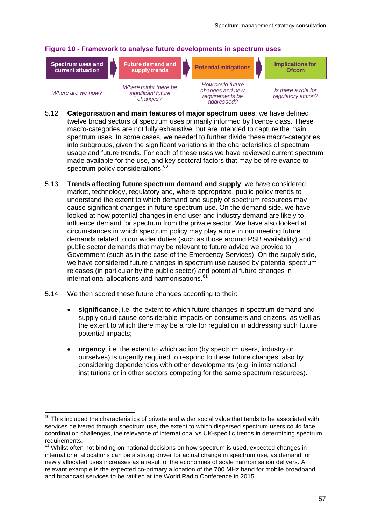## <span id="page-58-0"></span>**Figure 10 - Framework to analyse future developments in spectrum uses**

**Spectrum uses and current situation**





*Where are we now?*

*Where might there be significant future changes?*

*How could future changes and new requirements be addressed?*

*Is there a role for regulatory action?*

- 5.12 **Categorisation and main features of major spectrum uses**: we have defined twelve broad sectors of spectrum uses primarily informed by licence class. These macro-categories are not fully exhaustive, but are intended to capture the main spectrum uses. In some cases, we needed to further divide these macro-categories into subgroups, given the significant variations in the characteristics of spectrum usage and future trends. For each of these uses we have reviewed current spectrum made available for the use, and key sectoral factors that may be of relevance to spectrum policy considerations.<sup>[60](#page-58-1)</sup>
- 5.13 **Trends affecting future spectrum demand and supply**: we have considered market, technology, regulatory and, where appropriate, public policy trends to understand the extent to which demand and supply of spectrum resources may cause significant changes in future spectrum use. On the demand side, we have looked at how potential changes in end-user and industry demand are likely to influence demand for spectrum from the private sector. We have also looked at circumstances in which spectrum policy may play a role in our meeting future demands related to our wider duties (such as those around PSB availability) and public sector demands that may be relevant to future advice we provide to Government (such as in the case of the Emergency Services). On the supply side, we have considered future changes in spectrum use caused by potential spectrum releases (in particular by the public sector) and potential future changes in international allocations and harmonisations. [61](#page-58-2)
- 5.14 We then scored these future changes according to their:
	- **significance**, i.e. the extent to which future changes in spectrum demand and supply could cause considerable impacts on consumers and citizens, as well as the extent to which there may be a role for regulation in addressing such future potential impacts;
	- **urgency**, i.e. the extent to which action (by spectrum users, industry or ourselves) is urgently required to respond to these future changes, also by considering dependencies with other developments (e.g. in international institutions or in other sectors competing for the same spectrum resources).

<span id="page-58-1"></span> $60$  This included the characteristics of private and wider social value that tends to be associated with services delivered through spectrum use, the extent to which dispersed spectrum users could face coordination challenges, the relevance of international vs UK-specific trends in determining spectrum requirements.

<span id="page-58-2"></span> $61$  Whilst often not binding on national decisions on how spectrum is used, expected changes in international allocations can be a strong driver for actual change in spectrum use, as demand for newly allocated uses increases as a result of the economies of scale harmonisation delivers. A relevant example is the expected co-primary allocation of the 700 MHz band for mobile broadband and broadcast services to be ratified at the World Radio Conference in 2015.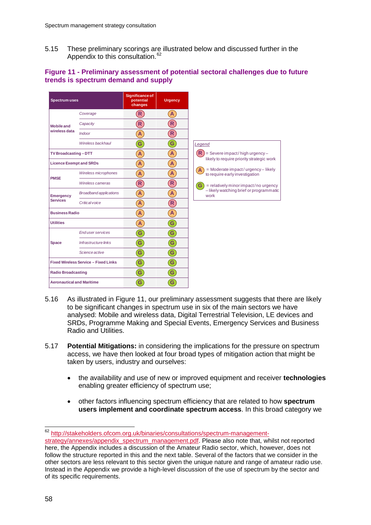5.15 These preliminary scorings are illustrated below and discussed further in the Appendix to this consultation.<sup>[62](#page-59-1)</sup>

## <span id="page-59-0"></span>**Figure 11 - Preliminary assessment of potential sectoral challenges due to future trends is spectrum demand and supply**

| <b>Spectrum uses</b>                        |                               | <b>Significance of</b><br>potential<br>changes | <b>Urgency</b>             |
|---------------------------------------------|-------------------------------|------------------------------------------------|----------------------------|
| <b>Mobile and</b><br>wireless data          | Coverage                      | (R)                                            | A                          |
|                                             | Capacity                      | $\left( \mathsf{R}\right)$                     | $\mathsf{R}$               |
|                                             | Indoor                        | $\overline{A}$                                 | $\mathbf{\hat{R}}$         |
|                                             | Wireless backhaul             | $\mathbf{G}$                                   | G                          |
| TV Broadcasting-DTT                         |                               | $\mathbf{A}$                                   | A                          |
| <b>Licence Exempt and SRDs</b>              |                               | A                                              | A                          |
| <b>PMSE</b>                                 | Wireless microphones          | $\mathbf{A}$                                   | A                          |
|                                             | Wireless cameras              | $\left( \mathsf{R}\right)$                     | $\left( \mathsf{R}\right)$ |
| <b>Emergency</b>                            | <b>Broadband applications</b> | $\mathbf{A}$                                   | A                          |
| <b>Services</b>                             | Critical voice                | $\mathbf{A}$                                   | $\left( \mathsf{R}\right)$ |
| <b>Business Radio</b>                       |                               | A                                              | A                          |
| <b>Utilities</b>                            |                               | $\mathbf{A}$                                   | G                          |
| <b>Space</b>                                | End user services             | G                                              | G                          |
|                                             | Infrastructure links          | $\mathbf{G}$                                   | G                          |
|                                             | Science active                | G                                              | G                          |
| <b>Fixed Wireless Service - Fixed Links</b> |                               | $\mathbf{G}$                                   | G                          |
| <b>Radio Broadcasting</b>                   |                               | G                                              | G                          |
| <b>Aeronautical and Maritime</b>            |                               | G                                              | G                          |

- 5.16 As illustrated in [Figure 11,](#page-59-0) our preliminary assessment suggests that there are likely to be significant changes in spectrum use in six of the main sectors we have analysed: Mobile and wireless data, Digital Terrestrial Television, LE devices and SRDs, Programme Making and Special Events, Emergency Services and Business Radio and Utilities.
- 5.17 **Potential Mitigations:** in considering the implications for the pressure on spectrum access, we have then looked at four broad types of mitigation action that might be taken by users, industry and ourselves:
	- the availability and use of new or improved equipment and receiver **technologies** enabling greater efficiency of spectrum use;
	- other factors influencing spectrum efficiency that are related to how **spectrum users implement and coordinate spectrum access**. In this broad category we

<span id="page-59-1"></span> <sup>62</sup> [http://stakeholders.ofcom.org.uk/binaries/consultations/spectrum-management-](http://stakeholders.ofcom.org.uk/binaries/consultations/spectrum-management-strategy/annexes/appendix_spectrum_management.pdf)

[strategy/annexes/appendix\\_spectrum\\_management.pdf.](http://stakeholders.ofcom.org.uk/binaries/consultations/spectrum-management-strategy/annexes/appendix_spectrum_management.pdf) Please also note that, whilst not reported here, the Appendix includes a discussion of the Amateur Radio sector, which, however, does not follow the structure reported in this and the next table. Several of the factors that we consider in the other sectors are less relevant to this sector given the unique nature and range of amateur radio use. Instead in the Appendix we provide a high-level discussion of the use of spectrum by the sector and of its specific requirements.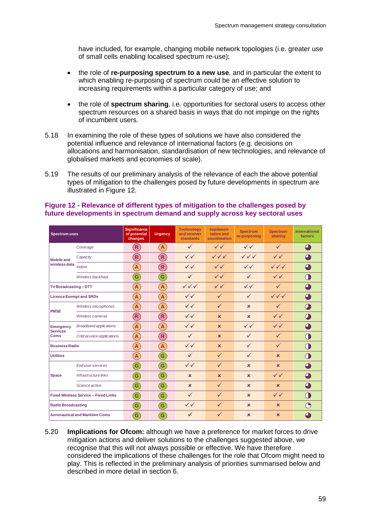have included, for example, changing mobile network topologies (i.e. greater use of small cells enabling localised spectrum re-use);

- the role of **re-purposing spectrum to a new use**, and in particular the extent to which enabling re-purposing of spectrum could be an effective solution to increasing requirements within a particular category of use; and
- the role of **spectrum sharing**, i.e. opportunities for sectoral users to access other spectrum resources on a shared basis in ways that do not impinge on the rights of incumbent users.
- 5.18 In examining the role of these types of solutions we have also considered the potential influence and relevance of international factors (e.g. decisions on allocations and harmonisation, standardisation of new technologies, and relevance of globalised markets and economies of scale).
- 5.19 The results of our preliminary analysis of the relevance of each the above potential types of mitigation to the challenges posed by future developments in spectrum are illustrated in [Figure 12.](#page-60-0)

| <b>Spectrum uses</b>                        |                               | Significance<br>of potential<br>changes        | <b>Urgency</b>             | <b>Technology</b><br>and receiver<br><b>standards</b> | Implemen-<br>tation and<br>coordination | <b>Spectrum</b><br>re-purposing  | <b>Spectrum</b><br>sharing       | <b>International</b><br>factors |
|---------------------------------------------|-------------------------------|------------------------------------------------|----------------------------|-------------------------------------------------------|-----------------------------------------|----------------------------------|----------------------------------|---------------------------------|
| <b>Mobile and</b><br>wireless data          | Coverage                      | $\left( \mathsf{R}\right)$                     | $\mathbf{A}$               | $\checkmark$                                          | $\checkmark$                            | $\checkmark$                     | ✓                                | $\bigoplus$                     |
|                                             | Capacity                      | $\left( \mathsf{R}\right)$                     | $\left( \mathsf{R}\right)$ | $\checkmark$                                          | $\checkmark\checkmark\checkmark$        | $\checkmark\checkmark\checkmark$ | $\checkmark$                     | $\bigoplus$                     |
|                                             | Indoor                        | $\left[ \mathsf{A}\right]$                     | $\left( \mathsf{R}\right)$ | $\checkmark$                                          | $\checkmark$                            | $\checkmark$                     | $\checkmark\checkmark\checkmark$ | A                               |
|                                             | Wireless backhaul             | $\mathbf{G}$                                   | $\mathbf{G}$               | $\checkmark$                                          | $\checkmark$                            | $\checkmark$                     | $\checkmark$                     | Œ                               |
| TV Broadcasting-DTT                         |                               | $\left[ \mathbf{A}\right]$                     | $\mathbf{A}$               | $\checkmark\checkmark\checkmark$                      | $\checkmark$                            | $\checkmark$                     | $\checkmark$                     | $\mathbf \Omega$                |
| <b>Licence Exempt and SRDs</b>              |                               | $\left( \mathsf{A}\right)$                     | $\mathbf{A}$               | $\checkmark$                                          | $\checkmark$                            | $\checkmark$                     | $\checkmark\checkmark\checkmark$ | $\mathbf 4$                     |
| <b>PMSE</b>                                 | Wireless microphones          | $\mathbf{A}$                                   | $\overline{A}$             | $\checkmark$                                          | $\checkmark$                            | $\mathbf x$                      | $\checkmark$                     | $\bullet$                       |
|                                             | Wireless cameras              | $\bf(R)$                                       | $\bf R$                    | $\checkmark$                                          | $\mathbf x$                             | $\mathbf x$                      | $\checkmark$                     | $\mathcal{O}$                   |
| <b>Emergency</b><br><b>Services</b><br>Coms | <b>Broadband applications</b> | $\left( \mathbf{A}\right)$                     | $\overline{A}$             | $\checkmark$                                          | $\mathbf x$                             | $\checkmark$                     | $\checkmark$                     | 4                               |
|                                             | Critical voice applications   | $\left( \mathbf{A}\right)$                     | $\left( \mathsf{R}\right)$ | $\checkmark$                                          | $\mathbf x$                             | ✓                                | $\checkmark$                     | Œ                               |
| <b>Business Radio</b>                       |                               | $\left( \mathbf{A}\right)$                     | $\overline{A}$             | $\checkmark$                                          | $\mathbf x$                             | $\checkmark$                     | $\checkmark$                     | $\bigcirc$                      |
| <b>Utilities</b>                            |                               | $\mathbf{A}$                                   | $\left  \mathbf{G}\right $ | $\checkmark$                                          | $\checkmark$                            | $\checkmark$                     | $\mathbf x$                      | $\bigcap$                       |
| <b>Space</b>                                | <b>Enduser services</b>       | $\left  \mathbf{G}\right $                     | $\mathbf{G}$               | $\checkmark$                                          | $\checkmark$                            | $\mathbf x$                      | $\mathbf x$                      | 4                               |
|                                             | Infrastructure links          | $\left( \mathbf{G}\right)$                     | $\mathbf{G}$               | $\mathbf x$                                           | $\mathbf x$                             | $\mathbf x$                      | $\checkmark$                     | $\bullet$                       |
|                                             | Science active                | $\left( \begin{matrix} 6 \end{matrix} \right)$ | $\mathbf{G}$               | $\mathbf x$                                           | $\checkmark$                            | $\mathbf x$                      | $\mathbf x$                      | $\Omega$                        |
| <b>Fixed Wireless Service - Fixed Links</b> |                               | $\left( \begin{matrix} 6 \end{matrix} \right)$ | $\left( $                  | $\checkmark$                                          | $\checkmark$                            | $\mathbf x$                      | $\checkmark$                     | $\subset$                       |
| <b>Radio Broadcasting</b>                   |                               | $\mathbf{G}$                                   | $\mathbf{G}$               | $\checkmark$                                          | $\checkmark$                            | $\mathbf x$                      | $\mathbf x$                      | $\bigcap$                       |
| <b>Aeronautical and Maritime Coms</b>       |                               | $\mathbf{G}$                                   | $\mathbf{G}$               | ✓                                                     | $\checkmark$                            | $\mathbf x$                      | $\mathbf x$                      | ⊿                               |

### <span id="page-60-0"></span>**Figure 12 - Relevance of different types of mitigation to the challenges posed by future developments in spectrum demand and supply across key sectoral uses**

5.20 **Implications for Ofcom:** although we have a preference for market forces to drive mitigation actions and deliver solutions to the challenges suggested above, we recognise that this will not always possible or effective. We have therefore considered the implications of these challenges for the role that Ofcom might need to play. This is reflected in the preliminary analysis of priorities summarised below and described in more detail in section 6.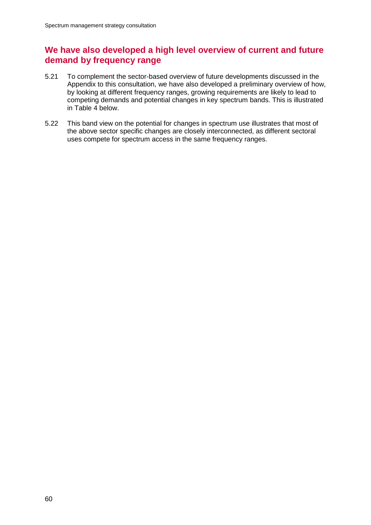# **We have also developed a high level overview of current and future demand by frequency range**

- 5.21 To complement the sector-based overview of future developments discussed in the Appendix to this consultation, we have also developed a preliminary overview of how, by looking at different frequency ranges, growing requirements are likely to lead to competing demands and potential changes in key spectrum bands. This is illustrated in [Table 4](#page-62-0) below.
- 5.22 This band view on the potential for changes in spectrum use illustrates that most of the above sector specific changes are closely interconnected, as different sectoral uses compete for spectrum access in the same frequency ranges.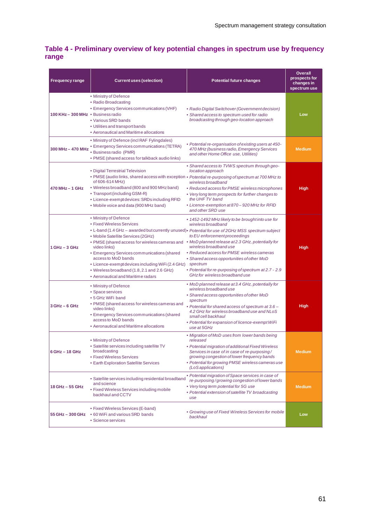## <span id="page-62-0"></span>**Table 4 - Preliminary overview of key potential changes in spectrum use by frequency range**

| <b>Frequency range</b>             | <b>Current uses (selection)</b>                                                                                                                                                                                                                                                                                                                                                                                              | <b>Potential future changes</b>                                                                                                                                                                                                                                                                                                                                                                                                            | <b>Overall</b><br>prospects for<br>changes in<br>spectrum use |
|------------------------------------|------------------------------------------------------------------------------------------------------------------------------------------------------------------------------------------------------------------------------------------------------------------------------------------------------------------------------------------------------------------------------------------------------------------------------|--------------------------------------------------------------------------------------------------------------------------------------------------------------------------------------------------------------------------------------------------------------------------------------------------------------------------------------------------------------------------------------------------------------------------------------------|---------------------------------------------------------------|
| 100 KHz - 300 MHz . Business radio | • Ministry of Defence<br>• Radio Broadcasting<br>• Emergency Services communications (VHF)<br>• Various SRD bands<br>• Utilities and transport bands<br>• Aeronautical and Maritime allocations                                                                                                                                                                                                                              | • Radio Digital Switchover (Government decision)<br>• Shared access to spectrum used for radio<br>broadcasting through geo-location approach                                                                                                                                                                                                                                                                                               | Low                                                           |
| 300 MHz - 470 MHz                  | • Ministry of Defence (incl RAF Fylingdales)<br><b>• Emergency Services communications (TETRA)</b><br>· Business radio (PMR)<br>• PMSE (shared access for talkback audio links)                                                                                                                                                                                                                                              | • Potential re-organisation of existing users at 450-<br>470 MHz (business radio, Emergency Services<br>and other Home Office use, Utilities)                                                                                                                                                                                                                                                                                              | <b>Medium</b>                                                 |
| $470 MHz - 1 GHz$                  | • Digital Terrestrial Television<br>of 606-614 MHz)<br>• Wireless broadband (800 and 900 MHz band)<br>• Transport (including GSM-R)<br>• Licence-exempt devices: SRDs including RFID<br>• Mobile voice and data (900 MHz band)                                                                                                                                                                                               | • Shared access to TVWS spectrum through geo-<br>location approach<br>. PMSE (audio links, shared access with exception . Potential re-purposing of spectrum at 700 MHz to<br>wireless broadband<br>• Reduced access for PMSE wireless microphones<br>• Very long term prospects for further changes to<br>the UHF TV band<br>• Licence-exemption at 870 - 920 MHz for RFID<br>and other SRD use                                           | High                                                          |
| $1$ GHz $-$ 3 GHz                  | • Ministry of Defence<br>• Fixed Wireless Services<br>• Mobile Satellite Services (2GHz)<br>. PMSE (shared access for wireless cameras and . MoD planned release at 2.3 GHz, potentially for<br>video links)<br>• Emergency Services communications (shared<br>access to MoD bands<br>• Licence-exempt devices including WiFi (2.4 GHz)<br>• Wireless broadband (1.8, 2.1 and 2.6 GHz)<br>• Aeronautical and Maritime radars | • 1452-1492 MHz likely to be brought into use for<br>wireless broadband<br>. L-band (1.4 GHz - awarded but currently unused). Potential for use of 2GHz MSS spectrum subject<br>to EU enforcement proceedings<br>wireless broadband use<br>• Reduced access for PMSE wireless cameras<br>• Shared access opportunities of other MoD<br>spectrum<br>• Potential for re-purposing of spectrum at 2.7 - 2.9<br>GHz for wireless broadband use | High                                                          |
| $3 GHz - 6 GHz$                    | • Ministry of Defence<br>• Space services<br>• 5 GHz WiFi band<br>• PMSE (shared access for wireless cameras and<br>video links)<br>• Emergency Services communications (shared<br>access to MoD bands<br>• Aeronautical and Maritime allocations                                                                                                                                                                            | • MoD planned release at 3.4 GHz, potentially for<br>wireless broadband use<br>• Shared access opportunities of other MoD<br>spectrum<br>• Potential for shared access of spectrum at 3.6 -<br>4.2 GHz for wireless broadband use and NLoS<br>small cell backhaul<br>• Potential for expansion of licence-exempt WiFi<br>use at 5GHz                                                                                                       | High                                                          |
| $6$ GHz $-$ 18 GHz                 | • Ministry of Defence<br>• Satellite services including satellite TV<br>broadcasting<br>• Fixed Wireless Services<br>• Earth Exploration Satellite Services                                                                                                                                                                                                                                                                  | • Migration of MoD uses from lower bands being<br>released<br>• Potential migration of additional Fixed Wireless<br>Services in case of in case of re-purposing/<br>growing congestion of lower frequency bands<br>• Potential for growing PMSE wireless cameras use<br>(LoS applications)                                                                                                                                                 | <b>Medium</b>                                                 |
| 18 GHz - 55 GHz                    | · Satellite services including residential broadband<br>and science<br>• Fixed Wireless Services including mobile<br>backhaul and CCTV                                                                                                                                                                                                                                                                                       | • Potential migration of Space services in case of<br>re-purposing/growing congestion of lower bands<br>• Very long term potential for 5G use<br>• Potential extension of satellite TV broadcasting<br>use                                                                                                                                                                                                                                 | <b>Medium</b>                                                 |
| 55 GHz - 300 GHz                   | • Fixed Wireless Services (E-band)<br>• 60 WiFi and various SRD bands<br>• Science services                                                                                                                                                                                                                                                                                                                                  | • Growing use of Fixed Wireless Services for mobile<br>backhaul                                                                                                                                                                                                                                                                                                                                                                            | Low                                                           |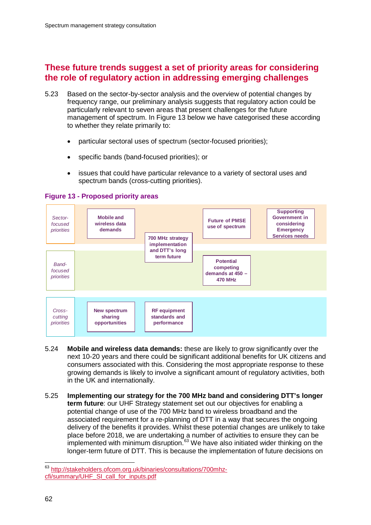# **These future trends suggest a set of priority areas for considering the role of regulatory action in addressing emerging challenges**

- 5.23 Based on the sector-by-sector analysis and the overview of potential changes by frequency range, our preliminary analysis suggests that regulatory action could be particularly relevant to seven areas that present challenges for the future management of spectrum. In [Figure 13](#page-63-0) below we have categorised these according to whether they relate primarily to:
	- particular sectoral uses of spectrum (sector-focused priorities);
	- specific bands (band-focused priorities); or
	- issues that could have particular relevance to a variety of sectoral uses and spectrum bands (cross-cutting priorities).

## <span id="page-63-0"></span>**Figure 13 - Proposed priority areas**



- 5.24 **Mobile and wireless data demands:** these are likely to grow significantly over the next 10-20 years and there could be significant additional benefits for UK citizens and consumers associated with this. Considering the most appropriate response to these growing demands is likely to involve a significant amount of regulatory activities, both in the UK and internationally.
- 5.25 **Implementing our strategy for the 700 MHz band and considering DTT's longer term future**: our UHF Strategy statement set out our objectives for enabling a potential change of use of the 700 MHz band to wireless broadband and the associated requirement for a re-planning of DTT in a way that secures the ongoing delivery of the benefits it provides. Whilst these potential changes are unlikely to take place before 2018, we are undertaking a number of activities to ensure they can be implemented with minimum disruption.<sup>[63](#page-63-1)</sup> We have also initiated wider thinking on the longer-term future of DTT. This is because the implementation of future decisions on

<span id="page-63-1"></span> <sup>63</sup> [http://stakeholders.ofcom.org.uk/binaries/consultations/700mhz](http://stakeholders.ofcom.org.uk/binaries/consultations/700mhz-cfi/summary/UHF_SI_call_for_inputs.pdf)[cfi/summary/UHF\\_SI\\_call\\_for\\_inputs.pdf](http://stakeholders.ofcom.org.uk/binaries/consultations/700mhz-cfi/summary/UHF_SI_call_for_inputs.pdf)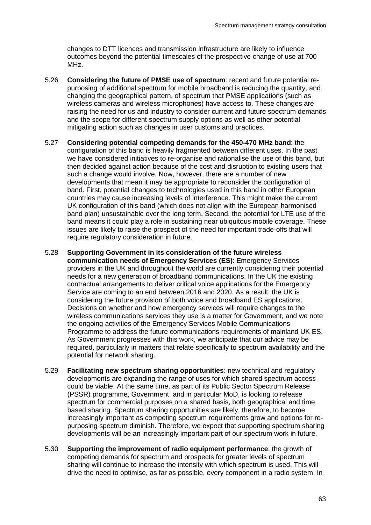changes to DTT licences and transmission infrastructure are likely to influence outcomes beyond the potential timescales of the prospective change of use at 700 MHz.

- 5.26 **Considering the future of PMSE use of spectrum**: recent and future potential repurposing of additional spectrum for mobile broadband is reducing the quantity, and changing the geographical pattern, of spectrum that PMSE applications (such as wireless cameras and wireless microphones) have access to. These changes are raising the need for us and industry to consider current and future spectrum demands and the scope for different spectrum supply options as well as other potential mitigating action such as changes in user customs and practices.
- 5.27 **Considering potential competing demands for the 450-470 MHz band**: the configuration of this band is heavily fragmented between different uses. In the past we have considered initiatives to re-organise and rationalise the use of this band, but then decided against action because of the cost and disruption to existing users that such a change would involve. Now, however, there are a number of new developments that mean it may be appropriate to reconsider the configuration of band. First, potential changes to technologies used in this band in other European countries may cause increasing levels of interference. This might make the current UK configuration of this band (which does not align with the European harmonised band plan) unsustainable over the long term. Second, the potential for LTE use of the band means it could play a role in sustaining near ubiquitous mobile coverage. These issues are likely to raise the prospect of the need for important trade-offs that will require regulatory consideration in future.
- 5.28 **Supporting Government in its consideration of the future wireless communication needs of Emergency Services (ES)**: Emergency Services providers in the UK and throughout the world are currently considering their potential needs for a new generation of broadband communications. In the UK the existing contractual arrangements to deliver critical voice applications for the Emergency Service are coming to an end between 2016 and 2020. As a result, the UK is considering the future provision of both voice and broadband ES applications. Decisions on whether and how emergency services will require changes to the wireless communications services they use is a matter for Government, and we note the ongoing activities of the Emergency Services Mobile Communications Programme to address the future communications requirements of mainland UK ES. As Government progresses with this work, we anticipate that our advice may be required, particularly in matters that relate specifically to spectrum availability and the potential for network sharing.
- 5.29 **Facilitating new spectrum sharing opportunities**: new technical and regulatory developments are expanding the range of uses for which shared spectrum access could be viable. At the same time, as part of its Public Sector Spectrum Release (PSSR) programme, Government, and in particular MoD, is looking to release spectrum for commercial purposes on a shared basis, both geographical and time based sharing. Spectrum sharing opportunities are likely, therefore, to become increasingly important as competing spectrum requirements grow and options for repurposing spectrum diminish. Therefore, we expect that supporting spectrum sharing developments will be an increasingly important part of our spectrum work in future.
- 5.30 **Supporting the improvement of radio equipment performance**: the growth of competing demands for spectrum and prospects for greater levels of spectrum sharing will continue to increase the intensity with which spectrum is used. This will drive the need to optimise, as far as possible, every component in a radio system. In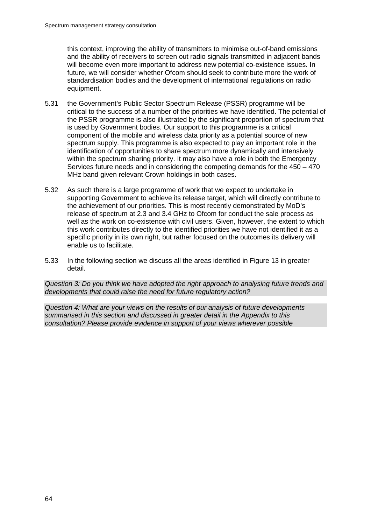this context, improving the ability of transmitters to minimise out-of-band emissions and the ability of receivers to screen out radio signals transmitted in adjacent bands will become even more important to address new potential co-existence issues. In future, we will consider whether Ofcom should seek to contribute more the work of standardisation bodies and the development of international regulations on radio equipment.

- 5.31 the Government's Public Sector Spectrum Release (PSSR) programme will be critical to the success of a number of the priorities we have identified. The potential of the PSSR programme is also illustrated by the significant proportion of spectrum that is used by Government bodies. Our support to this programme is a critical component of the mobile and wireless data priority as a potential source of new spectrum supply. This programme is also expected to play an important role in the identification of opportunities to share spectrum more dynamically and intensively within the spectrum sharing priority. It may also have a role in both the Emergency Services future needs and in considering the competing demands for the 450 – 470 MHz band given relevant Crown holdings in both cases.
- 5.32 As such there is a large programme of work that we expect to undertake in supporting Government to achieve its release target, which will directly contribute to the achievement of our priorities. This is most recently demonstrated by MoD's release of spectrum at 2.3 and 3.4 GHz to Ofcom for conduct the sale process as well as the work on co-existence with civil users. Given, however, the extent to which this work contributes directly to the identified priorities we have not identified it as a specific priority in its own right, but rather focused on the outcomes its delivery will enable us to facilitate.
- 5.33 In the following section we discuss all the areas identified in [Figure 13](#page-63-0) in greater detail.

*Question 3: Do you think we have adopted the right approach to analysing future trends and developments that could raise the need for future regulatory action?*

*Question 4: What are your views on the results of our analysis of future developments summarised in this section and discussed in greater detail in the Appendix to this consultation? Please provide evidence in support of your views wherever possible*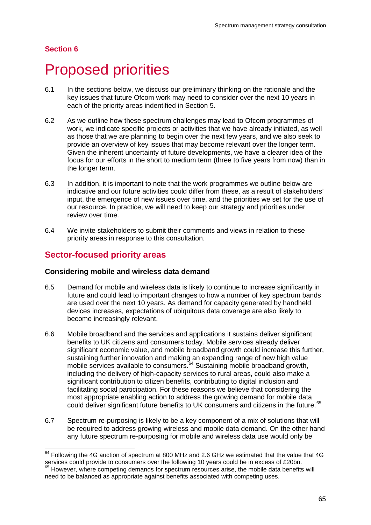## **Section 6**

# 6 Proposed priorities

- 6.1 In the sections below, we discuss our preliminary thinking on the rationale and the key issues that future Ofcom work may need to consider over the next 10 years in each of the priority areas indentified in Section 5.
- 6.2 As we outline how these spectrum challenges may lead to Ofcom programmes of work, we indicate specific projects or activities that we have already initiated, as well as those that we are planning to begin over the next few years, and we also seek to provide an overview of key issues that may become relevant over the longer term. Given the inherent uncertainty of future developments, we have a clearer idea of the focus for our efforts in the short to medium term (three to five years from now) than in the longer term.
- 6.3 In addition, it is important to note that the work programmes we outline below are indicative and our future activities could differ from these, as a result of stakeholders' input, the emergence of new issues over time, and the priorities we set for the use of our resource. In practice, we will need to keep our strategy and priorities under review over time.
- 6.4 We invite stakeholders to submit their comments and views in relation to these priority areas in response to this consultation.

# **Sector-focused priority areas**

## **Considering mobile and wireless data demand**

- 6.5 Demand for mobile and wireless data is likely to continue to increase significantly in future and could lead to important changes to how a number of key spectrum bands are used over the next 10 years. As demand for capacity generated by handheld devices increases, expectations of ubiquitous data coverage are also likely to become increasingly relevant.
- 6.6 Mobile broadband and the services and applications it sustains deliver significant benefits to UK citizens and consumers today. Mobile services already deliver significant economic value, and mobile broadband growth could increase this further, sustaining further innovation and making an expanding range of new high value mobile services available to consumers. [64](#page-66-0) Sustaining mobile broadband growth, including the delivery of high-capacity services to rural areas, could also make a significant contribution to citizen benefits, contributing to digital inclusion and facilitating social participation. For these reasons we believe that considering the most appropriate enabling action to address the growing demand for mobile data could deliver significant future benefits to UK consumers and citizens in the future. [65](#page-66-1)
- 6.7 Spectrum re-purposing is likely to be a key component of a mix of solutions that will be required to address growing wireless and mobile data demand. On the other hand any future spectrum re-purposing for mobile and wireless data use would only be

<span id="page-66-1"></span><span id="page-66-0"></span> $64$  Following the 4G auction of spectrum at 800 MHz and 2.6 GHz we estimated that the value that 4G services could provide to consumers over the following 10 years could be in excess of £20bn. <sup>65</sup> However, where competing demands for spectrum resources arise, the mobile data benefits will need to be balanced as appropriate against benefits associated with competing uses.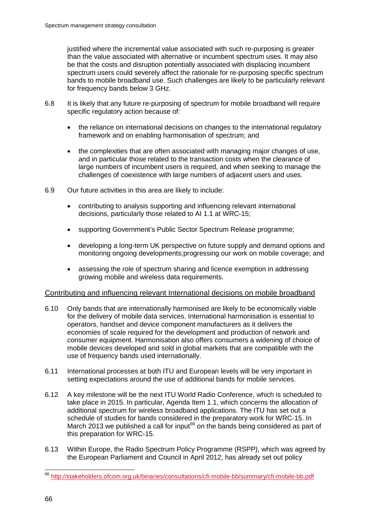justified where the incremental value associated with such re-purposing is greater than the value associated with alternative or incumbent spectrum uses. It may also be that the costs and disruption potentially associated with displacing incumbent spectrum users could severely affect the rationale for re-purposing specific spectrum bands to mobile broadband use. Such challenges are likely to be particularly relevant for frequency bands below 3 GHz.

- 6.8 It is likely that any future re-purposing of spectrum for mobile broadband will require specific regulatory action because of:
	- the reliance on international decisions on changes to the international regulatory framework and on enabling harmonisation of spectrum; and
	- the complexities that are often associated with managing major changes of use, and in particular those related to the transaction costs when the clearance of large numbers of incumbent users is required, and when seeking to manage the challenges of coexistence with large numbers of adjacent users and uses.
- 6.9 Our future activities in this area are likely to include:
	- contributing to analysis supporting and influencing relevant international decisions, particularly those related to AI 1.1 at WRC-15;
	- supporting Government's Public Sector Spectrum Release programme;
	- developing a long-term UK perspective on future supply and demand options and monitoring ongoing developments;progressing our work on mobile coverage; and
	- assessing the role of spectrum sharing and licence exemption in addressing growing mobile and wireless data requirements.

## Contributing and influencing relevant International decisions on mobile broadband

- 6.10 Only bands that are internationally harmonised are likely to be economically viable for the delivery of mobile data services. International harmonisation is essential to operators, handset and device component manufacturers as it delivers the economies of scale required for the development and production of network and consumer equipment. Harmonisation also offers consumers a widening of choice of mobile devices developed and sold in global markets that are compatible with the use of frequency bands used internationally.
- 6.11 International processes at both ITU and European levels will be very important in setting expectations around the use of additional bands for mobile services.
- 6.12 A key milestone will be the next ITU World Radio Conference, which is scheduled to take place in 2015. In particular, Agenda Item 1.1, which concerns the allocation of additional spectrum for wireless broadband applications. The ITU has set out a schedule of studies for bands considered in the preparatory work for WRC-15. In March 2013 we published a call for input<sup>[66](#page-67-0)</sup> on the bands being considered as part of this preparation for WRC-15.
- 6.13 Within Europe, the Radio Spectrum Policy Programme (RSPP), which was agreed by the European Parliament and Council in April 2012, has already set out policy

<span id="page-67-0"></span> <sup>66</sup> <http://stakeholders.ofcom.org.uk/binaries/consultations/cfi-mobile-bb/summary/cfi-mobile-bb.pdf>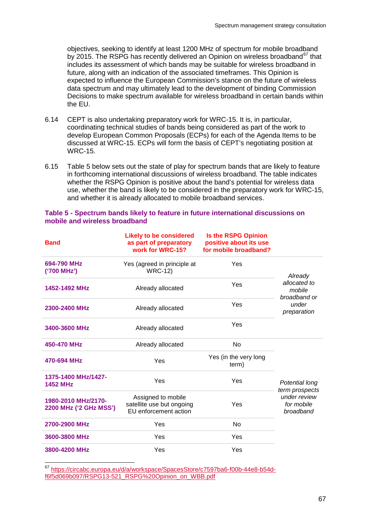objectives, seeking to identify at least 1200 MHz of spectrum for mobile broadband by 2015. The RSPG has recently delivered an Opinion on wireless broadband<sup>[67](#page-68-0)</sup> that includes its assessment of which bands may be suitable for wireless broadband in future, along with an indication of the associated timeframes. This Opinion is expected to influence the European Commission's stance on the future of wireless data spectrum and may ultimately lead to the development of binding Commission Decisions to make spectrum available for wireless broadband in certain bands within the EU.

- 6.14 CEPT is also undertaking preparatory work for WRC-15. It is, in particular, coordinating technical studies of bands being considered as part of the work to develop European Common Proposals (ECPs) for each of the Agenda Items to be discussed at WRC-15. ECPs will form the basis of CEPT's negotiating position at WRC-15.
- 6.15 Table 5 below sets out the state of play for spectrum bands that are likely to feature in forthcoming international discussions of wireless broadband. The table indicates whether the RSPG Opinion is positive about the band's potential for wireless data use, whether the band is likely to be considered in the preparatory work for WRC-15, and whether it is already allocated to mobile broadband services.

| <b>Band</b>                                   | <b>Likely to be considered</b><br>as part of preparatory<br>work for WRC-15? | <b>Is the RSPG Opinion</b><br>positive about its use<br>for mobile broadband? |                                         |  |
|-----------------------------------------------|------------------------------------------------------------------------------|-------------------------------------------------------------------------------|-----------------------------------------|--|
| 694-790 MHz<br>('700 MHz')                    | Yes (agreed in principle at<br><b>WRC-12)</b>                                | Yes                                                                           | Already                                 |  |
| 1452-1492 MHz                                 | Already allocated                                                            | Yes                                                                           | allocated to<br>mobile<br>broadband or  |  |
| 2300-2400 MHz                                 | Already allocated                                                            | Yes                                                                           | under<br>preparation                    |  |
| 3400-3600 MHz                                 | Already allocated                                                            | Yes                                                                           |                                         |  |
| 450-470 MHz                                   | Already allocated                                                            | <b>No</b>                                                                     |                                         |  |
| 470-694 MHz                                   | Yes                                                                          | Yes (in the very long<br>term)                                                |                                         |  |
| 1375-1400 MHz/1427-<br><b>1452 MHz</b>        | Yes                                                                          | Yes                                                                           | Potential long<br>term prospects        |  |
| 1980-2010 MHz/2170-<br>2200 MHz ('2 GHz MSS') | Assigned to mobile<br>satellite use but ongoing<br>EU enforcement action     | Yes                                                                           | under review<br>for mobile<br>broadband |  |
| 2700-2900 MHz                                 | Yes                                                                          | <b>No</b>                                                                     |                                         |  |
| 3600-3800 MHz                                 | Yes                                                                          | Yes                                                                           |                                         |  |
| 3800-4200 MHz                                 | Yes                                                                          | Yes                                                                           |                                         |  |

#### **Table 5 - Spectrum bands likely to feature in future international discussions on mobile and wireless broadband**

<span id="page-68-0"></span> 67 [https://circabc.europa.eu/d/a/workspace/SpacesStore/c7597ba6-f00b-44e8-b54d](https://circabc.europa.eu/d/a/workspace/SpacesStore/c7597ba6-f00b-44e8-b54d-f6f5d069b097/RSPG13-521_RSPG%20Opinion_on_WBB.pdf)[f6f5d069b097/RSPG13-521\\_RSPG%20Opinion\\_on\\_WBB.pdf](https://circabc.europa.eu/d/a/workspace/SpacesStore/c7597ba6-f00b-44e8-b54d-f6f5d069b097/RSPG13-521_RSPG%20Opinion_on_WBB.pdf)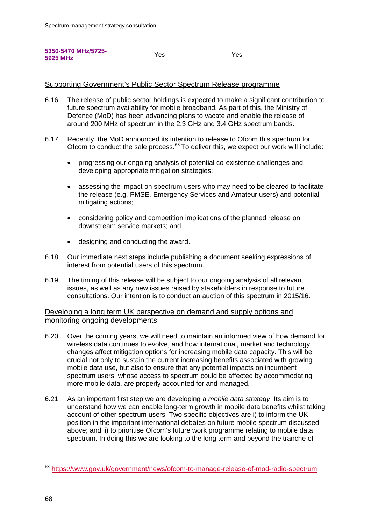**5350-5470 MHz/5725- 5925 MHz** Yes Yes

## Supporting Government's Public Sector Spectrum Release programme

- 6.16 The release of public sector holdings is expected to make a significant contribution to future spectrum availability for mobile broadband. As part of this, the Ministry of Defence (MoD) has been advancing plans to vacate and enable the release of around 200 MHz of spectrum in the 2.3 GHz and 3.4 GHz spectrum bands.
- 6.17 Recently, the MoD announced its intention to release to Ofcom this spectrum for Ofcom to conduct the sale process.<sup>[68](#page-69-0)</sup> To deliver this, we expect our work will include:
	- progressing our ongoing analysis of potential co-existence challenges and developing appropriate mitigation strategies;
	- assessing the impact on spectrum users who may need to be cleared to facilitate the release (e.g. PMSE, Emergency Services and Amateur users) and potential mitigating actions;
	- considering policy and competition implications of the planned release on downstream service markets; and
	- designing and conducting the award.
- 6.18 Our immediate next steps include publishing a document seeking expressions of interest from potential users of this spectrum.
- 6.19 The timing of this release will be subject to our ongoing analysis of all relevant issues, as well as any new issues raised by stakeholders in response to future consultations. Our intention is to conduct an auction of this spectrum in 2015/16.

## Developing a long term UK perspective on demand and supply options and monitoring ongoing developments

- 6.20 Over the coming years, we will need to maintain an informed view of how demand for wireless data continues to evolve, and how international, market and technology changes affect mitigation options for increasing mobile data capacity. This will be crucial not only to sustain the current increasing benefits associated with growing mobile data use, but also to ensure that any potential impacts on incumbent spectrum users, whose access to spectrum could be affected by accommodating more mobile data, are properly accounted for and managed.
- 6.21 As an important first step we are developing a *mobile data strategy*. Its aim is to understand how we can enable long-term growth in mobile data benefits whilst taking account of other spectrum users. Two specific objectives are i) to inform the UK position in the important international debates on future mobile spectrum discussed above; and ii) to prioritise Ofcom's future work programme relating to mobile data spectrum. In doing this we are looking to the long term and beyond the tranche of

<span id="page-69-0"></span> <sup>68</sup> <https://www.gov.uk/government/news/ofcom-to-manage-release-of-mod-radio-spectrum>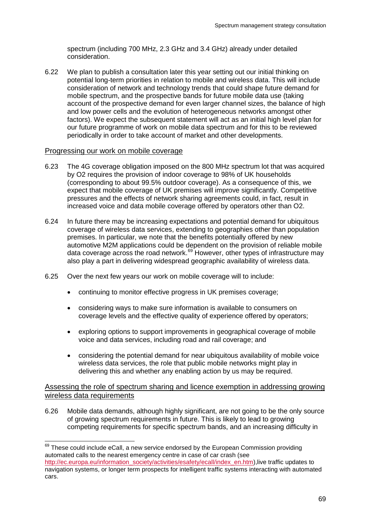spectrum (including 700 MHz, 2.3 GHz and 3.4 GHz) already under detailed consideration.

6.22 We plan to publish a consultation later this year setting out our initial thinking on potential long-term priorities in relation to mobile and wireless data. This will include consideration of network and technology trends that could shape future demand for mobile spectrum, and the prospective bands for future mobile data use (taking account of the prospective demand for even larger channel sizes, the balance of high and low power cells and the evolution of heterogeneous networks amongst other factors). We expect the subsequent statement will act as an initial high level plan for our future programme of work on mobile data spectrum and for this to be reviewed periodically in order to take account of market and other developments.

### Progressing our work on mobile coverage

- 6.23 The 4G coverage obligation imposed on the 800 MHz spectrum lot that was acquired by O2 requires the provision of indoor coverage to 98% of UK households (corresponding to about 99.5% outdoor coverage). As a consequence of this, we expect that mobile coverage of UK premises will improve significantly. Competitive pressures and the effects of network sharing agreements could, in fact, result in increased voice and data mobile coverage offered by operators other than O2.
- 6.24 In future there may be increasing expectations and potential demand for ubiquitous coverage of wireless data services, extending to geographies other than population premises. In particular, we note that the benefits potentially offered by new automotive M2M applications could be dependent on the provision of reliable mobile data coverage across the road network.<sup>[69](#page-70-0)</sup> However, other types of infrastructure may also play a part in delivering widespread geographic availability of wireless data.
- 6.25 Over the next few years our work on mobile coverage will to include:
	- continuing to monitor effective progress in UK premises coverage;
	- considering ways to make sure information is available to consumers on coverage levels and the effective quality of experience offered by operators;
	- exploring options to support improvements in geographical coverage of mobile voice and data services, including road and rail coverage; and
	- considering the potential demand for near ubiquitous availability of mobile voice wireless data services, the role that public mobile networks might play in delivering this and whether any enabling action by us may be required.

Assessing the role of spectrum sharing and licence exemption in addressing growing wireless data requirements

6.26 Mobile data demands, although highly significant, are not going to be the only source of growing spectrum requirements in future. This is likely to lead to growing competing requirements for specific spectrum bands, and an increasing difficulty in

<span id="page-70-0"></span><sup>&</sup>lt;sup>69</sup> These could include eCall, a new service endorsed by the European Commission providing automated calls to the nearest emergency centre in case of car crash (see [http://ec.europa.eu/information\\_society/activities/esafety/ecall/index\\_en.htm\)](http://ec.europa.eu/information_society/activities/esafety/ecall/index_en.htm),live traffic updates to navigation systems, or longer term prospects for intelligent traffic systems interacting with automated cars.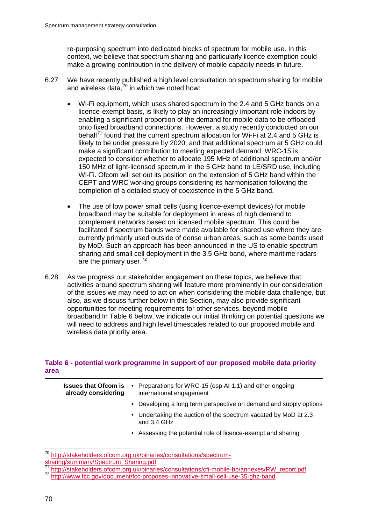re-purposing spectrum into dedicated blocks of spectrum for mobile use. In this context, we believe that spectrum sharing and particularly licence exemption could make a growing contribution in the delivery of mobile capacity needs in future.

- 6.27 We have recently published a high level consultation on spectrum sharing for mobile and wireless data,<sup>[70](#page-71-0)</sup> in which we noted how:
	- Wi-Fi equipment, which uses shared spectrum in the 2.4 and 5 GHz bands on a licence-exempt basis, is likely to play an increasingly important role indoors by enabling a significant proportion of the demand for mobile data to be offloaded onto fixed broadband connections. However, a study recently conducted on our behalf<sup>[71](#page-71-1)</sup> found that the current spectrum allocation for Wi-Fi at 2.4 and 5 GHz is likely to be under pressure by 2020, and that additional spectrum at 5 GHz could make a significant contribution to meeting expected demand. WRC-15 is expected to consider whether to allocate 195 MHz of additional spectrum and/or 150 MHz of light-licensed spectrum in the 5 GHz band to LE/SRD use, including Wi-Fi. Ofcom will set out its position on the extension of 5 GHz band within the CEPT and WRC working groups considering its harmonisation following the completion of a detailed study of coexistence in the 5 GHz band.
	- The use of low power small cells (using licence-exempt devices) for mobile broadband may be suitable for deployment in areas of high demand to complement networks based on licensed mobile spectrum. This could be facilitated if spectrum bands were made available for shared use where they are currently primarily used outside of dense urban areas, such as some bands used by MoD. Such an approach has been announced in the US to enable spectrum sharing and small cell deployment in the 3.5 GHz band, where maritime radars are the primary user.<sup>[72](#page-71-2)</sup>
- 6.28 As we progress our stakeholder engagement on these topics, we believe that activities around spectrum sharing will feature more prominently in our consideration of the issues we may need to act on when considering the mobile data challenge, but also, as we discuss further below in this Section, may also provide significant opportunities for meeting requirements for other services, beyond mobile broadband.In Table 6 below, we indicate our initial thinking on potential questions we will need to address and high level timescales related to our proposed mobile and wireless data priority area.

## **Table 6 - potential work programme in support of our proposed mobile data priority area**

| <b>Issues that Ofcom is</b><br>already considering | • Preparations for WRC-15 (esp AI 1.1) and other ongoing<br>international engagement |
|----------------------------------------------------|--------------------------------------------------------------------------------------|
|                                                    | • Developing a long term perspective on demand and supply options                    |
|                                                    | • Undertaking the auction of the spectrum vacated by MoD at 2.3<br>and 3.4 GHz       |
|                                                    | • Assessing the potential role of licence-exempt and sharing                         |
|                                                    |                                                                                      |

<span id="page-71-0"></span> <sup>70</sup> [http://stakeholders.ofcom.org.uk/binaries/consultations/spectrum](http://stakeholders.ofcom.org.uk/binaries/consultations/spectrum-sharing/summary/Spectrum_Sharing.pdf)[sharing/summary/Spectrum\\_Sharing.pdf](http://stakeholders.ofcom.org.uk/binaries/consultations/spectrum-sharing/summary/Spectrum_Sharing.pdf)<br>
<sup>71</sup> http://stakeholders.ofcom.org.uk/binaries/consultations/cfi-mobile-bb/annexes/RW\_report.pdf

<span id="page-71-2"></span><span id="page-71-1"></span><sup>72</sup> http://www<u>.fcc.gov/document/fcc-proposes-innovative-small-cell-use-35-ghz-band</u>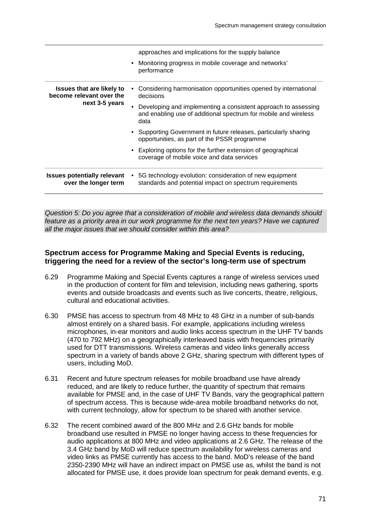|                                                              | approaches and implications for the supply balance                                                                                        |
|--------------------------------------------------------------|-------------------------------------------------------------------------------------------------------------------------------------------|
|                                                              | • Monitoring progress in mobile coverage and networks'<br>performance                                                                     |
| <b>Issues that are likely to</b><br>become relevant over the | Considering harmonisation opportunities opened by international<br>decisions                                                              |
| next 3-5 years                                               | Developing and implementing a consistent approach to assessing<br>and enabling use of additional spectrum for mobile and wireless<br>data |
|                                                              | • Supporting Government in future releases, particularly sharing<br>opportunities, as part of the PSSR programme                          |
|                                                              | • Exploring options for the further extension of geographical<br>coverage of mobile voice and data services                               |
| <b>Issues potentially relevant</b><br>over the longer term   | 5G technology evolution: consideration of new equipment<br>standards and potential impact on spectrum requirements                        |

*Question 5: Do you agree that a consideration of mobile and wireless data demands should feature as a priority area in our work programme for the next ten years? Have we captured all the major issues that we should consider within this area?*

## **Spectrum access for Programme Making and Special Events is reducing, triggering the need for a review of the sector's long-term use of spectrum**

- 6.29 Programme Making and Special Events captures a range of wireless services used in the production of content for film and television, including news gathering, sports events and outside broadcasts and events such as live concerts, theatre, religious, cultural and educational activities.
- 6.30 PMSE has access to spectrum from 48 MHz to 48 GHz in a number of sub-bands almost entirely on a shared basis. For example, applications including wireless microphones, in-ear monitors and audio links access spectrum in the UHF TV bands (470 to 792 MHz) on a geographically interleaved basis with frequencies primarily used for DTT transmissions. Wireless cameras and video links generally access spectrum in a variety of bands above 2 GHz, sharing spectrum with different types of users, including MoD.
- 6.31 Recent and future spectrum releases for mobile broadband use have already reduced, and are likely to reduce further, the quantity of spectrum that remains available for PMSE and, in the case of UHF TV Bands, vary the geographical pattern of spectrum access. This is because wide-area mobile broadband networks do not, with current technology, allow for spectrum to be shared with another service.
- 6.32 The recent combined award of the 800 MHz and 2.6 GHz bands for mobile broadband use resulted in PMSE no longer having access to these frequencies for audio applications at 800 MHz and video applications at 2.6 GHz. The release of the 3.4 GHz band by MoD will reduce spectrum availability for wireless cameras and video links as PMSE currently has access to the band. MoD's release of the band 2350-2390 MHz will have an indirect impact on PMSE use as, whilst the band is not allocated for PMSE use, it does provide loan spectrum for peak demand events, e.g.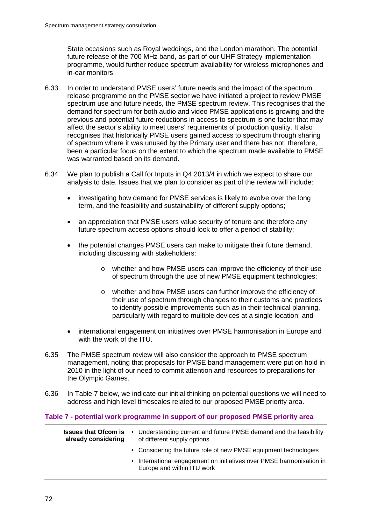State occasions such as Royal weddings, and the London marathon. The potential future release of the 700 MHz band, as part of our UHF Strategy implementation programme, would further reduce spectrum availability for wireless microphones and in-ear monitors.

- 6.33 In order to understand PMSE users' future needs and the impact of the spectrum release programme on the PMSE sector we have initiated a project to review PMSE spectrum use and future needs, the PMSE spectrum review. This recognises that the demand for spectrum for both audio and video PMSE applications is growing and the previous and potential future reductions in access to spectrum is one factor that may affect the sector's ability to meet users' requirements of production quality. It also recognises that historically PMSE users gained access to spectrum through sharing of spectrum where it was unused by the Primary user and there has not, therefore, been a particular focus on the extent to which the spectrum made available to PMSE was warranted based on its demand.
- 6.34 We plan to publish a Call for Inputs in Q4 2013/4 in which we expect to share our analysis to date. Issues that we plan to consider as part of the review will include:
	- investigating how demand for PMSE services is likely to evolve over the long term, and the feasibility and sustainability of different supply options;
	- an appreciation that PMSE users value security of tenure and therefore any future spectrum access options should look to offer a period of stability;
	- the potential changes PMSE users can make to mitigate their future demand, including discussing with stakeholders:
		- o whether and how PMSE users can improve the efficiency of their use of spectrum through the use of new PMSE equipment technologies;
		- o whether and how PMSE users can further improve the efficiency of their use of spectrum through changes to their customs and practices to identify possible improvements such as in their technical planning, particularly with regard to multiple devices at a single location; and
	- international engagement on initiatives over PMSE harmonisation in Europe and with the work of the ITU.
- 6.35 The PMSE spectrum review will also consider the approach to PMSE spectrum management, noting that proposals for PMSE band management were put on hold in 2010 in the light of our need to commit attention and resources to preparations for the Olympic Games.
- 6.36 In Table 7 below, we indicate our initial thinking on potential questions we will need to address and high level timescales related to our proposed PMSE priority area.

### **Table 7 - potential work programme in support of our proposed PMSE priority area**

| <b>Issues that Ofcom is</b><br>already considering | • Understanding current and future PMSE demand and the feasibility<br>of different supply options  |
|----------------------------------------------------|----------------------------------------------------------------------------------------------------|
|                                                    | • Considering the future role of new PMSE equipment technologies                                   |
|                                                    | • International engagement on initiatives over PMSE harmonisation in<br>Europe and within ITU work |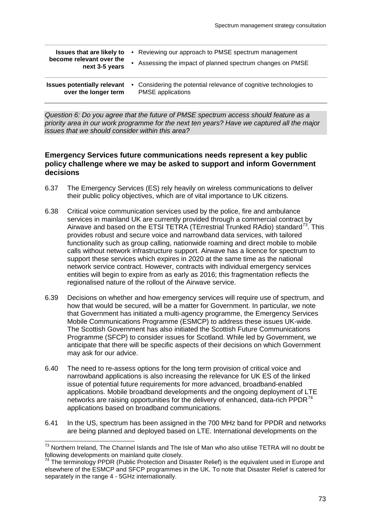| <b>Issues that are likely to</b><br>become relevant over the<br>next 3-5 years | • Reviewing our approach to PMSE spectrum management<br>Assessing the impact of planned spectrum changes on PMSE |
|--------------------------------------------------------------------------------|------------------------------------------------------------------------------------------------------------------|
| <b>Issues potentially relevant</b>                                             | • Considering the potential relevance of cognitive technologies to                                               |
| over the longer term                                                           | <b>PMSE</b> applications                                                                                         |

*Question 6: Do you agree that the future of PMSE spectrum access should feature as a priority area in our work programme for the next ten years? Have we captured all the major issues that we should consider within this area?*

### **Emergency Services future communications needs represent a key public policy challenge where we may be asked to support and inform Government decisions**

- 6.37 The Emergency Services (ES) rely heavily on wireless communications to deliver their public policy objectives, which are of vital importance to UK citizens.
- 6.38 Critical voice communication services used by the police, fire and ambulance services in mainland UK are currently provided through a commercial contract by Airwave and based on the ETSI TETRA (TErrestrial Trunked RAdio) standard<sup>73</sup>. This provides robust and secure voice and narrowband data services, with tailored functionality such as group calling, nationwide roaming and direct mobile to mobile calls without network infrastructure support. Airwave has a licence for spectrum to support these services which expires in 2020 at the same time as the national network service contract. However, contracts with individual emergency services entities will begin to expire from as early as 2016; this fragmentation reflects the regionalised nature of the rollout of the Airwave service.
- 6.39 Decisions on whether and how emergency services will require use of spectrum, and how that would be secured, will be a matter for Government. In particular, we note that Government has initiated a multi-agency programme, the Emergency Services Mobile Communications Programme (ESMCP) to address these issues UK-wide. The Scottish Government has also initiated the Scottish Future Communications Programme (SFCP) to consider issues for Scotland. While led by Government, we anticipate that there will be specific aspects of their decisions on which Government may ask for our advice.
- 6.40 The need to re-assess options for the long term provision of critical voice and narrowband applications is also increasing the relevance for UK ES of the linked issue of potential future requirements for more advanced, broadband-enabled applications. Mobile broadband developments and the ongoing deployment of LTE networks are raising opportunities for the delivery of enhanced, data-rich PPDR $^{74}$  $^{74}$  $^{74}$ applications based on broadband communications.
- 6.41 In the US, spectrum has been assigned in the 700 MHz band for PPDR and networks are being planned and deployed based on LTE. International developments on the

<span id="page-74-0"></span> $^{73}$  Northern Ireland, The Channel Islands and The Isle of Man who also utilise TETRA will no doubt be following developments on mainland quite closely.

<span id="page-74-1"></span>The terminology PPDR (Public Protection and Disaster Relief) is the equivalent used in Europe and elsewhere of the ESMCP and SFCP programmes in the UK. To note that Disaster Relief is catered for separately in the range 4 - 5GHz internationally.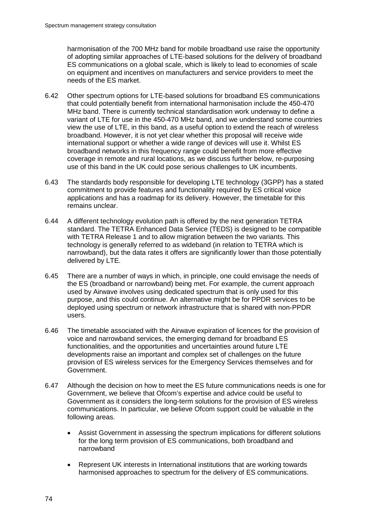harmonisation of the 700 MHz band for mobile broadband use raise the opportunity of adopting similar approaches of LTE-based solutions for the delivery of broadband ES communications on a global scale, which is likely to lead to economies of scale on equipment and incentives on manufacturers and service providers to meet the needs of the ES market.

- 6.42 Other spectrum options for LTE-based solutions for broadband ES communications that could potentially benefit from international harmonisation include the 450-470 MHz band. There is currently technical standardisation work underway to define a variant of LTE for use in the 450-470 MHz band, and we understand some countries view the use of LTE, in this band, as a useful option to extend the reach of wireless broadband. However, it is not yet clear whether this proposal will receive wide international support or whether a wide range of devices will use it. Whilst ES broadband networks in this frequency range could benefit from more effective coverage in remote and rural locations, as we discuss further below, re-purposing use of this band in the UK could pose serious challenges to UK incumbents.
- 6.43 The standards body responsible for developing LTE technology (3GPP) has a stated commitment to provide features and functionality required by ES critical voice applications and has a roadmap for its delivery. However, the timetable for this remains unclear.
- 6.44 A different technology evolution path is offered by the next generation TETRA standard. The TETRA Enhanced Data Service (TEDS) is designed to be compatible with TETRA Release 1 and to allow migration between the two variants. This technology is generally referred to as wideband (in relation to TETRA which is narrowband), but the data rates it offers are significantly lower than those potentially delivered by LTE.
- 6.45 There are a number of ways in which, in principle, one could envisage the needs of the ES (broadband or narrowband) being met. For example, the current approach used by Airwave involves using dedicated spectrum that is only used for this purpose, and this could continue. An alternative might be for PPDR services to be deployed using spectrum or network infrastructure that is shared with non-PPDR users.
- 6.46 The timetable associated with the Airwave expiration of licences for the provision of voice and narrowband services, the emerging demand for broadband ES functionalities, and the opportunities and uncertainties around future LTE developments raise an important and complex set of challenges on the future provision of ES wireless services for the Emergency Services themselves and for Government.
- 6.47 Although the decision on how to meet the ES future communications needs is one for Government, we believe that Ofcom's expertise and advice could be useful to Government as it considers the long-term solutions for the provision of ES wireless communications. In particular, we believe Ofcom support could be valuable in the following areas.
	- Assist Government in assessing the spectrum implications for different solutions for the long term provision of ES communications, both broadband and narrowband
	- Represent UK interests in International institutions that are working towards harmonised approaches to spectrum for the delivery of ES communications.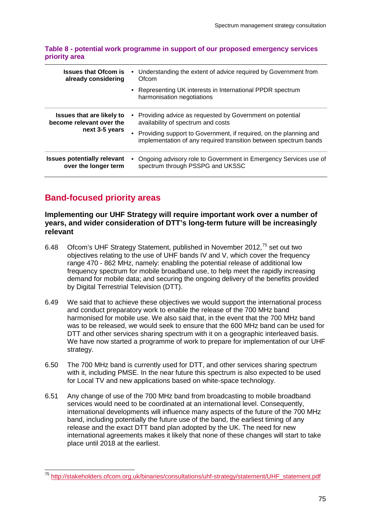### **Table 8 - potential work programme in support of our proposed emergency services priority area**

| <b>Issues that Ofcom is</b><br>already considering           | Understanding the extent of advice required by Government from<br>Ofcom                                                                 |
|--------------------------------------------------------------|-----------------------------------------------------------------------------------------------------------------------------------------|
|                                                              | • Representing UK interests in International PPDR spectrum<br>harmonisation negotiations                                                |
| <b>Issues that are likely to</b><br>become relevant over the | Providing advice as requested by Government on potential<br>availability of spectrum and costs                                          |
| next 3-5 years                                               | • Providing support to Government, if required, on the planning and<br>implementation of any required transition between spectrum bands |
| <b>Issues potentially relevant</b><br>over the longer term   | Ongoing advisory role to Government in Emergency Services use of<br>spectrum through PSSPG and UKSSC                                    |

# **Band-focused priority areas**

## **Implementing our UHF Strategy will require important work over a number of years, and wider consideration of DTT's long-term future will be increasingly relevant**

- 6.48 Ofcom's UHF Strategy Statement, published in November 2012,<sup>[75](#page-76-0)</sup> set out two objectives relating to the use of UHF bands IV and V, which cover the frequency range 470 - 862 MHz, namely: enabling the potential release of additional low frequency spectrum for mobile broadband use, to help meet the rapidly increasing demand for mobile data; and securing the ongoing delivery of the benefits provided by Digital Terrestrial Television (DTT).
- 6.49 We said that to achieve these objectives we would support the international process and conduct preparatory work to enable the release of the 700 MHz band harmonised for mobile use. We also said that, in the event that the 700 MHz band was to be released, we would seek to ensure that the 600 MHz band can be used for DTT and other services sharing spectrum with it on a geographic interleaved basis. We have now started a programme of work to prepare for implementation of our UHF strategy.
- 6.50 The 700 MHz band is currently used for DTT, and other services sharing spectrum with it, including PMSE. In the near future this spectrum is also expected to be used for Local TV and new applications based on white-space technology.
- 6.51 Any change of use of the 700 MHz band from broadcasting to mobile broadband services would need to be coordinated at an international level. Consequently, international developments will influence many aspects of the future of the 700 MHz band, including potentially the future use of the band, the earliest timing of any release and the exact DTT band plan adopted by the UK. The need for new international agreements makes it likely that none of these changes will start to take place until 2018 at the earliest.

<span id="page-76-0"></span> <sup>75</sup> [http://stakeholders.ofcom.org.uk/binaries/consultations/uhf-strategy/statement/UHF\\_statement.pdf](http://stakeholders.ofcom.org.uk/binaries/consultations/uhf-strategy/statement/UHF_statement.pdf)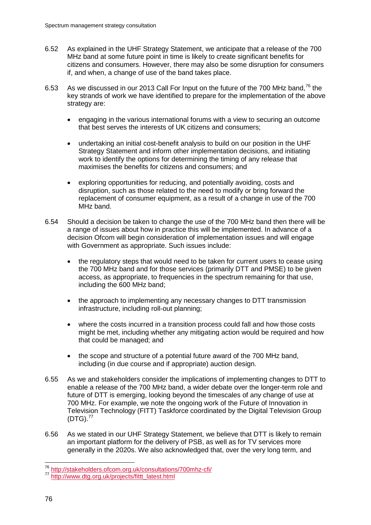- 6.52 As explained in the UHF Strategy Statement, we anticipate that a release of the 700 MHz band at some future point in time is likely to create significant benefits for citizens and consumers. However, there may also be some disruption for consumers if, and when, a change of use of the band takes place.
- 6.53 As we discussed in our 2013 Call For Input on the future of the 700 MHz band,  $76$  the key strands of work we have identified to prepare for the implementation of the above strategy are:
	- engaging in the various international forums with a view to securing an outcome that best serves the interests of UK citizens and consumers;
	- undertaking an initial cost-benefit analysis to build on our position in the UHF Strategy Statement and inform other implementation decisions, and initiating work to identify the options for determining the timing of any release that maximises the benefits for citizens and consumers; and
	- exploring opportunities for reducing, and potentially avoiding, costs and disruption, such as those related to the need to modify or bring forward the replacement of consumer equipment, as a result of a change in use of the 700 MHz band.
- 6.54 Should a decision be taken to change the use of the 700 MHz band then there will be a range of issues about how in practice this will be implemented. In advance of a decision Ofcom will begin consideration of implementation issues and will engage with Government as appropriate. Such issues include:
	- the regulatory steps that would need to be taken for current users to cease using the 700 MHz band and for those services (primarily DTT and PMSE) to be given access, as appropriate, to frequencies in the spectrum remaining for that use, including the 600 MHz band;
	- the approach to implementing any necessary changes to DTT transmission infrastructure, including roll-out planning;
	- where the costs incurred in a transition process could fall and how those costs might be met, including whether any mitigating action would be required and how that could be managed; and
	- the scope and structure of a potential future award of the 700 MHz band, including (in due course and if appropriate) auction design.
- 6.55 As we and stakeholders consider the implications of implementing changes to DTT to enable a release of the 700 MHz band, a wider debate over the longer-term role and future of DTT is emerging, looking beyond the timescales of any change of use at 700 MHz. For example, we note the ongoing work of the Future of Innovation in Television Technology (FITT) Taskforce coordinated by the Digital Television Group  $(DTG)$ .<sup>[77](#page-77-1)</sup>
- 6.56 As we stated in our UHF Strategy Statement, we believe that DTT is likely to remain an important platform for the delivery of PSB, as well as for TV services more generally in the 2020s. We also acknowledged that, over the very long term, and

<span id="page-77-1"></span><span id="page-77-0"></span><sup>76</sup> <http://stakeholders.ofcom.org.uk/consultations/700mhz-cfi/> <sup>77</sup> [http://www.dtg.org.uk/projects/fittt\\_latest.html](http://www.dtg.org.uk/projects/fittt_latest.html)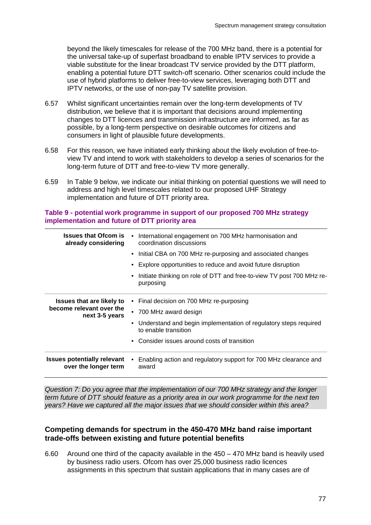beyond the likely timescales for release of the 700 MHz band, there is a potential for the universal take-up of superfast broadband to enable IPTV services to provide a viable substitute for the linear broadcast TV service provided by the DTT platform, enabling a potential future DTT switch-off scenario. Other scenarios could include the use of hybrid platforms to deliver free-to-view services, leveraging both DTT and IPTV networks, or the use of non-pay TV satellite provision.

- 6.57 Whilst significant uncertainties remain over the long-term developments of TV distribution, we believe that it is important that decisions around implementing changes to DTT licences and transmission infrastructure are informed, as far as possible, by a long-term perspective on desirable outcomes for citizens and consumers in light of plausible future developments.
- 6.58 For this reason, we have initiated early thinking about the likely evolution of free-toview TV and intend to work with stakeholders to develop a series of scenarios for the long-term future of DTT and free-to-view TV more generally.
- 6.59 In Table 9 below, we indicate our initial thinking on potential questions we will need to address and high level timescales related to our proposed UHF Strategy implementation and future of DTT priority area.

### **Table 9 - potential work programme in support of our proposed 700 MHz strategy implementation and future of DTT priority area**

| <b>Issues that Ofcom is</b><br>already considering         | International engagement on 700 MHz harmonisation and<br>coordination discussions        |
|------------------------------------------------------------|------------------------------------------------------------------------------------------|
|                                                            | • Initial CBA on 700 MHz re-purposing and associated changes                             |
|                                                            | Explore opportunities to reduce and avoid future disruption                              |
|                                                            | Initiate thinking on role of DTT and free-to-view TV post 700 MHz re-<br>purposing       |
| <b>Issues that are likely to</b>                           | Final decision on 700 MHz re-purposing                                                   |
| become relevant over the<br>next 3-5 years                 | • 700 MHz award design                                                                   |
|                                                            | Understand and begin implementation of regulatory steps required<br>to enable transition |
|                                                            | Consider issues around costs of transition                                               |
| <b>Issues potentially relevant</b><br>over the longer term | Enabling action and regulatory support for 700 MHz clearance and<br>award                |

*Question 7: Do you agree that the implementation of our 700 MHz strategy and the longer term future of DTT should feature as a priority area in our work programme for the next ten years? Have we captured all the major issues that we should consider within this area?*

## **Competing demands for spectrum in the 450-470 MHz band raise important trade-offs between existing and future potential benefits**

6.60 Around one third of the capacity available in the 450 – 470 MHz band is heavily used by business radio users. Ofcom has over 25,000 business radio licences assignments in this spectrum that sustain applications that in many cases are of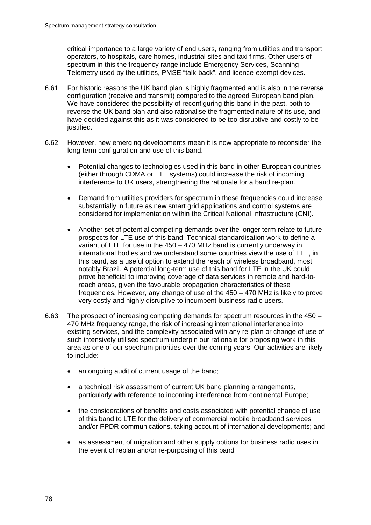critical importance to a large variety of end users, ranging from utilities and transport operators, to hospitals, care homes, industrial sites and taxi firms. Other users of spectrum in this the frequency range include Emergency Services, Scanning Telemetry used by the utilities, PMSE "talk-back", and licence-exempt devices.

- 6.61 For historic reasons the UK band plan is highly fragmented and is also in the reverse configuration (receive and transmit) compared to the agreed European band plan. We have considered the possibility of reconfiguring this band in the past, both to reverse the UK band plan and also rationalise the fragmented nature of its use, and have decided against this as it was considered to be too disruptive and costly to be justified.
- 6.62 However, new emerging developments mean it is now appropriate to reconsider the long-term configuration and use of this band.
	- Potential changes to technologies used in this band in other European countries (either through CDMA or LTE systems) could increase the risk of incoming interference to UK users, strengthening the rationale for a band re-plan.
	- Demand from utilities providers for spectrum in these frequencies could increase substantially in future as new smart grid applications and control systems are considered for implementation within the Critical National Infrastructure (CNI).
	- Another set of potential competing demands over the longer term relate to future prospects for LTE use of this band. Technical standardisation work to define a variant of LTE for use in the 450 – 470 MHz band is currently underway in international bodies and we understand some countries view the use of LTE, in this band, as a useful option to extend the reach of wireless broadband, most notably Brazil. A potential long-term use of this band for LTE in the UK could prove beneficial to improving coverage of data services in remote and hard-toreach areas, given the favourable propagation characteristics of these frequencies. However, any change of use of the 450 – 470 MHz is likely to prove very costly and highly disruptive to incumbent business radio users.
- 6.63 The prospect of increasing competing demands for spectrum resources in the 450 470 MHz frequency range, the risk of increasing international interference into existing services, and the complexity associated with any re-plan or change of use of such intensively utilised spectrum underpin our rationale for proposing work in this area as one of our spectrum priorities over the coming years. Our activities are likely to include:
	- an ongoing audit of current usage of the band;
	- a technical risk assessment of current UK band planning arrangements, particularly with reference to incoming interference from continental Europe;
	- the considerations of benefits and costs associated with potential change of use of this band to LTE for the delivery of commercial mobile broadband services and/or PPDR communications, taking account of international developments; and
	- as assessment of migration and other supply options for business radio uses in the event of replan and/or re-purposing of this band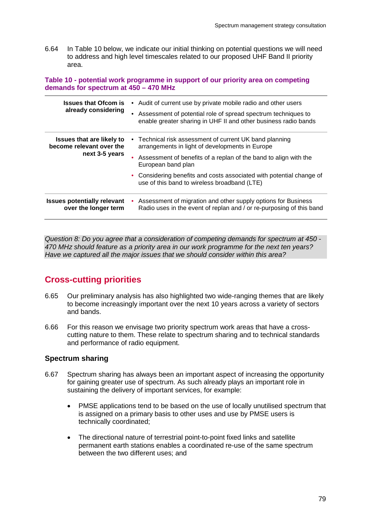6.64 In Table 10 below, we indicate our initial thinking on potential questions we will need to address and high level timescales related to our proposed UHF Band II priority area.

**Table 10 - potential work programme in support of our priority area on competing demands for spectrum at 450 – 470 MHz**

| <b>Issues that Ofcom is</b><br>already considering           | Audit of current use by private mobile radio and other users<br>$\bullet$<br>Assessment of potential role of spread spectrum techniques to<br>enable greater sharing in UHF II and other business radio bands |
|--------------------------------------------------------------|---------------------------------------------------------------------------------------------------------------------------------------------------------------------------------------------------------------|
| <b>Issues that are likely to</b><br>become relevant over the | • Technical risk assessment of current UK band planning<br>arrangements in light of developments in Europe                                                                                                    |
| next 3-5 years                                               | Assessment of benefits of a replan of the band to align with the<br>European band plan                                                                                                                        |
|                                                              | • Considering benefits and costs associated with potential change of<br>use of this band to wireless broadband (LTE)                                                                                          |
| <b>Issues potentially relevant</b><br>over the longer term   | Assessment of migration and other supply options for Business<br>Radio uses in the event of replan and / or re-purposing of this band                                                                         |

*Question 8: Do you agree that a consideration of competing demands for spectrum at 450 - 470 MHz should feature as a priority area in our work programme for the next ten years? Have we captured all the major issues that we should consider within this area?*

# **Cross-cutting priorities**

- 6.65 Our preliminary analysis has also highlighted two wide-ranging themes that are likely to become increasingly important over the next 10 years across a variety of sectors and bands.
- 6.66 For this reason we envisage two priority spectrum work areas that have a crosscutting nature to them. These relate to spectrum sharing and to technical standards and performance of radio equipment.

## **Spectrum sharing**

- 6.67 Spectrum sharing has always been an important aspect of increasing the opportunity for gaining greater use of spectrum. As such already plays an important role in sustaining the delivery of important services, for example:
	- PMSE applications tend to be based on the use of locally unutilised spectrum that is assigned on a primary basis to other uses and use by PMSE users is technically coordinated;
	- The directional nature of terrestrial point-to-point fixed links and satellite permanent earth stations enables a coordinated re-use of the same spectrum between the two different uses; and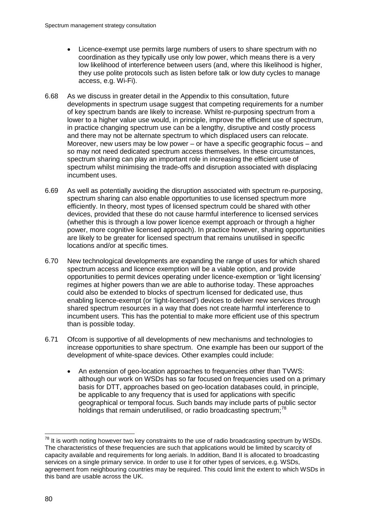- Licence-exempt use permits large numbers of users to share spectrum with no coordination as they typically use only low power, which means there is a very low likelihood of interference between users (and, where this likelihood is higher, they use polite protocols such as listen before talk or low duty cycles to manage access, e.g. Wi-Fi).
- 6.68 As we discuss in greater detail in the Appendix to this consultation, future developments in spectrum usage suggest that competing requirements for a number of key spectrum bands are likely to increase. Whilst re-purposing spectrum from a lower to a higher value use would, in principle, improve the efficient use of spectrum, in practice changing spectrum use can be a lengthy, disruptive and costly process and there may not be alternate spectrum to which displaced users can relocate. Moreover, new users may be low power – or have a specific geographic focus – and so may not need dedicated spectrum access themselves. In these circumstances, spectrum sharing can play an important role in increasing the efficient use of spectrum whilst minimising the trade-offs and disruption associated with displacing incumbent uses.
- 6.69 As well as potentially avoiding the disruption associated with spectrum re-purposing, spectrum sharing can also enable opportunities to use licensed spectrum more efficiently. In theory, most types of licensed spectrum could be shared with other devices, provided that these do not cause harmful interference to licensed services (whether this is through a low power licence exempt approach or through a higher power, more cognitive licensed approach). In practice however, sharing opportunities are likely to be greater for licensed spectrum that remains unutilised in specific locations and/or at specific times.
- 6.70 New technological developments are expanding the range of uses for which shared spectrum access and licence exemption will be a viable option, and provide opportunities to permit devices operating under licence-exemption or 'light licensing' regimes at higher powers than we are able to authorise today. These approaches could also be extended to blocks of spectrum licensed for dedicated use, thus enabling licence-exempt (or 'light-licensed') devices to deliver new services through shared spectrum resources in a way that does not create harmful interference to incumbent users. This has the potential to make more efficient use of this spectrum than is possible today.
- 6.71 Ofcom is supportive of all developments of new mechanisms and technologies to increase opportunities to share spectrum. One example has been our support of the development of white-space devices. Other examples could include:
	- An extension of geo-location approaches to frequencies other than TVWS: although our work on WSDs has so far focused on frequencies used on a primary basis for DTT, approaches based on geo-location databases could, in principle, be applicable to any frequency that is used for applications with specific geographical or temporal focus. Such bands may include parts of public sector holdings that remain underutilised, or radio broadcasting spectrum; $^{78}$  $^{78}$  $^{78}$

<span id="page-81-0"></span> $78$  It is worth noting however two key constraints to the use of radio broadcasting spectrum by WSDs. The characteristics of these frequencies are such that applications would be limited by scarcity of capacity available and requirements for long aerials. In addition, Band II is allocated to broadcasting services on a single primary service. In order to use it for other types of services, e.g. WSDs, agreement from neighbouring countries may be required. This could limit the extent to which WSDs in this band are usable across the UK.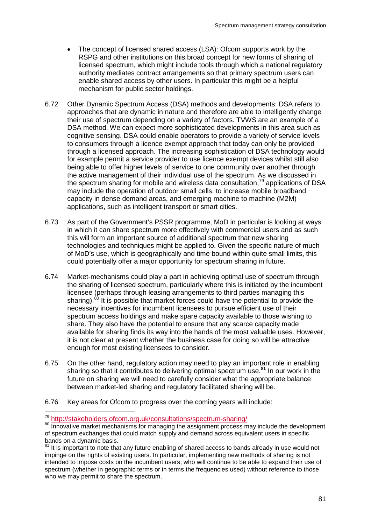- The concept of licensed shared access (LSA): Ofcom supports work by the RSPG and other institutions on this broad concept for new forms of sharing of licensed spectrum, which might include tools through which a national regulatory authority mediates contract arrangements so that primary spectrum users can enable shared access by other users. In particular this might be a helpful mechanism for public sector holdings.
- 6.72 Other Dynamic Spectrum Access (DSA) methods and developments: DSA refers to approaches that are dynamic in nature and therefore are able to intelligently change their use of spectrum depending on a variety of factors. TVWS are an example of a DSA method. We can expect more sophisticated developments in this area such as cognitive sensing. DSA could enable operators to provide a variety of service levels to consumers through a licence exempt approach that today can only be provided through a licensed approach. The increasing sophistication of DSA technology would for example permit a service provider to use licence exempt devices whilst still also being able to offer higher levels of service to one community over another through the active management of their individual use of the spectrum. As we discussed in the spectrum sharing for mobile and wireless data consultation,<sup>[79](#page-82-0)</sup> applications of DSA may include the operation of outdoor small cells, to increase mobile broadband capacity in dense demand areas, and emerging machine to machine (M2M) applications, such as intelligent transport or smart cities.
- 6.73 As part of the Government's PSSR programme, MoD in particular is looking at ways in which it can share spectrum more effectively with commercial users and as such this will form an important source of additional spectrum that new sharing technologies and techniques might be applied to. Given the specific nature of much of MoD's use, which is geographically and time bound within quite small limits, this could potentially offer a major opportunity for spectrum sharing in future.
- 6.74 Market-mechanisms could play a part in achieving optimal use of spectrum through the sharing of licensed spectrum, particularly where this is initiated by the incumbent licensee (perhaps through leasing arrangements to third parties managing this sharing). $80$  It is possible that market forces could have the potential to provide the necessary incentives for incumbent licensees to pursue efficient use of their spectrum access holdings and make spare capacity available to those wishing to share. They also have the potential to ensure that any scarce capacity made available for sharing finds its way into the hands of the most valuable uses. However, it is not clear at present whether the business case for doing so will be attractive enough for most existing licensees to consider.
- 6.75 On the other hand, regulatory action may need to play an important role in enabling sharing so that it contributes to delivering optimal spectrum use. **[81](#page-82-2)** In our work in the future on sharing we will need to carefully consider what the appropriate balance between market-led sharing and regulatory facilitated sharing will be.
- 6.76 Key areas for Ofcom to progress over the coming years will include:

<span id="page-82-1"></span><span id="page-82-0"></span> $79 \text{ http://stakeholders.ofcom.org.uk/consultations/spectrum-sharing/}\n 80 \text{Intro://stakeholders.ofcom.org.uk/consultations/spectrum-sharing/}\n$  $79 \text{ http://stakeholders.ofcom.org.uk/consultations/spectrum-sharing/}\n 80 \text{Intro://stakeholders.ofcom.org.uk/consultations/spectrum-sharing/}\n$  $79 \text{ http://stakeholders.ofcom.org.uk/consultations/spectrum-sharing/}\n 80 \text{Intro://stakeholders.ofcom.org.uk/consultations/spectrum-sharing/}\n$ of spectrum exchanges that could match supply and demand across equivalent users in specific<br>bands on a dynamic basis.

<span id="page-82-2"></span> $81$  It is important to note that any future enabling of shared access to bands already in use would not impinge on the rights of existing users. In particular, implementing new methods of sharing is not intended to impose costs on the incumbent users, who will continue to be able to expand their use of spectrum (whether in geographic terms or in terms the frequencies used) without reference to those who we may permit to share the spectrum.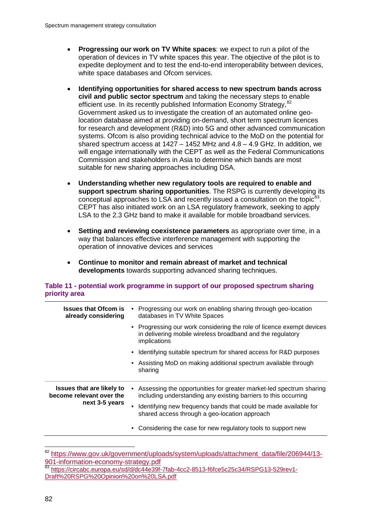- **Progressing our work on TV White spaces**: we expect to run a pilot of the operation of devices in TV white spaces this year. The objective of the pilot is to expedite deployment and to test the end-to-end interoperability between devices, white space databases and Ofcom services.
- **Identifying opportunities for shared access to new spectrum bands across civil and public sector spectrum** and taking the necessary steps to enable efficient use. In its recently published Information Economy Strategy, <sup>[82](#page-83-0)</sup> Government asked us to investigate the creation of an automated online geolocation database aimed at providing on-demand, short term spectrum licences for research and development (R&D) into 5G and other advanced communication systems. Ofcom is also providing technical advice to the MoD on the potential for shared spectrum access at 1427 – 1452 MHz and 4.8 – 4.9 GHz. In addition, we will engage internationally with the CEPT as well as the Federal Communications Commission and stakeholders in Asia to determine which bands are most suitable for new sharing approaches including DSA.
- **Understanding whether new regulatory tools are required to enable and support spectrum sharing opportunities**. The RSPG is currently developing its conceptual approaches to LSA and recently issued a consultation on the topic $83$ . CEPT has also initiated work on an LSA regulatory framework, seeking to apply LSA to the 2.3 GHz band to make it available for mobile broadband services.
- **Setting and reviewing coexistence parameters** as appropriate over time, in a way that balances effective interference management with supporting the operation of innovative devices and services
- **Continue to monitor and remain abreast of market and technical developments** towards supporting advanced sharing techniques.

### **Table 11 - potential work programme in support of our proposed spectrum sharing priority area**

| <b>Issues that Ofcom is</b><br>already considering                             | Progressing our work on enabling sharing through geo-location<br>databases in TV White Spaces                                                       |
|--------------------------------------------------------------------------------|-----------------------------------------------------------------------------------------------------------------------------------------------------|
|                                                                                | • Progressing our work considering the role of licence exempt devices<br>in delivering mobile wireless broadband and the regulatory<br>implications |
|                                                                                | • Identifying suitable spectrum for shared access for R&D purposes                                                                                  |
|                                                                                | • Assisting MoD on making additional spectrum available through<br>sharing                                                                          |
| <b>Issues that are likely to</b><br>become relevant over the<br>next 3-5 years | Assessing the opportunities for greater market-led spectrum sharing<br>including understanding any existing barriers to this occurring              |
|                                                                                | Identifying new frequency bands that could be made available for<br>shared access through a geo-location approach                                   |
|                                                                                | Considering the case for new regulatory tools to support new                                                                                        |
|                                                                                |                                                                                                                                                     |

<span id="page-83-0"></span><sup>&</sup>lt;sup>82</sup> [https://www.gov.uk/government/uploads/system/uploads/attachment\\_data/file/206944/13-](https://www.gov.uk/government/uploads/system/uploads/attachment_data/file/206944/13-901-information-economy-strategy.pdf)<br>901-information-economy-strategy.pdf

<span id="page-83-1"></span><sup>83</sup> [https://circabc.europa.eu/sd/d/dc44e39f-7fab-4cc2-8513-f6fce5c25c34/RSPG13-529rev1-](https://circabc.europa.eu/sd/d/dc44e39f-7fab-4cc2-8513-f6fce5c25c34/RSPG13-529rev1-Draft%20RSPG%20Opinion%20on%20LSA.pdf) [Draft%20RSPG%20Opinion%20on%20LSA.pdf](https://circabc.europa.eu/sd/d/dc44e39f-7fab-4cc2-8513-f6fce5c25c34/RSPG13-529rev1-Draft%20RSPG%20Opinion%20on%20LSA.pdf)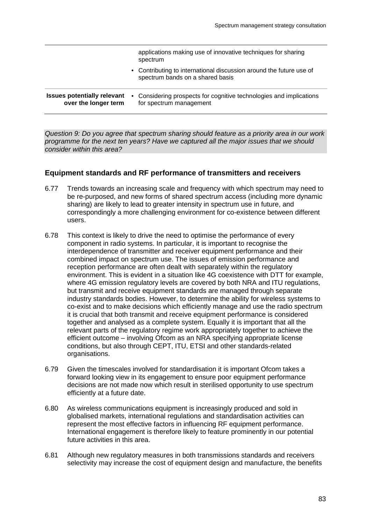|                                                            | applications making use of innovative techniques for sharing<br>spectrum                                |
|------------------------------------------------------------|---------------------------------------------------------------------------------------------------------|
|                                                            | • Contributing to international discussion around the future use of<br>spectrum bands on a shared basis |
| <b>Issues potentially relevant</b><br>over the longer term | • Considering prospects for cognitive technologies and implications<br>for spectrum management          |

*Question 9: Do you agree that spectrum sharing should feature as a priority area in our work programme for the next ten years? Have we captured all the major issues that we should consider within this area?*

### **Equipment standards and RF performance of transmitters and receivers**

- 6.77 Trends towards an increasing scale and frequency with which spectrum may need to be re-purposed, and new forms of shared spectrum access (including more dynamic sharing) are likely to lead to greater intensity in spectrum use in future, and correspondingly a more challenging environment for co-existence between different users.
- 6.78 This context is likely to drive the need to optimise the performance of every component in radio systems. In particular, it is important to recognise the interdependence of transmitter and receiver equipment performance and their combined impact on spectrum use. The issues of emission performance and reception performance are often dealt with separately within the regulatory environment. This is evident in a situation like 4G coexistence with DTT for example, where 4G emission regulatory levels are covered by both NRA and ITU regulations, but transmit and receive equipment standards are managed through separate industry standards bodies. However, to determine the ability for wireless systems to co-exist and to make decisions which efficiently manage and use the radio spectrum it is crucial that both transmit and receive equipment performance is considered together and analysed as a complete system. Equally it is important that all the relevant parts of the regulatory regime work appropriately together to achieve the efficient outcome – involving Ofcom as an NRA specifying appropriate license conditions, but also through CEPT, ITU, ETSI and other standards-related organisations.
- 6.79 Given the timescales involved for standardisation it is important Ofcom takes a forward looking view in its engagement to ensure poor equipment performance decisions are not made now which result in sterilised opportunity to use spectrum efficiently at a future date.
- 6.80 As wireless communications equipment is increasingly produced and sold in globalised markets, international regulations and standardisation activities can represent the most effective factors in influencing RF equipment performance. International engagement is therefore likely to feature prominently in our potential future activities in this area.
- 6.81 Although new regulatory measures in both transmissions standards and receivers selectivity may increase the cost of equipment design and manufacture, the benefits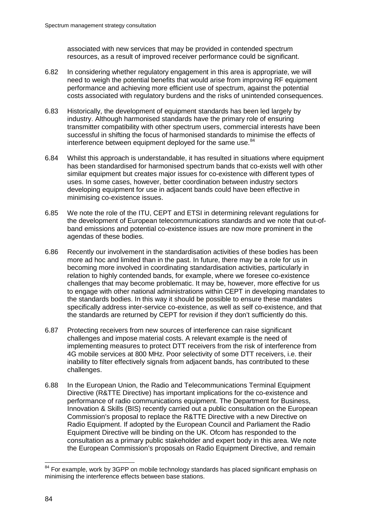associated with new services that may be provided in contended spectrum resources, as a result of improved receiver performance could be significant.

- 6.82 In considering whether regulatory engagement in this area is appropriate, we will need to weigh the potential benefits that would arise from improving RF equipment performance and achieving more efficient use of spectrum, against the potential costs associated with regulatory burdens and the risks of unintended consequences.
- 6.83 Historically, the development of equipment standards has been led largely by industry. Although harmonised standards have the primary role of ensuring transmitter compatibility with other spectrum users, commercial interests have been successful in shifting the focus of harmonised standards to minimise the effects of interference between equipment deployed for the same use.<sup>[84](#page-85-0)</sup>
- 6.84 Whilst this approach is understandable, it has resulted in situations where equipment has been standardised for harmonised spectrum bands that co-exists well with other similar equipment but creates major issues for co-existence with different types of uses. In some cases, however, better coordination between industry sectors developing equipment for use in adjacent bands could have been effective in minimising co-existence issues.
- 6.85 We note the role of the ITU, CEPT and ETSI in determining relevant regulations for the development of European telecommunications standards and we note that out-ofband emissions and potential co-existence issues are now more prominent in the agendas of these bodies.
- 6.86 Recently our involvement in the standardisation activities of these bodies has been more ad hoc and limited than in the past. In future, there may be a role for us in becoming more involved in coordinating standardisation activities, particularly in relation to highly contended bands, for example, where we foresee co-existence challenges that may become problematic. It may be, however, more effective for us to engage with other national administrations within CEPT in developing mandates to the standards bodies. In this way it should be possible to ensure these mandates specifically address inter-service co-existence, as well as self co-existence, and that the standards are returned by CEPT for revision if they don't sufficiently do this.
- 6.87 Protecting receivers from new sources of interference can raise significant challenges and impose material costs. A relevant example is the need of implementing measures to protect DTT receivers from the risk of interference from 4G mobile services at 800 MHz. Poor selectivity of some DTT receivers, i.e. their inability to filter effectively signals from adjacent bands, has contributed to these challenges.
- 6.88 In the European Union, the Radio and Telecommunications Terminal Equipment Directive (R&TTE Directive) has important implications for the co-existence and performance of radio communications equipment. The Department for Business, Innovation & Skills (BIS) recently carried out a public consultation on the European Commission's proposal to replace the R&TTE Directive with a new Directive on Radio Equipment. If adopted by the European Council and Parliament the Radio Equipment Directive will be binding on the UK. Ofcom has responded to the consultation as a primary public stakeholder and expert body in this area. We note the European Commission's proposals on Radio Equipment Directive, and remain

<span id="page-85-0"></span><sup>&</sup>lt;sup>84</sup> For example, work by 3GPP on mobile technology standards has placed significant emphasis on minimising the interference effects between base stations.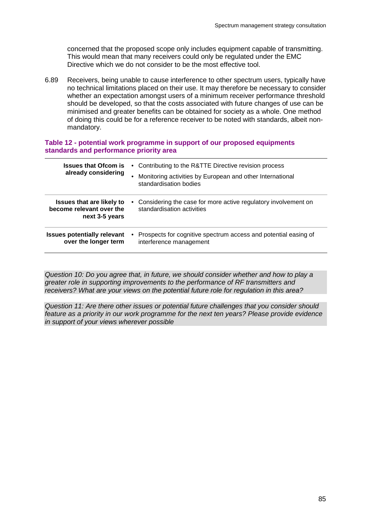concerned that the proposed scope only includes equipment capable of transmitting. This would mean that many receivers could only be regulated under the EMC Directive which we do not consider to be the most effective tool.

6.89 Receivers, being unable to cause interference to other spectrum users, typically have no technical limitations placed on their use. It may therefore be necessary to consider whether an expectation amongst users of a minimum receiver performance threshold should be developed, so that the costs associated with future changes of use can be minimised and greater benefits can be obtained for society as a whole. One method of doing this could be for a reference receiver to be noted with standards, albeit nonmandatory.

#### **Table 12 - potential work programme in support of our proposed equipments standards and performance priority area**

| <b>Issues that Ofcom is</b><br>already considering                             | $\bullet$ | • Contributing to the R&TTE Directive revision process<br>Monitoring activities by European and other International<br>standardisation bodies |
|--------------------------------------------------------------------------------|-----------|-----------------------------------------------------------------------------------------------------------------------------------------------|
| <b>Issues that are likely to</b><br>become relevant over the<br>next 3-5 years | $\bullet$ | Considering the case for more active regulatory involvement on<br>standardisation activities                                                  |
| <b>Issues potentially relevant</b><br>over the longer term                     |           | • Prospects for cognitive spectrum access and potential easing of<br>interference management                                                  |

*Question 10: Do you agree that, in future, we should consider whether and how to play a greater role in supporting improvements to the performance of RF transmitters and receivers? What are your views on the potential future role for regulation in this area?*

*Question 11: Are there other issues or potential future challenges that you consider should feature as a priority in our work programme for the next ten years? Please provide evidence in support of your views wherever possible*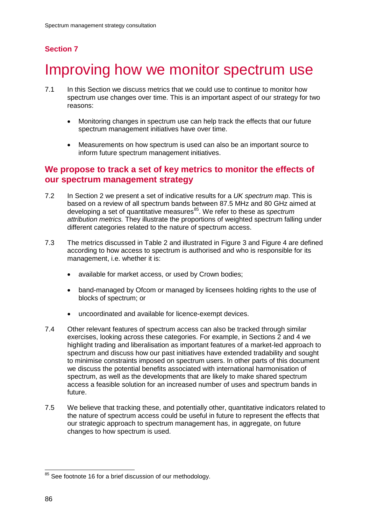# **Section 7**

# Improving how we monitor spectrum use

- 7.1 In this Section we discuss metrics that we could use to continue to monitor how spectrum use changes over time. This is an important aspect of our strategy for two reasons:
	- Monitoring changes in spectrum use can help track the effects that our future spectrum management initiatives have over time.
	- Measurements on how spectrum is used can also be an important source to inform future spectrum management initiatives.

## **We propose to track a set of key metrics to monitor the effects of our spectrum management strategy**

- 7.2 In Section 2 we present a set of indicative results for a *UK spectrum map*. This is based on a review of all spectrum bands between 87.5 MHz and 80 GHz aimed at developing a set of quantitative measures<sup>[85](#page-87-0)</sup>. We refer to these as *spectrum attribution metrics.* They illustrate the proportions of weighted spectrum falling under different categories related to the nature of spectrum access.
- 7.3 The metrics discussed in [Table 2](#page-18-0) and illustrated in [Figure 3](#page-17-0) and [Figure 4](#page-20-0) are defined according to how access to spectrum is authorised and who is responsible for its management, i.e. whether it is:
	- available for market access, or used by Crown bodies;
	- band-managed by Ofcom or managed by licensees holding rights to the use of blocks of spectrum; or
	- uncoordinated and available for licence-exempt devices.
- 7.4 Other relevant features of spectrum access can also be tracked through similar exercises, looking across these categories. For example, in Sections 2 and 4 we highlight trading and liberalisation as important features of a market-led approach to spectrum and discuss how our past initiatives have extended tradability and sought to minimise constraints imposed on spectrum users. In other parts of this document we discuss the potential benefits associated with international harmonisation of spectrum, as well as the developments that are likely to make shared spectrum access a feasible solution for an increased number of uses and spectrum bands in future.
- 7.5 We believe that tracking these, and potentially other, quantitative indicators related to the nature of spectrum access could be useful in future to represent the effects that our strategic approach to spectrum management has, in aggregate, on future changes to how spectrum is used.

<span id="page-87-0"></span><sup>&</sup>lt;sup>85</sup> See footnote [16](#page-16-0) for a brief discussion of our methodology.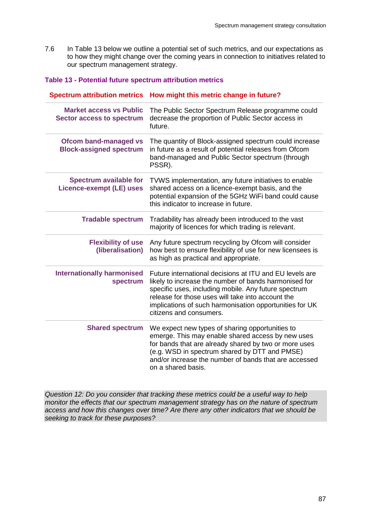7.6 In Table 13 below we outline a potential set of such metrics, and our expectations as to how they might change over the coming years in connection to initiatives related to our spectrum management strategy.

### **Table 13 - Potential future spectrum attribution metrics**

| <b>Spectrum attribution metrics</b>                                | How might this metric change in future?                                                                                                                                                                                                                                                                             |
|--------------------------------------------------------------------|---------------------------------------------------------------------------------------------------------------------------------------------------------------------------------------------------------------------------------------------------------------------------------------------------------------------|
| <b>Market access vs Public</b><br><b>Sector access to spectrum</b> | The Public Sector Spectrum Release programme could<br>decrease the proportion of Public Sector access in<br>future.                                                                                                                                                                                                 |
| <b>Ofcom band-managed vs</b><br><b>Block-assigned spectrum</b>     | The quantity of Block-assigned spectrum could increase<br>in future as a result of potential releases from Ofcom<br>band-managed and Public Sector spectrum (through<br>PSSR).                                                                                                                                      |
| <b>Spectrum available for</b><br><b>Licence-exempt (LE) uses</b>   | TVWS implementation, any future initiatives to enable<br>shared access on a licence-exempt basis, and the<br>potential expansion of the 5GHz WiFi band could cause<br>this indicator to increase in future.                                                                                                         |
| <b>Tradable spectrum</b>                                           | Tradability has already been introduced to the vast<br>majority of licences for which trading is relevant.                                                                                                                                                                                                          |
| <b>Flexibility of use</b><br>(liberalisation)                      | Any future spectrum recycling by Ofcom will consider<br>how best to ensure flexibility of use for new licensees is<br>as high as practical and appropriate.                                                                                                                                                         |
| <b>Internationally harmonised</b><br>spectrum                      | Future international decisions at ITU and EU levels are<br>likely to increase the number of bands harmonised for<br>specific uses, including mobile. Any future spectrum<br>release for those uses will take into account the<br>implications of such harmonisation opportunities for UK<br>citizens and consumers. |
| <b>Shared spectrum</b>                                             | We expect new types of sharing opportunities to<br>emerge. This may enable shared access by new uses<br>for bands that are already shared by two or more uses<br>(e.g. WSD in spectrum shared by DTT and PMSE)<br>and/or increase the number of bands that are accessed<br>on a shared basis.                       |

*Question 12: Do you consider that tracking these metrics could be a useful way to help monitor the effects that our spectrum management strategy has on the nature of spectrum access and how this changes over time? Are there any other indicators that we should be seeking to track for these purposes?*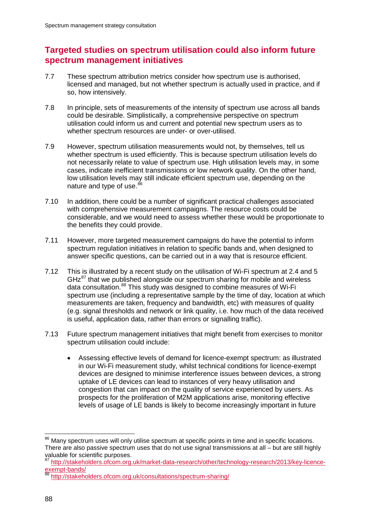# **Targeted studies on spectrum utilisation could also inform future spectrum management initiatives**

- 7.7 These spectrum attribution metrics consider how spectrum use is authorised, licensed and managed, but not whether spectrum is actually used in practice, and if so, how intensively.
- 7.8 In principle, sets of measurements of the intensity of spectrum use across all bands could be desirable. Simplistically, a comprehensive perspective on spectrum utilisation could inform us and current and potential new spectrum users as to whether spectrum resources are under- or over-utilised.
- 7.9 However, spectrum utilisation measurements would not, by themselves, tell us whether spectrum is used efficiently. This is because spectrum utilisation levels do not necessarily relate to value of spectrum use. High utilisation levels may, in some cases, indicate inefficient transmissions or low network quality. On the other hand, low utilisation levels may still indicate efficient spectrum use, depending on the nature and type of use.<sup>8</sup>
- 7.10 In addition, there could be a number of significant practical challenges associated with comprehensive measurement campaigns. The resource costs could be considerable, and we would need to assess whether these would be proportionate to the benefits they could provide.
- 7.11 However, more targeted measurement campaigns do have the potential to inform spectrum regulation initiatives in relation to specific bands and, when designed to answer specific questions, can be carried out in a way that is resource efficient.
- 7.12 This is illustrated by a recent study on the utilisation of Wi-Fi spectrum at 2.4 and 5  $GHz<sup>87</sup>$  $GHz<sup>87</sup>$  $GHz<sup>87</sup>$  that we published alongside our spectrum sharing for mobile and wireless data consultation.<sup>[88](#page-89-2)</sup> This study was designed to combine measures of Wi-Fi spectrum use (including a representative sample by the time of day, location at which measurements are taken, frequency and bandwidth, etc) with measures of quality (e.g. signal thresholds and network or link quality, i.e. how much of the data received is useful, application data, rather than errors or signalling traffic).
- 7.13 Future spectrum management initiatives that might benefit from exercises to monitor spectrum utilisation could include:
	- Assessing effective levels of demand for licence-exempt spectrum: as illustrated in our Wi-Fi measurement study, whilst technical conditions for licence-exempt devices are designed to minimise interference issues between devices, a strong uptake of LE devices can lead to instances of very heavy utilisation and congestion that can impact on the quality of service experienced by users. As prospects for the proliferation of M2M applications arise, monitoring effective levels of usage of LE bands is likely to become increasingly important in future

<span id="page-89-0"></span><sup>&</sup>lt;sup>86</sup> Manv spectrum uses will only utilise spectrum at specific points in time and in specific locations. There are also passive spectrum uses that do not use signal transmissions at all – but are still highly valuable for scientific purposes.

<span id="page-89-1"></span><sup>87</sup> [http://stakeholders.ofcom.org.uk/market-data-research/other/technology-research/2013/key-licence](http://stakeholders.ofcom.org.uk/market-data-research/other/technology-research/2013/key-licence-exempt-bands/)[exempt-bands/](http://stakeholders.ofcom.org.uk/market-data-research/other/technology-research/2013/key-licence-exempt-bands/)

<span id="page-89-2"></span><http://stakeholders.ofcom.org.uk/consultations/spectrum-sharing/>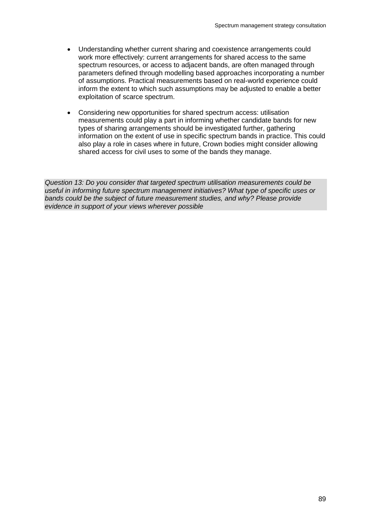- Understanding whether current sharing and coexistence arrangements could work more effectively: current arrangements for shared access to the same spectrum resources, or access to adjacent bands, are often managed through parameters defined through modelling based approaches incorporating a number of assumptions. Practical measurements based on real-world experience could inform the extent to which such assumptions may be adjusted to enable a better exploitation of scarce spectrum.
- Considering new opportunities for shared spectrum access: utilisation measurements could play a part in informing whether candidate bands for new types of sharing arrangements should be investigated further, gathering information on the extent of use in specific spectrum bands in practice. This could also play a role in cases where in future, Crown bodies might consider allowing shared access for civil uses to some of the bands they manage.

*Question 13: Do you consider that targeted spectrum utilisation measurements could be useful in informing future spectrum management initiatives? What type of specific uses or bands could be the subject of future measurement studies, and why? Please provide evidence in support of your views wherever possible*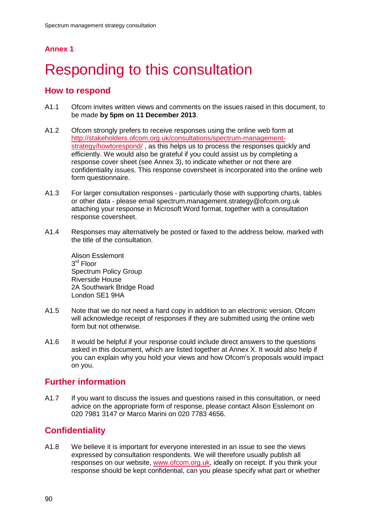# **Annex 1**

# Responding to this consultation

## **How to respond**

- A1.1 Ofcom invites written views and comments on the issues raised in this document, to be made **by 5pm on 11 December 2013**.
- A1.2 Ofcom strongly prefers to receive responses using the online web form at [http://stakeholders.ofcom.org.uk/consultations/spectrum-management](http://stakeholders.ofcom.org.uk/consultations/spectrum-management-strategy/howtorespond/)[strategy/howtorespond/](http://stakeholders.ofcom.org.uk/consultations/spectrum-management-strategy/howtorespond/) , as this helps us to process the responses quickly and efficiently. We would also be grateful if you could assist us by completing a response cover sheet (see Annex 3), to indicate whether or not there are confidentiality issues. This response coversheet is incorporated into the online web form questionnaire.
- A1.3 For larger consultation responses particularly those with supporting charts, tables or other data - please email spectrum.management.strategy@ofcom.org.uk attaching your response in Microsoft Word format, together with a consultation response coversheet.
- A1.4 Responses may alternatively be posted or faxed to the address below, marked with the title of the consultation.

Alison Esslemont 3rd Floor Spectrum Policy Group Riverside House 2A Southwark Bridge Road London SE1 9HA

- A1.5 Note that we do not need a hard copy in addition to an electronic version. Ofcom will acknowledge receipt of responses if they are submitted using the online web form but not otherwise.
- A1.6 It would be helpful if your response could include direct answers to the questions asked in this document, which are listed together at Annex X. It would also help if you can explain why you hold your views and how Ofcom's proposals would impact on you.

# **Further information**

A1.7 If you want to discuss the issues and questions raised in this consultation, or need advice on the appropriate form of response, please contact Alison Esslemont on 020 7981 3147 or Marco Marini on 020 7783 4656.

# **Confidentiality**

A1.8 We believe it is important for everyone interested in an issue to see the views expressed by consultation respondents. We will therefore usually publish all responses on our website, [www.ofcom.org.uk,](http://www.ofcom.org.uk/) ideally on receipt. If you think your response should be kept confidential, can you please specify what part or whether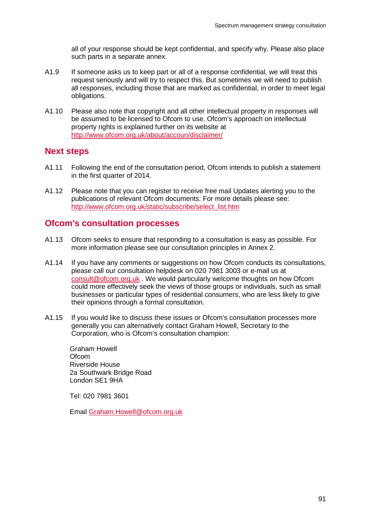all of your response should be kept confidential, and specify why. Please also place such parts in a separate annex.

- A1.9 If someone asks us to keep part or all of a response confidential, we will treat this request seriously and will try to respect this. But sometimes we will need to publish all responses, including those that are marked as confidential, in order to meet legal obligations.
- A1.10 Please also note that copyright and all other intellectual property in responses will be assumed to be licensed to Ofcom to use. Ofcom's approach on intellectual property rights is explained further on its website at <http://www.ofcom.org.uk/about/accoun/disclaimer/>

## **Next steps**

- A1.11 Following the end of the consultation period, Ofcom intends to publish a statement in the first quarter of 2014.
- A1.12 Please note that you can register to receive free mail Updates alerting you to the publications of relevant Ofcom documents. For more details please see: [http://www.ofcom.org.uk/static/subscribe/select\\_list.htm](http://www.ofcom.org.uk/static/subscribe/select_list.htm)

## **Ofcom's consultation processes**

- A1.13 Ofcom seeks to ensure that responding to a consultation is easy as possible. For more information please see our consultation principles in Annex 2.
- A1.14 If you have any comments or suggestions on how Ofcom conducts its consultations, please call our consultation helpdesk on 020 7981 3003 or e-mail us at [consult@ofcom.org.uk](mailto:consult@ofcom.org.uk) . We would particularly welcome thoughts on how Ofcom could more effectively seek the views of those groups or individuals, such as small businesses or particular types of residential consumers, who are less likely to give their opinions through a formal consultation.
- A1.15 If you would like to discuss these issues or Ofcom's consultation processes more generally you can alternatively contact Graham Howell, Secretary to the Corporation, who is Ofcom's consultation champion:

Graham Howell **Ofcom** Riverside House 2a Southwark Bridge Road London SE1 9HA

Tel: 020 7981 3601

Email [Graham.Howell@ofcom.org.uk](mailto:Graham.Howell@ofcom.org.uk)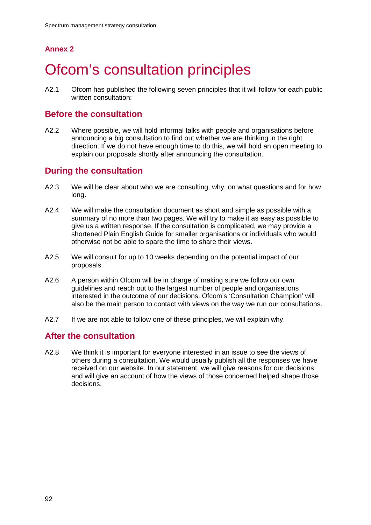# **Annex 2**

# **Ofcom's consultation principles**

A2.1 Ofcom has published the following seven principles that it will follow for each public written consultation:

# **Before the consultation**

A2.2 Where possible, we will hold informal talks with people and organisations before announcing a big consultation to find out whether we are thinking in the right direction. If we do not have enough time to do this, we will hold an open meeting to explain our proposals shortly after announcing the consultation.

# **During the consultation**

- A2.3 We will be clear about who we are consulting, why, on what questions and for how long.
- A2.4 We will make the consultation document as short and simple as possible with a summary of no more than two pages. We will try to make it as easy as possible to give us a written response. If the consultation is complicated, we may provide a shortened Plain English Guide for smaller organisations or individuals who would otherwise not be able to spare the time to share their views.
- A2.5 We will consult for up to 10 weeks depending on the potential impact of our proposals.
- A2.6 A person within Ofcom will be in charge of making sure we follow our own guidelines and reach out to the largest number of people and organisations interested in the outcome of our decisions. Ofcom's 'Consultation Champion' will also be the main person to contact with views on the way we run our consultations.
- A2.7 If we are not able to follow one of these principles, we will explain why.

# **After the consultation**

A2.8 We think it is important for everyone interested in an issue to see the views of others during a consultation. We would usually publish all the responses we have received on our website. In our statement, we will give reasons for our decisions and will give an account of how the views of those concerned helped shape those decisions.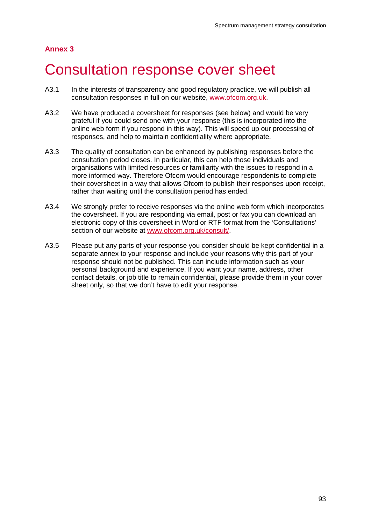## **Annex 3**

# 3 Consultation response cover sheet

- A3.1 In the interests of transparency and good regulatory practice, we will publish all consultation responses in full on our website, [www.ofcom.org.uk.](http://www.ofcom.org.uk/)
- A3.2 We have produced a coversheet for responses (see below) and would be very grateful if you could send one with your response (this is incorporated into the online web form if you respond in this way). This will speed up our processing of responses, and help to maintain confidentiality where appropriate.
- A3.3 The quality of consultation can be enhanced by publishing responses before the consultation period closes. In particular, this can help those individuals and organisations with limited resources or familiarity with the issues to respond in a more informed way. Therefore Ofcom would encourage respondents to complete their coversheet in a way that allows Ofcom to publish their responses upon receipt, rather than waiting until the consultation period has ended.
- A3.4 We strongly prefer to receive responses via the online web form which incorporates the coversheet. If you are responding via email, post or fax you can download an electronic copy of this coversheet in Word or RTF format from the 'Consultations' section of our website at [www.ofcom.org.uk/consult/.](http://www.ofcom.org.uk/consult/)
- A3.5 Please put any parts of your response you consider should be kept confidential in a separate annex to your response and include your reasons why this part of your response should not be published. This can include information such as your personal background and experience. If you want your name, address, other contact details, or job title to remain confidential, please provide them in your cover sheet only, so that we don't have to edit your response.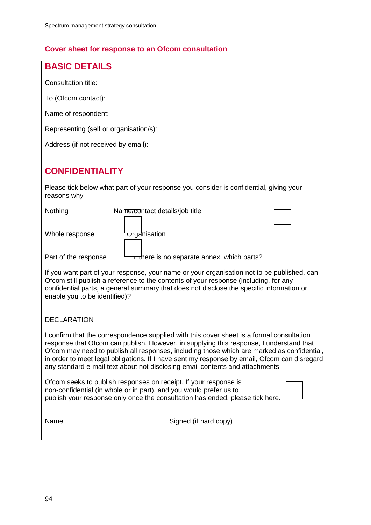# **Cover sheet for response to an Ofcom consultation**

| <b>BASIC DETAILS</b>                                                                                                                                                                                                                                                                                                                                                                                                                                                |  |  |  |
|---------------------------------------------------------------------------------------------------------------------------------------------------------------------------------------------------------------------------------------------------------------------------------------------------------------------------------------------------------------------------------------------------------------------------------------------------------------------|--|--|--|
| Consultation title:                                                                                                                                                                                                                                                                                                                                                                                                                                                 |  |  |  |
| To (Ofcom contact):                                                                                                                                                                                                                                                                                                                                                                                                                                                 |  |  |  |
| Name of respondent:                                                                                                                                                                                                                                                                                                                                                                                                                                                 |  |  |  |
| Representing (self or organisation/s):                                                                                                                                                                                                                                                                                                                                                                                                                              |  |  |  |
| Address (if not received by email):                                                                                                                                                                                                                                                                                                                                                                                                                                 |  |  |  |
| <b>CONFIDENTIALITY</b>                                                                                                                                                                                                                                                                                                                                                                                                                                              |  |  |  |
| Please tick below what part of your response you consider is confidential, giving your<br>reasons why                                                                                                                                                                                                                                                                                                                                                               |  |  |  |
| Name/contact details/job title<br>Nothing                                                                                                                                                                                                                                                                                                                                                                                                                           |  |  |  |
| organisation<br>Whole response                                                                                                                                                                                                                                                                                                                                                                                                                                      |  |  |  |
| Part of the response<br>π there is no separate annex, which parts?                                                                                                                                                                                                                                                                                                                                                                                                  |  |  |  |
| If you want part of your response, your name or your organisation not to be published, can<br>Ofcom still publish a reference to the contents of your response (including, for any<br>confidential parts, a general summary that does not disclose the specific information or<br>enable you to be identified)?                                                                                                                                                     |  |  |  |
| <b>DECLARATION</b>                                                                                                                                                                                                                                                                                                                                                                                                                                                  |  |  |  |
| I confirm that the correspondence supplied with this cover sheet is a formal consultation<br>response that Ofcom can publish. However, in supplying this response, I understand that<br>Ofcom may need to publish all responses, including those which are marked as confidential,<br>in order to meet legal obligations. If I have sent my response by email, Ofcom can disregard<br>any standard e-mail text about not disclosing email contents and attachments. |  |  |  |
| Ofcom seeks to publish responses on receipt. If your response is<br>non-confidential (in whole or in part), and you would prefer us to<br>publish your response only once the consultation has ended, please tick here.                                                                                                                                                                                                                                             |  |  |  |
| Signed (if hard copy)<br>Name                                                                                                                                                                                                                                                                                                                                                                                                                                       |  |  |  |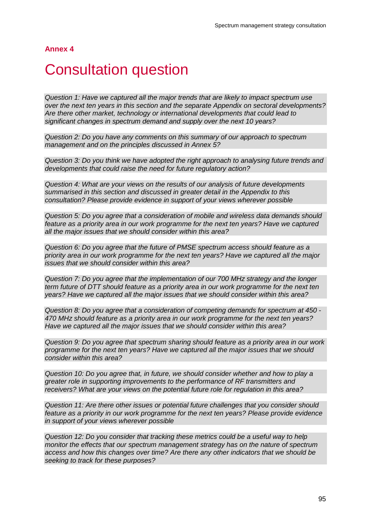**Annex 4**

# **Consultation question**

*Question 1: Have we captured all the major trends that are likely to impact spectrum use over the next ten years in this section and the separate Appendix on sectoral developments? Are there other market, technology or international developments that could lead to significant changes in spectrum demand and supply over the next 10 years?*

*Question 2: Do you have any comments on this summary of our approach to spectrum management and on the principles discussed in Annex 5?*

*Question 3: Do you think we have adopted the right approach to analysing future trends and developments that could raise the need for future regulatory action?*

*Question 4: What are your views on the results of our analysis of future developments summarised in this section and discussed in greater detail in the Appendix to this consultation? Please provide evidence in support of your views wherever possible*

*Question 5: Do you agree that a consideration of mobile and wireless data demands should feature as a priority area in our work programme for the next ten years? Have we captured all the major issues that we should consider within this area?*

*Question 6: Do you agree that the future of PMSE spectrum access should feature as a priority area in our work programme for the next ten years? Have we captured all the major issues that we should consider within this area?*

*Question 7: Do you agree that the implementation of our 700 MHz strategy and the longer term future of DTT should feature as a priority area in our work programme for the next ten years? Have we captured all the major issues that we should consider within this area?*

*Question 8: Do you agree that a consideration of competing demands for spectrum at 450 - 470 MHz should feature as a priority area in our work programme for the next ten years? Have we captured all the major issues that we should consider within this area?*

*Question 9: Do you agree that spectrum sharing should feature as a priority area in our work programme for the next ten years? Have we captured all the major issues that we should consider within this area?*

*Question 10: Do you agree that, in future, we should consider whether and how to play a greater role in supporting improvements to the performance of RF transmitters and receivers? What are your views on the potential future role for regulation in this area?*

*Question 11: Are there other issues or potential future challenges that you consider should feature as a priority in our work programme for the next ten years? Please provide evidence in support of your views wherever possible*

*Question 12: Do you consider that tracking these metrics could be a useful way to help monitor the effects that our spectrum management strategy has on the nature of spectrum access and how this changes over time? Are there any other indicators that we should be seeking to track for these purposes?*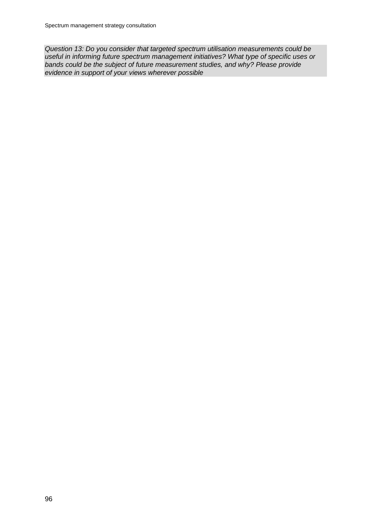*Question 13: Do you consider that targeted spectrum utilisation measurements could be useful in informing future spectrum management initiatives? What type of specific uses or bands could be the subject of future measurement studies, and why? Please provide evidence in support of your views wherever possible*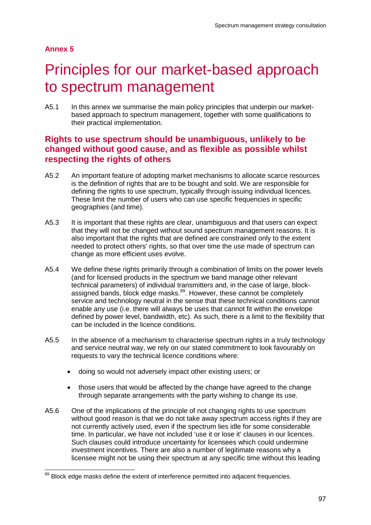## **Annex 5**

# 5 Principles for our market-based approach to spectrum management

A5.1 In this annex we summarise the main policy principles that underpin our marketbased approach to spectrum management, together with some qualifications to their practical implementation.

# **Rights to use spectrum should be unambiguous, unlikely to be changed without good cause, and as flexible as possible whilst respecting the rights of others**

- A5.2 An important feature of adopting market mechanisms to allocate scarce resources is the definition of rights that are to be bought and sold. We are responsible for defining the rights to use spectrum, typically through issuing individual licences. These limit the number of users who can use specific frequencies in specific geographies (and time).
- A5.3 It is important that these rights are clear, unambiguous and that users can expect that they will not be changed without sound spectrum management reasons. It is also important that the rights that are defined are constrained only to the extent needed to protect others' rights, so that over time the use made of spectrum can change as more efficient uses evolve.
- A5.4 We define these rights primarily through a combination of limits on the power levels (and for licensed products in the spectrum we band manage other relevant technical parameters) of individual transmitters and, in the case of large, block-assigned bands, block edge masks.<sup>[89](#page-98-0)</sup>. However, these cannot be completely service and technology neutral in the sense that these technical conditions cannot enable any use (i.e. there will always be uses that cannot fit within the envelope defined by power level, bandwidth, etc). As such, there is a limit to the flexibility that can be included in the licence conditions.
- A5.5 In the absence of a mechanism to characterise spectrum rights in a truly technology and service neutral way, we rely on our stated commitment to look favourably on requests to vary the technical licence conditions where:
	- doing so would not adversely impact other existing users; or
	- those users that would be affected by the change have agreed to the change through separate arrangements with the party wishing to change its use.
- A5.6 One of the implications of the principle of not changing rights to use spectrum without good reason is that we do not take away spectrum access rights if they are not currently actively used, even if the spectrum lies idle for some considerable time. In particular, we have not included 'use it or lose it' clauses in our licences. Such clauses could introduce uncertainty for licensees which could undermine investment incentives. There are also a number of legitimate reasons why a licensee might not be using their spectrum at any specific time without this leading

<span id="page-98-0"></span><sup>&</sup>lt;sup>89</sup> Block edge masks define the extent of interference permitted into adjacent frequencies.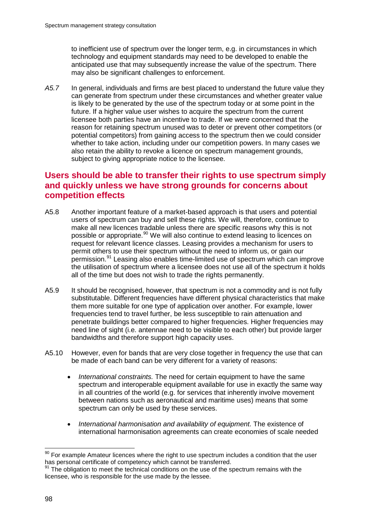to inefficient use of spectrum over the longer term, e.g. in circumstances in which technology and equipment standards may need to be developed to enable the anticipated use that may subsequently increase the value of the spectrum. There may also be significant challenges to enforcement.

*A5.7* In general, individuals and firms are best placed to understand the future value they can generate from spectrum under these circumstances and whether greater value is likely to be generated by the use of the spectrum today or at some point in the future. If a higher value user wishes to acquire the spectrum from the current licensee both parties have an incentive to trade. If we were concerned that the reason for retaining spectrum unused was to deter or prevent other competitors (or potential competitors) from gaining access to the spectrum then we could consider whether to take action, including under our competition powers. In many cases we also retain the ability to revoke a licence on spectrum management grounds, subject to giving appropriate notice to the licensee.

# **Users should be able to transfer their rights to use spectrum simply and quickly unless we have strong grounds for concerns about competition effects**

- A5.8 Another important feature of a market-based approach is that users and potential users of spectrum can buy and sell these rights. We will, therefore, continue to make all new licences tradable unless there are specific reasons why this is not possible or appropriate.<sup>[90](#page-99-0)</sup> We will also continue to extend leasing to licences on request for relevant licence classes. Leasing provides a mechanism for users to permit others to use their spectrum without the need to inform us, or gain our permission. [91](#page-99-1) Leasing also enables time-limited use of spectrum which can improve the utilisation of spectrum where a licensee does not use all of the spectrum it holds all of the time but does not wish to trade the rights permanently.
- A5.9 It should be recognised, however, that spectrum is not a commodity and is not fully substitutable. Different frequencies have different physical characteristics that make them more suitable for one type of application over another. For example, lower frequencies tend to travel further, be less susceptible to rain attenuation and penetrate buildings better compared to higher frequencies. Higher frequencies may need line of sight (i.e. antennae need to be visible to each other) but provide larger bandwidths and therefore support high capacity uses.
- A5.10 However, even for bands that are very close together in frequency the use that can be made of each band can be very different for a variety of reasons:
	- *International constraints.* The need for certain equipment to have the same spectrum and interoperable equipment available for use in exactly the same way in all countries of the world (e.g. for services that inherently involve movement between nations such as aeronautical and maritime uses) means that some spectrum can only be used by these services.
	- *International harmonisation and availability of equipment.* The existence of international harmonisation agreements can create economies of scale needed

<span id="page-99-0"></span> $90$  For example Amateur licences where the right to use spectrum includes a condition that the user has personal certificate of competency which cannot be transferred.

<span id="page-99-1"></span><sup>&</sup>lt;sup>91</sup> The obligation to meet the technical conditions on the use of the spectrum remains with the licensee, who is responsible for the use made by the lessee.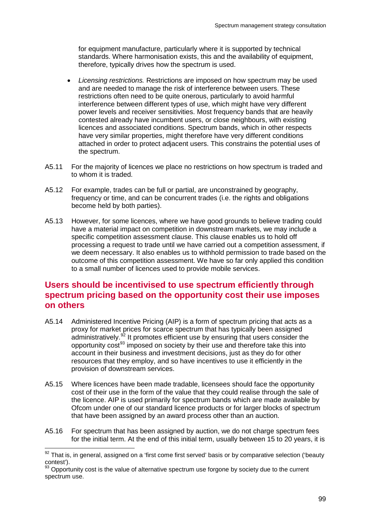for equipment manufacture, particularly where it is supported by technical standards. Where harmonisation exists, this and the availability of equipment, therefore, typically drives how the spectrum is used.

- *Licensing restrictions.* Restrictions are imposed on how spectrum may be used and are needed to manage the risk of interference between users. These restrictions often need to be quite onerous, particularly to avoid harmful interference between different types of use, which might have very different power levels and receiver sensitivities. Most frequency bands that are heavily contested already have incumbent users, or close neighbours, with existing licences and associated conditions. Spectrum bands, which in other respects have very similar properties, might therefore have very different conditions attached in order to protect adjacent users. This constrains the potential uses of the spectrum.
- A5.11 For the majority of licences we place no restrictions on how spectrum is traded and to whom it is traded.
- A5.12 For example, trades can be full or partial, are unconstrained by geography, frequency or time, and can be concurrent trades (i.e. the rights and obligations become held by both parties).
- A5.13 However, for some licences, where we have good grounds to believe trading could have a material impact on competition in downstream markets, we may include a specific competition assessment clause. This clause enables us to hold off processing a request to trade until we have carried out a competition assessment, if we deem necessary. It also enables us to withhold permission to trade based on the outcome of this competition assessment. We have so far only applied this condition to a small number of licences used to provide mobile services.

# **Users should be incentivised to use spectrum efficiently through spectrum pricing based on the opportunity cost their use imposes on others**

- A5.14 Administered Incentive Pricing (AIP) is a form of spectrum pricing that acts as a proxy for market prices for scarce spectrum that has typically been assigned administratively.<sup>[92](#page-100-0)</sup> It promotes efficient use by ensuring that users consider the opportunity cost<sup>[93](#page-100-1)</sup> imposed on society by their use and therefore take this into account in their business and investment decisions, just as they do for other resources that they employ, and so have incentives to use it efficiently in the provision of downstream services.
- A5.15 Where licences have been made tradable, licensees should face the opportunity cost of their use in the form of the value that they could realise through the sale of the licence. AIP is used primarily for spectrum bands which are made available by Ofcom under one of our standard licence products or for larger blocks of spectrum that have been assigned by an award process other than an auction.
- A5.16 For spectrum that has been assigned by auction, we do not charge spectrum fees for the initial term. At the end of this initial term, usually between 15 to 20 years, it is

<span id="page-100-0"></span> $92$  That is, in general, assigned on a 'first come first served' basis or by comparative selection ('beauty contest').

<span id="page-100-1"></span><sup>93</sup> Opportunity cost is the value of alternative spectrum use forgone by society due to the current spectrum use.